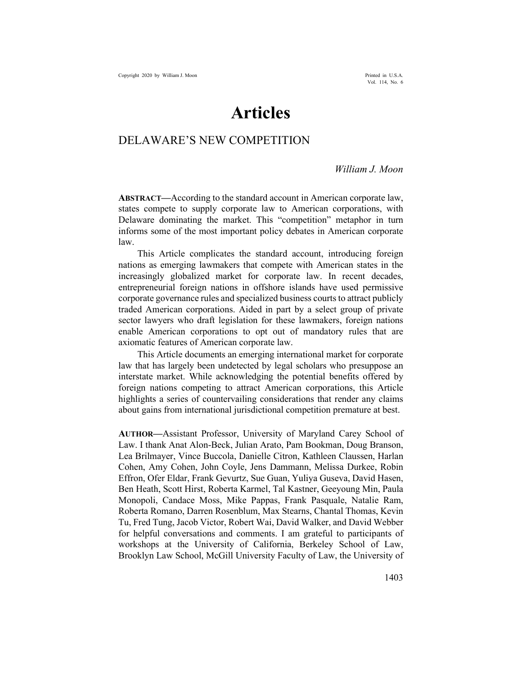# **Articles**

# DELAWARE'S NEW COMPETITION

### *William J. Moon*

**ABSTRACT—**According to the standard account in American corporate law, states compete to supply corporate law to American corporations, with Delaware dominating the market. This "competition" metaphor in turn informs some of the most important policy debates in American corporate law.

This Article complicates the standard account, introducing foreign nations as emerging lawmakers that compete with American states in the increasingly globalized market for corporate law. In recent decades, entrepreneurial foreign nations in offshore islands have used permissive corporate governance rules and specialized business courts to attract publicly traded American corporations. Aided in part by a select group of private sector lawyers who draft legislation for these lawmakers, foreign nations enable American corporations to opt out of mandatory rules that are axiomatic features of American corporate law.

This Article documents an emerging international market for corporate law that has largely been undetected by legal scholars who presuppose an interstate market. While acknowledging the potential benefits offered by foreign nations competing to attract American corporations, this Article highlights a series of countervailing considerations that render any claims about gains from international jurisdictional competition premature at best.

**AUTHOR—**Assistant Professor, University of Maryland Carey School of Law. I thank Anat Alon-Beck, Julian Arato, Pam Bookman, Doug Branson, Lea Brilmayer, Vince Buccola, Danielle Citron, Kathleen Claussen, Harlan Cohen, Amy Cohen, John Coyle, Jens Dammann, Melissa Durkee, Robin Effron, Ofer Eldar, Frank Gevurtz, Sue Guan, Yuliya Guseva, David Hasen, Ben Heath, Scott Hirst, Roberta Karmel, Tal Kastner, Geeyoung Min, Paula Monopoli, Candace Moss, Mike Pappas, Frank Pasquale, Natalie Ram, Roberta Romano, Darren Rosenblum, Max Stearns, Chantal Thomas, Kevin Tu, Fred Tung, Jacob Victor, Robert Wai, David Walker, and David Webber for helpful conversations and comments. I am grateful to participants of workshops at the University of California, Berkeley School of Law, Brooklyn Law School, McGill University Faculty of Law, the University of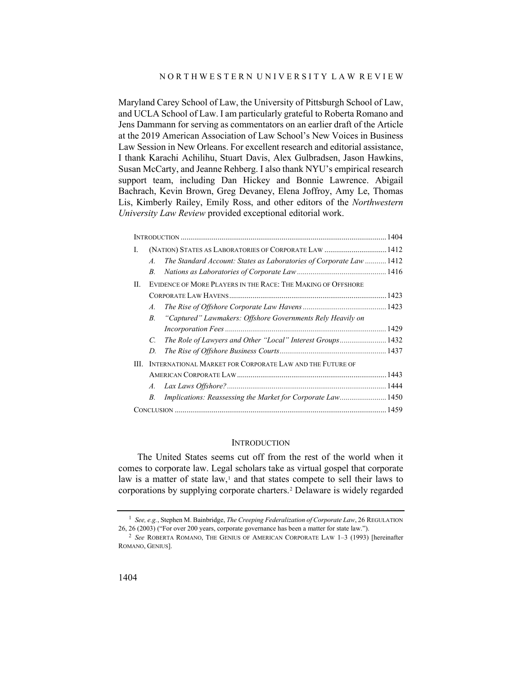Maryland Carey School of Law, the University of Pittsburgh School of Law, and UCLA School of Law. I am particularly grateful to Roberta Romano and Jens Dammann for serving as commentators on an earlier draft of the Article at the 2019 American Association of Law School's New Voices in Business Law Session in New Orleans. For excellent research and editorial assistance, I thank Karachi Achilihu, Stuart Davis, Alex Gulbradsen, Jason Hawkins, Susan McCarty, and Jeanne Rehberg. I also thank NYU's empirical research support team, including Dan Hickey and Bonnie Lawrence. Abigail Bachrach, Kevin Brown, Greg Devaney, Elena Joffroy, Amy Le, Thomas Lis, Kimberly Railey, Emily Ross, and other editors of the *Northwestern University Law Review* provided exceptional editorial work.

| Ι.  |                                                              | (NATION) STATES AS LABORATORIES OF CORPORATE LAW  1412              |  |  |  |  |
|-----|--------------------------------------------------------------|---------------------------------------------------------------------|--|--|--|--|
|     | $\mathcal{A}$                                                | The Standard Account: States as Laboratories of Corporate Law  1412 |  |  |  |  |
|     | В.                                                           |                                                                     |  |  |  |  |
| II. | EVIDENCE OF MORE PLAYERS IN THE RACE: THE MAKING OF OFFSHORE |                                                                     |  |  |  |  |
|     |                                                              |                                                                     |  |  |  |  |
|     | $\mathcal{A}$ .                                              |                                                                     |  |  |  |  |
|     | $B_{\cdot}$                                                  | "Captured" Lawmakers: Offshore Governments Rely Heavily on          |  |  |  |  |
|     |                                                              |                                                                     |  |  |  |  |
|     | $\mathcal{C}$                                                | The Role of Lawyers and Other "Local" Interest Groups 1432          |  |  |  |  |
|     | D.                                                           |                                                                     |  |  |  |  |
| HI. |                                                              | INTERNATIONAL MARKET FOR CORPORATE LAW AND THE FUTURE OF            |  |  |  |  |
|     |                                                              |                                                                     |  |  |  |  |
|     |                                                              |                                                                     |  |  |  |  |
|     | В.                                                           | Implications: Reassessing the Market for Corporate Law 1450         |  |  |  |  |
|     |                                                              |                                                                     |  |  |  |  |

#### <span id="page-1-2"></span>**INTRODUCTION**

The United States seems cut off from the rest of the world when it comes to corporate law. Legal scholars take as virtual gospel that corporate law is a matter of state law,<sup>1</sup> and that states compete to sell their laws to corporations by supplying corporate charters.[2](#page-1-1) Delaware is widely regarded

<span id="page-1-0"></span><sup>1</sup> *See, e.g.*, Stephen M. Bainbridge, *The Creeping Federalization of Corporate Law*, 26 REGULATION 26, 26 (2003) ("For over 200 years, corporate governance has been a matter for state law.").

<span id="page-1-1"></span><sup>2</sup> *See* ROBERTA ROMANO, THE GENIUS OF AMERICAN CORPORATE LAW 1–3 (1993) [hereinafter ROMANO, GENIUS].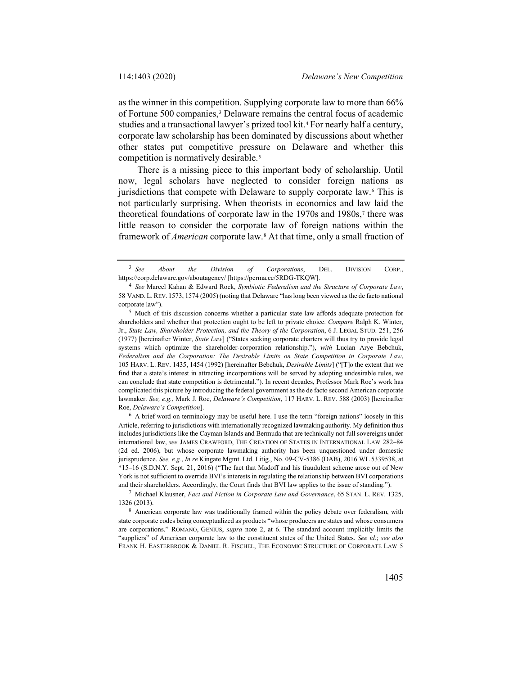as the winner in this competition. Supplying corporate law to more than 66% of Fortune 500 companies,[3](#page-2-0) Delaware remains the central focus of academic studies and a transactional lawyer's prized tool kit.[4](#page-2-1) For nearly half a century, corporate law scholarship has been dominated by discussions about whether other states put competitive pressure on Delaware and whether this competition is normatively desirable.<sup>[5](#page-2-2)</sup>

<span id="page-2-6"></span>There is a missing piece to this important body of scholarship. Until now, legal scholars have neglected to consider foreign nations as jurisdictions that compete with Delaware to supply corporate law.<sup>[6](#page-2-3)</sup> This is not particularly surprising. When theorists in economics and law laid the theoretical foundations of corporate law in the  $1970s$  $1970s$  $1970s$  and  $1980s$ ,<sup>7</sup> there was little reason to consider the corporate law of foreign nations within the framework of *American* corporate law.[8](#page-2-5) At that time, only a small fraction of

<span id="page-2-3"></span><sup>6</sup> A brief word on terminology may be useful here. I use the term "foreign nations" loosely in this Article, referring to jurisdictions with internationally recognized lawmaking authority. My definition thus includes jurisdictions like the Cayman Islands and Bermuda that are technically not full sovereigns under international law, *see* JAMES CRAWFORD, THE CREATION OF STATES IN INTERNATIONAL LAW 282–84 (2d ed. 2006), but whose corporate lawmaking authority has been unquestioned under domestic jurisprudence. *See, e.g.*, *In re* Kingate Mgmt. Ltd. Litig., No. 09-CV-5386 (DAB), 2016 WL 5339538, at \*15–16 (S.D.N.Y. Sept. 21, 2016) ("The fact that Madoff and his fraudulent scheme arose out of New York is not sufficient to override BVI's interests in regulating the relationship between BVI corporations and their shareholders. Accordingly, the Court finds that BVI law applies to the issue of standing.").

<span id="page-2-4"></span><sup>7</sup> Michael Klausner, *Fact and Fiction in Corporate Law and Governance*, 65 STAN. L. REV. 1325, 1326 (2013).

<span id="page-2-5"></span><sup>8</sup> American corporate law was traditionally framed within the policy debate over federalism, with state corporate codes being conceptualized as products "whose producers are states and whose consumers are corporations." ROMANO, GENIUS, *supra* note [2,](#page-1-2) at 6. The standard account implicitly limits the "suppliers" of American corporate law to the constituent states of the United States. *See id.*; *see also* FRANK H. EASTERBROOK & DANIEL R. FISCHEL, THE ECONOMIC STRUCTURE OF CORPORATE LAW 5

<span id="page-2-7"></span><span id="page-2-0"></span><sup>3</sup> *See About the Division of Corporations*, DEL. DIVISION CORP., https://corp.delaware.gov/aboutagency/ [https://perma.cc/5RDG-TKQW].

<span id="page-2-1"></span><sup>4</sup> *See* Marcel Kahan & Edward Rock, *Symbiotic Federalism and the Structure of Corporate Law*, 58 VAND. L.REV. 1573, 1574 (2005) (noting that Delaware "has long been viewed as the de facto national corporate law").

<span id="page-2-2"></span><sup>5</sup> Much of this discussion concerns whether a particular state law affords adequate protection for shareholders and whether that protection ought to be left to private choice. *Compare* Ralph K. Winter, Jr., *State Law, Shareholder Protection, and the Theory of the Corporation*, 6 J. LEGAL STUD. 251, 256 (1977) [hereinafter Winter, *State Law*] ("States seeking corporate charters will thus try to provide legal systems which optimize the shareholder-corporation relationship."), *with* Lucian Arye Bebchuk, *Federalism and the Corporation: The Desirable Limits on State Competition in Corporate Law*, 105 HARV. L. REV. 1435, 1454 (1992) [hereinafter Bebchuk, *Desirable Limits*] ("[T]o the extent that we find that a state's interest in attracting incorporations will be served by adopting undesirable rules, we can conclude that state competition is detrimental."). In recent decades, Professor Mark Roe's work has complicated this picture by introducing the federal government as the de facto second American corporate lawmaker. *See, e.g.*, Mark J. Roe, *Delaware's Competition*, 117 HARV. L. REV. 588 (2003) [hereinafter Roe, *Delaware's Competition*].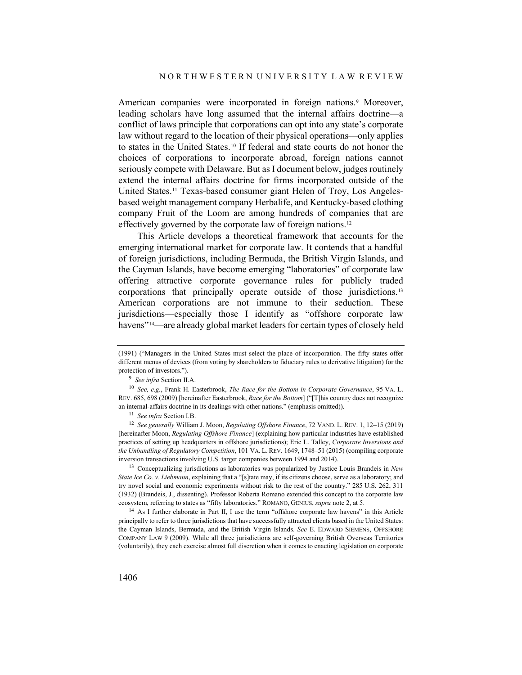<span id="page-3-7"></span>American companies were incorporated in foreign nations.<sup>[9](#page-3-0)</sup> Moreover, leading scholars have long assumed that the internal affairs doctrine—a conflict of laws principle that corporations can opt into any state's corporate law without regard to the location of their physical operations—only applies to states in the United States.[10](#page-3-1) If federal and state courts do not honor the choices of corporations to incorporate abroad, foreign nations cannot seriously compete with Delaware. But as I document below, judges routinely extend the internal affairs doctrine for firms incorporated outside of the United States.[11](#page-3-2) Texas-based consumer giant Helen of Troy, Los Angelesbased weight management company Herbalife, and Kentucky-based clothing company Fruit of the Loom are among hundreds of companies that are effectively governed by the corporate law of foreign nations.<sup>[12](#page-3-3)</sup>

<span id="page-3-6"></span>This Article develops a theoretical framework that accounts for the emerging international market for corporate law. It contends that a handful of foreign jurisdictions, including Bermuda, the British Virgin Islands, and the Cayman Islands, have become emerging "laboratories" of corporate law offering attractive corporate governance rules for publicly traded corporations that principally operate outside of those jurisdictions.[13](#page-3-4) American corporations are not immune to their seduction. These jurisdictions—especially those I identify as "offshore corporate law havens"<sup>14</sup>—are already global market leaders for certain types of closely held

<span id="page-3-4"></span><sup>13</sup> Conceptualizing jurisdictions as laboratories was popularized by Justice Louis Brandeis in *New State Ice Co. v. Liebmann*, explaining that a "[s]tate may, if its citizens choose, serve as a laboratory; and try novel social and economic experiments without risk to the rest of the country." 285 U.S. 262, 311 (1932) (Brandeis, J., dissenting). Professor Roberta Romano extended this concept to the corporate law ecosystem, referring to states as "fifty laboratories." ROMANO, GENIUS, *supra* not[e 2,](#page-1-2) at 5.

<span id="page-3-5"></span><sup>14</sup> As I further elaborate in Part II, I use the term "offshore corporate law havens" in this Article principally to refer to three jurisdictions that have successfully attracted clients based in the United States: the Cayman Islands, Bermuda, and the British Virgin Islands. *See* E. EDWARD SIEMENS, OFFSHORE COMPANY LAW 9 (2009). While all three jurisdictions are self-governing British Overseas Territories (voluntarily), they each exercise almost full discretion when it comes to enacting legislation on corporate

<span id="page-3-8"></span><sup>(1991) (&</sup>quot;Managers in the United States must select the place of incorporation. The fifty states offer different menus of devices (from voting by shareholders to fiduciary rules to derivative litigation) for the protection of investors.").

<sup>9</sup> *See infra* Section II.A.

<span id="page-3-1"></span><span id="page-3-0"></span><sup>10</sup> *See, e.g.*, Frank H. Easterbrook, *The Race for the Bottom in Corporate Governance*, 95 VA. L. REV. 685, 698 (2009) [hereinafter Easterbrook, *Race for the Bottom*] ("[T]his country does not recognize an internal-affairs doctrine in its dealings with other nations." (emphasis omitted)).

<sup>11</sup> *See infra* Section I.B.

<span id="page-3-3"></span><span id="page-3-2"></span><sup>12</sup> *See generally* William J. Moon, *Regulating Offshore Finance*, 72 VAND. L. REV. 1, 12–15 (2019) [hereinafter Moon, *Regulating Offshore Finance*] (explaining how particular industries have established practices of setting up headquarters in offshore jurisdictions); Eric L. Talley, *Corporate Inversions and the Unbundling of Regulatory Competition*, 101 VA. L. REV. 1649, 1748–51 (2015) (compiling corporate inversion transactions involving U.S. target companies between 1994 and 2014).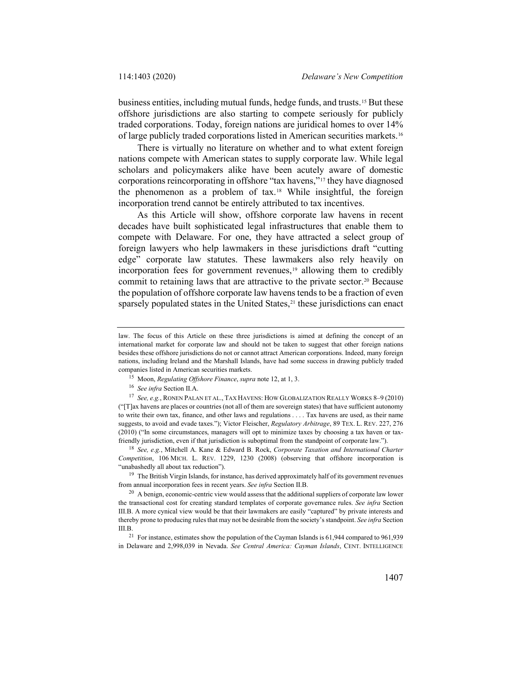business entities, including mutual funds, hedge funds, and trusts.[15](#page-4-0) But these offshore jurisdictions are also starting to compete seriously for publicly traded corporations. Today, foreign nations are juridical homes to over 14% of large publicly traded corporations listed in American securities markets.[16](#page-4-1)

<span id="page-4-7"></span>There is virtually no literature on whether and to what extent foreign nations compete with American states to supply corporate law. While legal scholars and policymakers alike have been acutely aware of domestic corporations reincorporating in offshore "tax havens,"[17](#page-4-2) they have diagnosed the phenomenon as a problem of tax.[18](#page-4-3) While insightful, the foreign incorporation trend cannot be entirely attributed to tax incentives.

<span id="page-4-8"></span>As this Article will show, offshore corporate law havens in recent decades have built sophisticated legal infrastructures that enable them to compete with Delaware. For one, they have attracted a select group of foreign lawyers who help lawmakers in these jurisdictions draft "cutting edge" corporate law statutes. These lawmakers also rely heavily on incorporation fees for government revenues, $19$  allowing them to credibly commit to retaining laws that are attractive to the private sector.<sup>[20](#page-4-5)</sup> Because the population of offshore corporate law havens tends to be a fraction of even sparsely populated states in the United States, $21$  these jurisdictions can enact

law. The focus of this Article on these three jurisdictions is aimed at defining the concept of an international market for corporate law and should not be taken to suggest that other foreign nations besides these offshore jurisdictions do not or cannot attract American corporations. Indeed, many foreign nations, including Ireland and the Marshall Islands, have had some success in drawing publicly traded companies listed in American securities markets.

<sup>15</sup> Moon, *Regulating Offshore Finance*, *supra* not[e 12,](#page-3-6) at 1, 3.

<sup>16</sup> *See infra* Section II.A.

<span id="page-4-2"></span><span id="page-4-1"></span><span id="page-4-0"></span><sup>17</sup> *See, e.g.*, RONEN PALAN ET AL., TAX HAVENS: HOW GLOBALIZATION REALLY WORKS 8–9 (2010) ("[T]ax havens are places or countries (not all of them are sovereign states) that have sufficient autonomy to write their own tax, finance, and other laws and regulations . . . . Tax havens are used, as their name suggests, to avoid and evade taxes."); Victor Fleischer, *Regulatory Arbitrage*, 89 TEX. L. REV. 227, 276 (2010) ("In some circumstances, managers will opt to minimize taxes by choosing a tax haven or taxfriendly jurisdiction, even if that jurisdiction is suboptimal from the standpoint of corporate law.").

<span id="page-4-3"></span><sup>18</sup> *See, e.g.*, Mitchell A. Kane & Edward B. Rock, *Corporate Taxation and International Charter Competition*, 106 MICH. L. REV. 1229, 1230 (2008) (observing that offshore incorporation is "unabashedly all about tax reduction").

<span id="page-4-4"></span><sup>&</sup>lt;sup>19</sup> The British Virgin Islands, for instance, has derived approximately half of its government revenues from annual incorporation fees in recent years. *See infra* Section II.B.

<span id="page-4-5"></span><sup>&</sup>lt;sup>20</sup> A benign, economic-centric view would assess that the additional suppliers of corporate law lower the transactional cost for creating standard templates of corporate governance rules. *See infra* Section III.B. A more cynical view would be that their lawmakers are easily "captured" by private interests and thereby prone to producing rules that may not be desirable from the society's standpoint. *See infra* Section III.B.

<span id="page-4-6"></span><sup>&</sup>lt;sup>21</sup> For instance, estimates show the population of the Cayman Islands is 61,944 compared to 961,939 in Delaware and 2,998,039 in Nevada. *See Central America: Cayman Islands*, CENT. INTELLIGENCE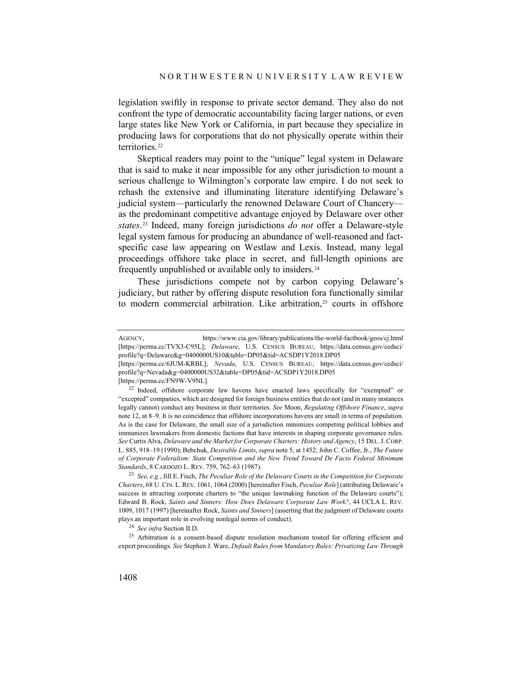legislation swiftly in response to private sector demand. They also do not confront the type of democratic accountability facing larger nations, or even large states like New York or California, in part because they specialize in producing laws for corporations that do not physically operate within their territories.<sup>[22](#page-5-0)</sup>

Skeptical readers may point to the "unique" legal system in Delaware that is said to make it near impossible for any other jurisdiction to mount a serious challenge to Wilmington's corporate law empire. I do not seek to rehash the extensive and illuminating literature identifying Delaware's judicial system—particularly the renowned Delaware Court of Chancery as the predominant competitive advantage enjoyed by Delaware over other *states*.[23](#page-5-1) Indeed, many foreign jurisdictions *do not* offer a Delaware-style legal system famous for producing an abundance of well-reasoned and factspecific case law appearing on Westlaw and Lexis. Instead, many legal proceedings offshore take place in secret, and full-length opinions are frequently unpublished or available only to insiders.[24](#page-5-2)

<span id="page-5-5"></span><span id="page-5-4"></span>These jurisdictions compete not by carbon copying Delaware's judiciary, but rather by offering dispute resolution fora functionally similar to modern commercial arbitration. Like arbitration,<sup>25</sup> courts in offshore

[https://perma.cc/FN9W-V9NL].

<sup>24</sup> *See infra* Section II.D.

<span id="page-5-3"></span><span id="page-5-2"></span><sup>25</sup> Arbitration is a consent-based dispute resolution mechanism touted for offering efficient and expert proceedings. *See* Stephen J. Ware, *Default Rules from Mandatory Rules: Privatizing Law Through* 

AGENCY, https://www.cia.gov/library/publications/the-world-factbook/geos/cj.html [https://perma.cc/TVX3-C95L]; *Delaware*, U.S. CENSUS BUREAU, https://data.census.gov/cedsci/ profile?q=Delaware&g=0400000US10&table=DP05&tid=ACSDP1Y2018.DP05

<sup>[</sup>https://perma.cc/6JUM-KRBL]; *Nevada*, U.S. CENSUS BUREAU, https://data.census.gov/cedsci/ profile?q=Nevada&g=0400000US32&table=DP05&tid=ACSDP1Y2018.DP05

<span id="page-5-0"></span><sup>22</sup> Indeed, offshore corporate law havens have enacted laws specifically for "exempted" or "excepted" companies, which are designed for foreign business entities that do not (and in many instances legally cannot) conduct any business in their territories. *See* Moon, *Regulating Offshore Finance*, *supra* not[e 12,](#page-3-6) at 8–9. It is no coincidence that offshore incorporations havens are small in terms of population. As is the case for Delaware, the small size of a jurisdiction minimizes competing political lobbies and immunizes lawmakers from domestic factions that have interests in shaping corporate governance rules. *See* Curtis Alva, *Delaware and the Market for Corporate Charters: History and Agency*, 15 DEL.J.CORP. L. 885, 918–19 (1990); Bebchuk, *Desirable Limits*, *supra* not[e 5,](#page-2-6) at 1452; John C. Coffee, Jr., *The Future of Corporate Federalism: State Competition and the New Trend Toward De Facto Federal Minimum Standards*, 8 CARDOZO L. REV. 759, 762–63 (1987).

<span id="page-5-1"></span><sup>23</sup> *See, e.g.*, Jill E. Fisch, *The Peculiar Role of the Delaware Courts in the Competition for Corporate Charters*, 68 U.CIN. L.REV. 1061, 1064 (2000) [hereinafter Fisch, *Peculiar Role*] (attributing Delaware's success in attracting corporate charters to "the unique lawmaking function of the Delaware courts"); Edward B. Rock, *Saints and Sinners: How Does Delaware Corporate Law Work?*, 44 UCLA L. REV. 1009, 1017 (1997) [hereinafter Rock, *Saints and Sinners*] (asserting that the judgment of Delaware courts plays an important role in evolving nonlegal norms of conduct).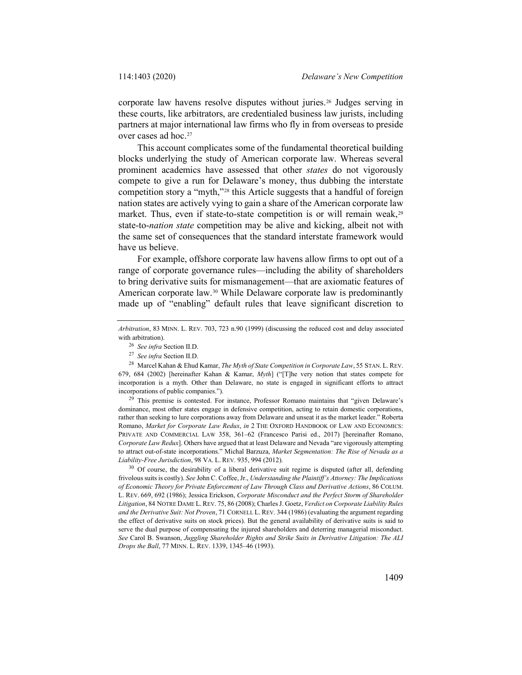corporate law havens resolve disputes without juries.[26](#page-6-0) Judges serving in these courts, like arbitrators, are credentialed business law jurists, including partners at major international law firms who fly in from overseas to preside over cases ad hoc[.27](#page-6-1)

<span id="page-6-5"></span>This account complicates some of the fundamental theoretical building blocks underlying the study of American corporate law. Whereas several prominent academics have assessed that other *states* do not vigorously compete to give a run for Delaware's money, thus dubbing the interstate competition story a "myth,"[28](#page-6-2) this Article suggests that a handful of foreign nation states are actively vying to gain a share of the American corporate law market. Thus, even if state-to-state competition is or will remain weak,<sup>[29](#page-6-3)</sup> state-to-*nation state* competition may be alive and kicking, albeit not with the same set of consequences that the standard interstate framework would have us believe.

<span id="page-6-7"></span><span id="page-6-6"></span>For example, offshore corporate law havens allow firms to opt out of a range of corporate governance rules—including the ability of shareholders to bring derivative suits for mismanagement—that are axiomatic features of American corporate law.[30](#page-6-4) While Delaware corporate law is predominantly made up of "enabling" default rules that leave significant discretion to

<span id="page-6-3"></span><sup>29</sup> This premise is contested. For instance, Professor Romano maintains that "given Delaware's dominance, most other states engage in defensive competition, acting to retain domestic corporations, rather than seeking to lure corporations away from Delaware and unseat it as the market leader." Roberta Romano, *Market for Corporate Law Redux*, *in* 2 THE OXFORD HANDBOOK OF LAW AND ECONOMICS: PRIVATE AND COMMERCIAL LAW 358, 361–62 (Francesco Parisi ed., 2017) [hereinafter Romano, *Corporate Law Redux*]. Others have argued that at least Delaware and Nevada "are vigorously attempting to attract out-of-state incorporations." Michal Barzuza, *Market Segmentation: The Rise of Nevada as a Liability-Free Jurisdiction*, 98 VA. L. REV. 935, 994 (2012).

<span id="page-6-4"></span><sup>30</sup> Of course, the desirability of a liberal derivative suit regime is disputed (after all, defending frivolous suits is costly). *See* John C. Coffee, Jr., *Understanding the Plaintiff's Attorney: The Implications of Economic Theory for Private Enforcement of Law Through Class and Derivative Actions*, 86 COLUM. L. REV. 669, 692 (1986); Jessica Erickson, *Corporate Misconduct and the Perfect Storm of Shareholder Litigation*, 84 NOTRE DAME L.REV. 75, 86 (2008); Charles J. Goetz, *Verdict on Corporate Liability Rules and the Derivative Suit: Not Proven*, 71 CORNELL L. REV. 344 (1986) (evaluating the argument regarding the effect of derivative suits on stock prices). But the general availability of derivative suits is said to serve the dual purpose of compensating the injured shareholders and deterring managerial misconduct. *See* Carol B. Swanson, *Juggling Shareholder Rights and Strike Suits in Derivative Litigation: The ALI Drops the Ball*, 77 MINN. L. REV. 1339, 1345–46 (1993).

<span id="page-6-0"></span>*Arbitration*, 83 MINN. L. REV. 703, 723 n.90 (1999) (discussing the reduced cost and delay associated with arbitration).

<sup>26</sup> *See infra* Section II.D.

<sup>27</sup> *See infra* Section II.D.

<span id="page-6-2"></span><span id="page-6-1"></span><sup>28</sup> Marcel Kahan & Ehud Kamar, *The Myth of State Competition in Corporate Law*, 55 STAN. L. REV. 679, 684 (2002) [hereinafter Kahan & Kamar, *Myth*] ("[T]he very notion that states compete for incorporation is a myth. Other than Delaware, no state is engaged in significant efforts to attract incorporations of public companies.").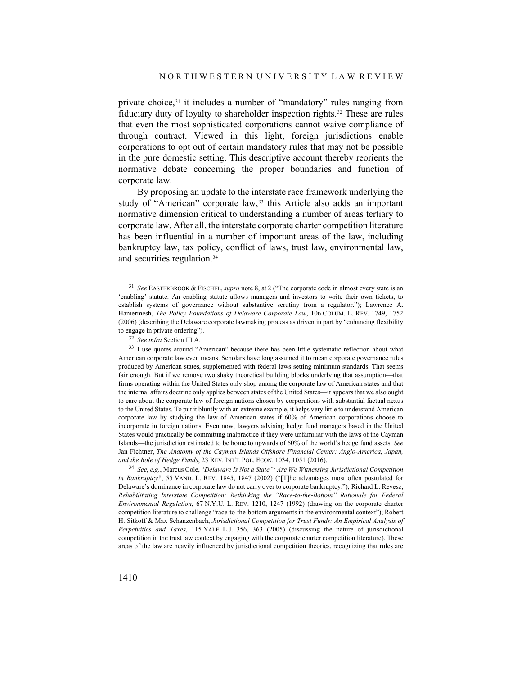<span id="page-7-4"></span>private choice,[31](#page-7-0) it includes a number of "mandatory" rules ranging from fiduciary duty of loyalty to shareholder inspection rights.[32](#page-7-1) These are rules that even the most sophisticated corporations cannot waive compliance of through contract. Viewed in this light, foreign jurisdictions enable corporations to opt out of certain mandatory rules that may not be possible in the pure domestic setting. This descriptive account thereby reorients the normative debate concerning the proper boundaries and function of corporate law.

By proposing an update to the interstate race framework underlying the study of "American" corporate law,<sup>[33](#page-7-2)</sup> this Article also adds an important normative dimension critical to understanding a number of areas tertiary to corporate law. After all, the interstate corporate charter competition literature has been influential in a number of important areas of the law, including bankruptcy law, tax policy, conflict of laws, trust law, environmental law, and securities regulation.[34](#page-7-3)

<span id="page-7-0"></span><sup>31</sup> *See* EASTERBROOK & FISCHEL, *supra* note [8,](#page-2-7) at 2 ("The corporate code in almost every state is an 'enabling' statute. An enabling statute allows managers and investors to write their own tickets, to establish systems of governance without substantive scrutiny from a regulator."); Lawrence A. Hamermesh, *The Policy Foundations of Delaware Corporate Law*, 106 COLUM. L. REV. 1749, 1752 (2006) (describing the Delaware corporate lawmaking process as driven in part by "enhancing flexibility to engage in private ordering").

<sup>32</sup> *See infra* Section III.A.

<span id="page-7-2"></span><span id="page-7-1"></span><sup>&</sup>lt;sup>33</sup> I use quotes around "American" because there has been little systematic reflection about what American corporate law even means. Scholars have long assumed it to mean corporate governance rules produced by American states, supplemented with federal laws setting minimum standards. That seems fair enough. But if we remove two shaky theoretical building blocks underlying that assumption—that firms operating within the United States only shop among the corporate law of American states and that the internal affairs doctrine only applies between states of the United States—it appears that we also ought to care about the corporate law of foreign nations chosen by corporations with substantial factual nexus to the United States. To put it bluntly with an extreme example, it helps very little to understand American corporate law by studying the law of American states if 60% of American corporations choose to incorporate in foreign nations. Even now, lawyers advising hedge fund managers based in the United States would practically be committing malpractice if they were unfamiliar with the laws of the Cayman Islands—the jurisdiction estimated to be home to upwards of 60% of the world's hedge fund assets. *See*  Jan Fichtner, *The Anatomy of the Cayman Islands Offshore Financial Center: Anglo-America, Japan, and the Role of Hedge Funds*, 23 REV. INT'L POL. ECON. 1034, 1051 (2016).

<span id="page-7-3"></span><sup>34</sup> *See, e.g.*, Marcus Cole, "*Delaware Is Not a State": Are We Witnessing Jurisdictional Competition in Bankruptcy?*, 55 VAND. L. REV. 1845, 1847 (2002) ("[T]he advantages most often postulated for Delaware's dominance in corporate law do not carry over to corporate bankruptcy."); Richard L. Revesz, *Rehabilitating Interstate Competition: Rethinking the "Race-to-the-Bottom" Rationale for Federal Environmental Regulation*, 67 N.Y.U. L. REV. 1210, 1247 (1992) (drawing on the corporate charter competition literature to challenge "race-to-the-bottom arguments in the environmental context"); Robert H. Sitkoff & Max Schanzenbach, *Jurisdictional Competition for Trust Funds: An Empirical Analysis of Perpetuities and Taxes*, 115 YALE L.J. 356, 363 (2005) (discussing the nature of jurisdictional competition in the trust law context by engaging with the corporate charter competition literature). These areas of the law are heavily influenced by jurisdictional competition theories, recognizing that rules are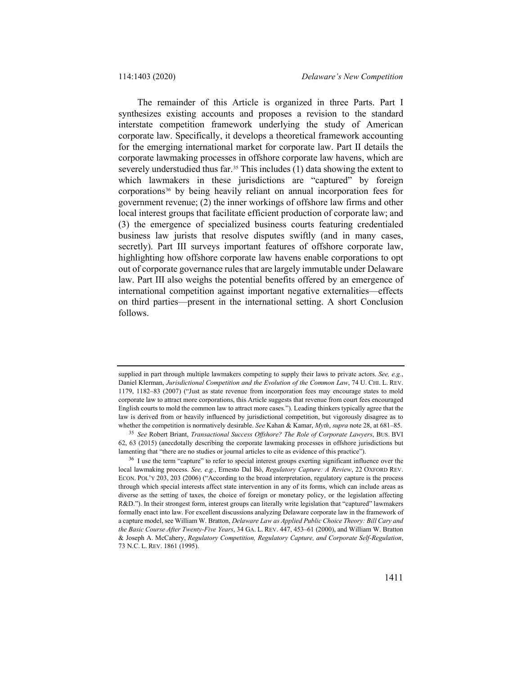<span id="page-8-2"></span>The remainder of this Article is organized in three Parts. Part I synthesizes existing accounts and proposes a revision to the standard interstate competition framework underlying the study of American corporate law. Specifically, it develops a theoretical framework accounting for the emerging international market for corporate law. Part II details the corporate lawmaking processes in offshore corporate law havens, which are severely understudied thus far.<sup>[35](#page-8-0)</sup> This includes (1) data showing the extent to which lawmakers in these jurisdictions are "captured" by foreign corporation[s36](#page-8-1) by being heavily reliant on annual incorporation fees for government revenue; (2) the inner workings of offshore law firms and other local interest groups that facilitate efficient production of corporate law; and (3) the emergence of specialized business courts featuring credentialed business law jurists that resolve disputes swiftly (and in many cases, secretly). Part III surveys important features of offshore corporate law, highlighting how offshore corporate law havens enable corporations to opt out of corporate governance rules that are largely immutable under Delaware law. Part III also weighs the potential benefits offered by an emergence of international competition against important negative externalities—effects on third parties—present in the international setting. A short Conclusion follows.

supplied in part through multiple lawmakers competing to supply their laws to private actors. *See, e.g.*, Daniel Klerman, *Jurisdictional Competition and the Evolution of the Common Law*, 74 U. CHI. L. REV. 1179, 1182–83 (2007) ("Just as state revenue from incorporation fees may encourage states to mold corporate law to attract more corporations, this Article suggests that revenue from court fees encouraged English courts to mold the common law to attract more cases."). Leading thinkers typically agree that the law is derived from or heavily influenced by jurisdictional competition, but vigorously disagree as to whether the competition is normatively desirable. *See* Kahan & Kamar, *Myth*, *supra* not[e 28,](#page-6-5) at 681–85.

<span id="page-8-0"></span><sup>35</sup> *See* Robert Briant, *Transactional Success Offshore? The Role of Corporate Lawyers*, BUS. BVI 62, 63 (2015) (anecdotally describing the corporate lawmaking processes in offshore jurisdictions but lamenting that "there are no studies or journal articles to cite as evidence of this practice").

<span id="page-8-1"></span><sup>&</sup>lt;sup>36</sup> I use the term "capture" to refer to special interest groups exerting significant influence over the local lawmaking process. *See, e.g.*, Ernesto Dal Bó, *Regulatory Capture: A Review*, 22 OXFORD REV. ECON. POL'Y 203, 203 (2006) ("According to the broad interpretation, regulatory capture is the process through which special interests affect state intervention in any of its forms, which can include areas as diverse as the setting of taxes, the choice of foreign or monetary policy, or the legislation affecting R&D."). In their strongest form, interest groups can literally write legislation that "captured" lawmakers formally enact into law. For excellent discussions analyzing Delaware corporate law in the framework of a capture model, see William W. Bratton, *Delaware Law as Applied Public Choice Theory: Bill Cary and the Basic Course After Twenty-Five Years*, 34 GA. L. REV. 447, 453–61 (2000), and William W. Bratton & Joseph A. McCahery, *Regulatory Competition, Regulatory Capture, and Corporate Self-Regulation*, 73 N.C. L. REV. 1861 (1995).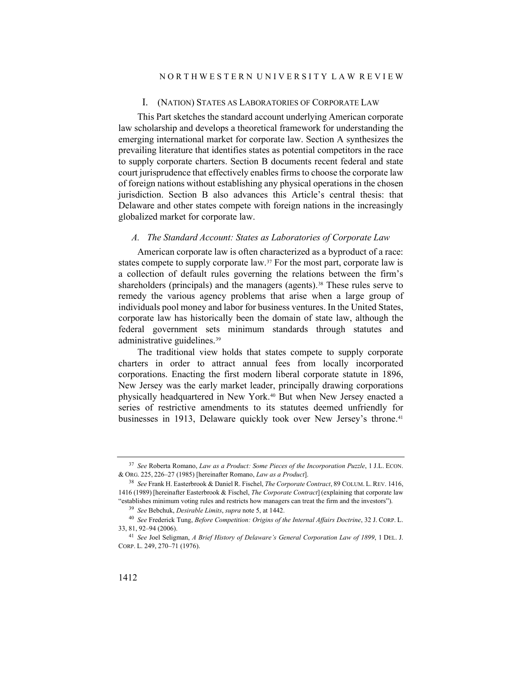#### I. (NATION) STATES AS LABORATORIES OF CORPORATE LAW

This Part sketches the standard account underlying American corporate law scholarship and develops a theoretical framework for understanding the emerging international market for corporate law. Section A synthesizes the prevailing literature that identifies states as potential competitors in the race to supply corporate charters. Section B documents recent federal and state court jurisprudence that effectively enables firms to choose the corporate law of foreign nations without establishing any physical operations in the chosen jurisdiction. Section B also advances this Article's central thesis: that Delaware and other states compete with foreign nations in the increasingly globalized market for corporate law.

#### <span id="page-9-7"></span><span id="page-9-5"></span>*A. The Standard Account: States as Laboratories of Corporate Law*

American corporate law is often characterized as a byproduct of a race: states compete to supply corporate law.[37](#page-9-0) For the most part, corporate law is a collection of default rules governing the relations between the firm's shareholders (principals) and the managers (agents).<sup>[38](#page-9-1)</sup> These rules serve to remedy the various agency problems that arise when a large group of individuals pool money and labor for business ventures. In the United States, corporate law has historically been the domain of state law, although the federal government sets minimum standards through statutes and administrative guidelines.[39](#page-9-2)

<span id="page-9-6"></span>The traditional view holds that states compete to supply corporate charters in order to attract annual fees from locally incorporated corporations. Enacting the first modern liberal corporate statute in 1896, New Jersey was the early market leader, principally drawing corporations physically headquartered in New York.[40](#page-9-3) But when New Jersey enacted a series of restrictive amendments to its statutes deemed unfriendly for businesses in 1913, Delaware quickly took over New Jersey's throne.<sup>[41](#page-9-4)</sup>

<span id="page-9-0"></span><sup>37</sup> *See* Roberta Romano, *Law as a Product: Some Pieces of the Incorporation Puzzle*, 1 J.L. ECON. & ORG. 225, 226–27 (1985) [hereinafter Romano, *Law as a Product*].

<span id="page-9-1"></span><sup>38</sup> *See* Frank H. Easterbrook & Daniel R. Fischel, *The Corporate Contract*, 89 COLUM. L. REV. 1416, 1416 (1989) [hereinafter Easterbrook & Fischel, *The Corporate Contract*] (explaining that corporate law "establishes minimum voting rules and restricts how managers can treat the firm and the investors").

<sup>39</sup> *See* Bebchuk, *Desirable Limits*, *supra* not[e 5,](#page-2-6) at 1442.

<span id="page-9-3"></span><span id="page-9-2"></span><sup>40</sup> *See* Frederick Tung, *Before Competition: Origins of the Internal Affairs Doctrine*, 32 J. CORP. L. 33, 81, 92–94 (2006).

<span id="page-9-4"></span><sup>41</sup> *See* Joel Seligman, *A Brief History of Delaware's General Corporation Law of 1899*, 1 DEL. J. CORP. L. 249, 270–71 (1976).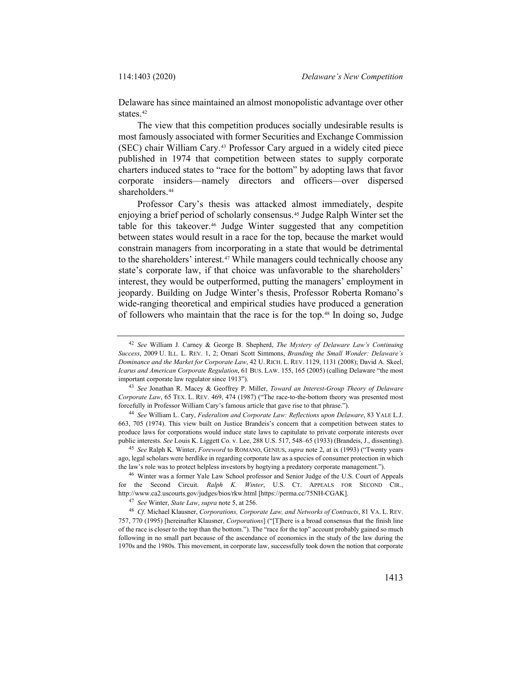Delaware has since maintained an almost monopolistic advantage over other states.<sup>[42](#page-10-0)</sup>

<span id="page-10-8"></span>The view that this competition produces socially undesirable results is most famously associated with former Securities and Exchange Commission (SEC) chair William Cary.[43](#page-10-1) Professor Cary argued in a widely cited piece published in 1974 that competition between states to supply corporate charters induced states to "race for the bottom" by adopting laws that favor corporate insiders—namely directors and officers—over dispersed shareholders.<sup>[44](#page-10-2)</sup>

<span id="page-10-9"></span>Professor Cary's thesis was attacked almost immediately, despite enjoying a brief period of scholarly consensus.[45](#page-10-3) Judge Ralph Winter set the table for this takeover.<sup>[46](#page-10-4)</sup> Judge Winter suggested that any competition between states would result in a race for the top, because the market would constrain managers from incorporating in a state that would be detrimental to the shareholders' interest.<sup>[47](#page-10-5)</sup> While managers could technically choose any state's corporate law, if that choice was unfavorable to the shareholders' interest, they would be outperformed, putting the managers' employment in jeopardy. Building on Judge Winter's thesis, Professor Roberta Romano's wide-ranging theoretical and empirical studies have produced a generation of followers who maintain that the race is for the top.[48](#page-10-6) In doing so, Judge

<span id="page-10-7"></span><span id="page-10-0"></span><sup>42</sup> *See* William J. Carney & George B. Shepherd, *The Mystery of Delaware Law's Continuing Success*, 2009 U. ILL. L. REV. 1, 2; Omari Scott Simmons, *Branding the Small Wonder: Delaware's Dominance and the Market for Corporate Law*, 42 U. RICH. L. REV. 1129, 1131 (2008); David A. Skeel, *Icarus and American Corporate Regulation*, 61 BUS. LAW. 155, 165 (2005) (calling Delaware "the most important corporate law regulator since 1913").

<span id="page-10-1"></span><sup>43</sup> *See* Jonathan R. Macey & Geoffrey P. Miller, *Toward an Interest-Group Theory of Delaware Corporate Law*, 65 TEX. L. REV. 469, 474 (1987) ("The race-to-the-bottom theory was presented most forcefully in Professor William Cary's famous article that gave rise to that phrase.").

<span id="page-10-2"></span><sup>44</sup> *See* William L. Cary, *Federalism and Corporate Law: Reflections upon Delaware*, 83 YALE L.J. 663, 705 (1974). This view built on Justice Brandeis's concern that a competition between states to produce laws for corporations would induce state laws to capitulate to private corporate interests over public interests. *See* Louis K. Liggett Co. v. Lee, 288 U.S. 517, 548–65 (1933) (Brandeis, J., dissenting).

<span id="page-10-3"></span><sup>45</sup> *See* Ralph K. Winter, *Foreword* to ROMANO, GENIUS, *supra* not[e 2,](#page-1-2) at ix (1993) ("Twenty years ago, legal scholars were herdlike in regarding corporate law as a species of consumer protection in which the law's role was to protect helpless investors by hogtying a predatory corporate management.").

<span id="page-10-4"></span><sup>46</sup> Winter was a former Yale Law School professor and Senior Judge of the U.S. Court of Appeals for the Second Circuit. *Ralph K. Winter*, U.S. CT. APPEALS FOR SECOND CIR., http://www.ca2.uscourts.gov/judges/bios/rkw.html [https://perma.cc/75NH-CGAK].

<sup>47</sup> *See* Winter, *State Law*, *supra* not[e 5,](#page-2-6) at 256.

<span id="page-10-6"></span><span id="page-10-5"></span><sup>48</sup> *Cf.* Michael Klausner, *Corporations, Corporate Law, and Networks of Contracts*, 81 VA. L. REV. 757, 770 (1995) [hereinafter Klausner, *Corporations*] ("[T]here is a broad consensus that the finish line of the race is closer to the top than the bottom."). The "race for the top" account probably gained so much following in no small part because of the ascendance of economics in the study of the law during the 1970s and the 1980s. This movement, in corporate law, successfully took down the notion that corporate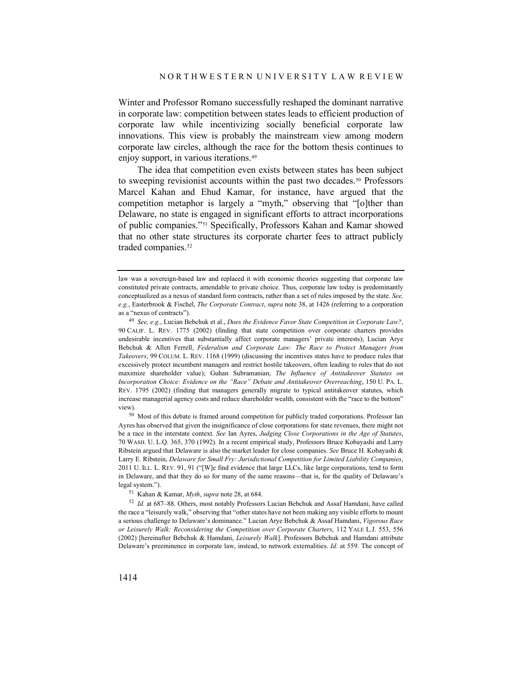Winter and Professor Romano successfully reshaped the dominant narrative in corporate law: competition between states leads to efficient production of corporate law while incentivizing socially beneficial corporate law innovations. This view is probably the mainstream view among modern corporate law circles, although the race for the bottom thesis continues to enjoy support, in various iterations.[49](#page-11-0)

The idea that competition even exists between states has been subject to sweeping revisionist accounts within the past two decades.<sup>50</sup> Professors Marcel Kahan and Ehud Kamar, for instance, have argued that the competition metaphor is largely a "myth," observing that "[o]ther than Delaware, no state is engaged in significant efforts to attract incorporations of public companies."[51](#page-11-2) Specifically, Professors Kahan and Kamar showed that no other state structures its corporate charter fees to attract publicly traded companies.<sup>52</sup>

<span id="page-11-1"></span><sup>50</sup> Most of this debate is framed around competition for publicly traded corporations. Professor Ian Ayres has observed that given the insignificance of close corporations for state revenues, there might not be a race in the interstate context. *See* Ian Ayres, *Judging Close Corporations in the Age of Statutes*, 70 WASH. U. L.Q. 365, 370 (1992). In a recent empirical study, Professors Bruce Kobayashi and Larry Ribstein argued that Delaware is also the market leader for close companies. *See* Bruce H. Kobayashi & Larry E. Ribstein, *Delaware for Small Fry: Jurisdictional Competition for Limited Liability Companies*, 2011 U. ILL. L. REV. 91, 91 ("[W]e find evidence that large LLCs, like large corporations, tend to form in Delaware, and that they do so for many of the same reasons—that is, for the quality of Delaware's legal system.").

<sup>51</sup> Kahan & Kamar, *Myth*, *supra* not[e 28,](#page-6-5) at 684.

<span id="page-11-3"></span><span id="page-11-2"></span><sup>52</sup> *Id.* at 687–88. Others, most notably Professors Lucian Bebchuk and Assaf Hamdani, have called the race a "leisurely walk," observing that "other states have not been making any visible efforts to mount a serious challenge to Delaware's dominance." Lucian Arye Bebchuk & Assaf Hamdani, *Vigorous Race or Leisurely Walk: Reconsidering the Competition over Corporate Charters*, 112 YALE L.J. 553, 556 (2002) [hereinafter Bebchuk & Hamdani, *Leisurely Walk*]. Professors Bebchuk and Hamdani attribute Delaware's preeminence in corporate law, instead, to network externalities. *Id.* at 559. The concept of

<span id="page-11-4"></span>law was a sovereign-based law and replaced it with economic theories suggesting that corporate law constituted private contracts, amendable to private choice. Thus, corporate law today is predominantly conceptualized as a nexus of standard form contracts, rather than a set of rules imposed by the state. *See, e.g.*, Easterbrook & Fischel, *The Corporate Contract*, *supra* not[e 38,](#page-9-5) at 1426 (referring to a corporation as a "nexus of contracts").

<span id="page-11-0"></span><sup>49</sup> *See, e.g.*, Lucian Bebchuk et al., *Does the Evidence Favor State Competition in Corporate Law?*, 90 CALIF. L. REV. 1775 (2002) (finding that state competition over corporate charters provides undesirable incentives that substantially affect corporate managers' private interests); Lucian Arye Bebchuk & Allen Ferrell, *Federalism and Corporate Law: The Race to Protect Managers from Takeovers*, 99 COLUM. L. REV. 1168 (1999) (discussing the incentives states have to produce rules that excessively protect incumbent managers and restrict hostile takeovers, often leading to rules that do not maximize shareholder value); Guhan Subramanian, *The Influence of Antitakeover Statutes on Incorporation Choice: Evidence on the "Race" Debate and Antitakeover Overreaching*, 150 U. PA. L. REV. 1795 (2002) (finding that managers generally migrate to typical antitakeover statutes, which increase managerial agency costs and reduce shareholder wealth, consistent with the "race to the bottom" view).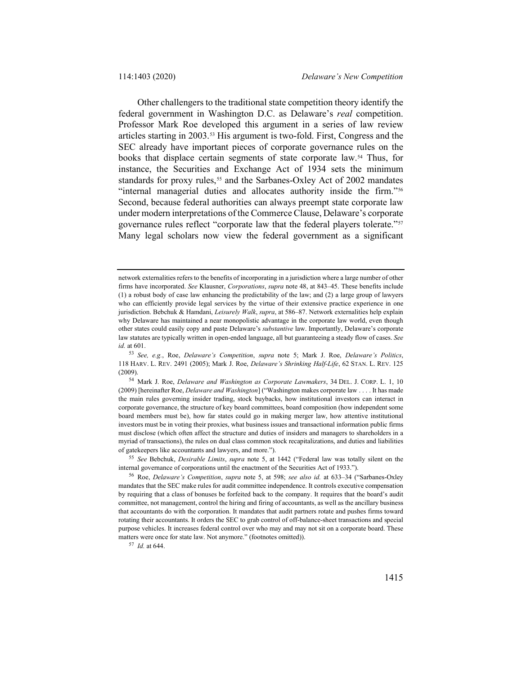<span id="page-12-5"></span>Other challengers to the traditional state competition theory identify the federal government in Washington D.C. as Delaware's *real* competition. Professor Mark Roe developed this argument in a series of law review articles starting in 2003.[53](#page-12-0) His argument is two-fold. First, Congress and the SEC already have important pieces of corporate governance rules on the books that displace certain segments of state corporate law[.54](#page-12-1) Thus, for instance, the Securities and Exchange Act of 1934 sets the minimum standards for proxy rules,<sup>[55](#page-12-2)</sup> and the Sarbanes-Oxley Act of 2002 mandates "internal managerial duties and allocates authority inside the firm."[56](#page-12-3) Second, because federal authorities can always preempt state corporate law under modern interpretations of the Commerce Clause, Delaware's corporate governance rules reflect "corporate law that the federal players tolerate."[57](#page-12-4) Many legal scholars now view the federal government as a significant

<span id="page-12-2"></span><sup>55</sup> *See* Bebchuk, *Desirable Limits*, *supra* note [5,](#page-2-6) at 1442 ("Federal law was totally silent on the internal governance of corporations until the enactment of the Securities Act of 1933.").

<span id="page-12-4"></span><sup>57</sup> *Id.* at 644.

network externalities refers to the benefits of incorporating in a jurisdiction where a large number of other firms have incorporated. *See* Klausner, *Corporations*, *supra* not[e 48,](#page-10-7) at 843–45. These benefits include (1) a robust body of case law enhancing the predictability of the law; and (2) a large group of lawyers who can efficiently provide legal services by the virtue of their extensive practice experience in one jurisdiction. Bebchuk & Hamdani, *Leisurely Walk*, *supra*, at 586–87. Network externalities help explain why Delaware has maintained a near monopolistic advantage in the corporate law world, even though other states could easily copy and paste Delaware's *substantive* law. Importantly, Delaware's corporate law statutes are typically written in open-ended language, all but guaranteeing a steady flow of cases. *See id.* at 601.

<span id="page-12-0"></span><sup>53</sup> *See, e.g.*, Roe, *Delaware's Competition*, *supra* note [5;](#page-2-6) Mark J. Roe, *Delaware's Politics*, 118 HARV. L. REV. 2491 (2005); Mark J. Roe, *Delaware's Shrinking Half-Life*, 62 STAN. L. REV. 125 (2009).

<span id="page-12-1"></span><sup>54</sup> Mark J. Roe, *Delaware and Washington as Corporate Lawmakers*, 34 DEL. J. CORP. L. 1, 10 (2009) [hereinafter Roe, *Delaware and Washington*] ("Washington makes corporate law . . . . It has made the main rules governing insider trading, stock buybacks, how institutional investors can interact in corporate governance, the structure of key board committees, board composition (how independent some board members must be), how far states could go in making merger law, how attentive institutional investors must be in voting their proxies, what business issues and transactional information public firms must disclose (which often affect the structure and duties of insiders and managers to shareholders in a myriad of transactions), the rules on dual class common stock recapitalizations, and duties and liabilities of gatekeepers like accountants and lawyers, and more.").

<span id="page-12-3"></span><sup>56</sup> Roe, *Delaware's Competition*, *supra* note [5,](#page-2-6) at 598; *see also id.* at 633–34 ("Sarbanes-Oxley mandates that the SEC make rules for audit committee independence. It controls executive compensation by requiring that a class of bonuses be forfeited back to the company. It requires that the board's audit committee, not management, control the hiring and firing of accountants, as well as the ancillary business that accountants do with the corporation. It mandates that audit partners rotate and pushes firms toward rotating their accountants. It orders the SEC to grab control of off-balance-sheet transactions and special purpose vehicles. It increases federal control over who may and may not sit on a corporate board. These matters were once for state law. Not anymore." (footnotes omitted)).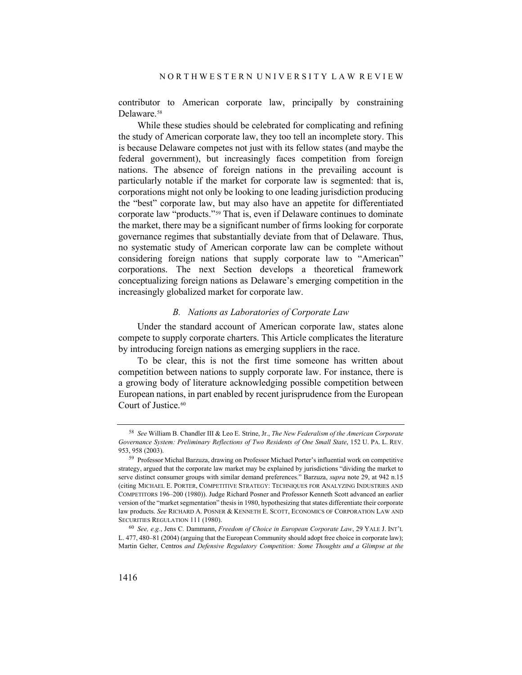contributor to American corporate law, principally by constraining Delaware.<sup>[58](#page-13-0)</sup>

While these studies should be celebrated for complicating and refining the study of American corporate law, they too tell an incomplete story. This is because Delaware competes not just with its fellow states (and maybe the federal government), but increasingly faces competition from foreign nations. The absence of foreign nations in the prevailing account is particularly notable if the market for corporate law is segmented: that is, corporations might not only be looking to one leading jurisdiction producing the "best" corporate law, but may also have an appetite for differentiated corporate law "products."[59](#page-13-1) That is, even if Delaware continues to dominate the market, there may be a significant number of firms looking for corporate governance regimes that substantially deviate from that of Delaware. Thus, no systematic study of American corporate law can be complete without considering foreign nations that supply corporate law to "American" corporations. The next Section develops a theoretical framework conceptualizing foreign nations as Delaware's emerging competition in the increasingly globalized market for corporate law.

#### *B. Nations as Laboratories of Corporate Law*

Under the standard account of American corporate law, states alone compete to supply corporate charters. This Article complicates the literature by introducing foreign nations as emerging suppliers in the race.

To be clear, this is not the first time someone has written about competition between nations to supply corporate law. For instance, there is a growing body of literature acknowledging possible competition between European nations, in part enabled by recent jurisprudence from the European Court of Justice.<sup>[60](#page-13-2)</sup>

<span id="page-13-0"></span><sup>58</sup> *See* William B. Chandler III & Leo E. Strine, Jr., *The New Federalism of the American Corporate Governance System: Preliminary Reflections of Two Residents of One Small State*, 152 U. PA. L. REV. 953, 958 (2003).

<span id="page-13-1"></span><sup>59</sup> Professor Michal Barzuza, drawing on Professor Michael Porter's influential work on competitive strategy, argued that the corporate law market may be explained by jurisdictions "dividing the market to serve distinct consumer groups with similar demand preferences." Barzuza, *supra* note [29,](#page-6-6) at 942 n.15 (citing MICHAEL E. PORTER, COMPETITIVE STRATEGY: TECHNIQUES FOR ANALYZING INDUSTRIES AND COMPETITORS 196–200 (1980)). Judge Richard Posner and Professor Kenneth Scott advanced an earlier version of the "market segmentation" thesis in 1980, hypothesizing that states differentiate their corporate law products. *See* RICHARD A. POSNER & KENNETH E. SCOTT, ECONOMICS OF CORPORATION LAW AND SECURITIES REGULATION 111 (1980).

<span id="page-13-2"></span><sup>60</sup> *See, e.g.*, Jens C. Dammann, *Freedom of Choice in European Corporate Law*, 29 YALE J. INT'L L. 477, 480–81 (2004) (arguing that the European Community should adopt free choice in corporate law); Martin Gelter, Centros *and Defensive Regulatory Competition: Some Thoughts and a Glimpse at the*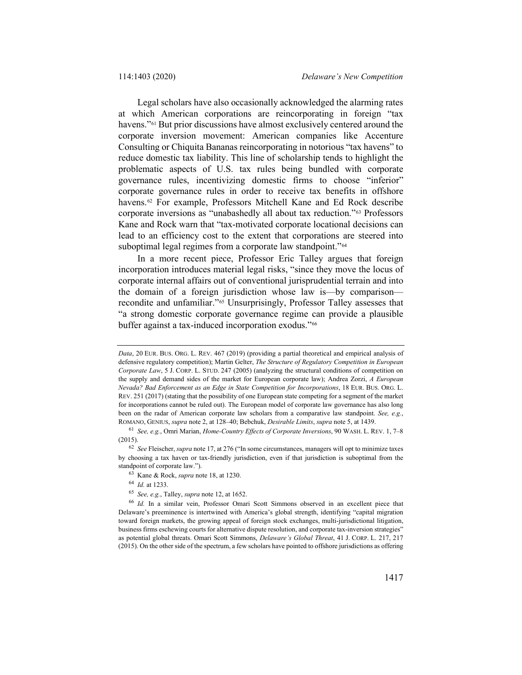<span id="page-14-6"></span>Legal scholars have also occasionally acknowledged the alarming rates at which American corporations are reincorporating in foreign "tax havens."<sup>[61](#page-14-0)</sup> But prior discussions have almost exclusively centered around the corporate inversion movement: American companies like Accenture Consulting or Chiquita Bananas reincorporating in notorious "tax havens" to reduce domestic tax liability. This line of scholarship tends to highlight the problematic aspects of U.S. tax rules being bundled with corporate governance rules, incentivizing domestic firms to choose "inferior" corporate governance rules in order to receive tax benefits in offshore havens.<sup>[62](#page-14-1)</sup> For example, Professors Mitchell Kane and Ed Rock describe corporate inversions as "unabashedly all about tax reduction."[63](#page-14-2) Professors Kane and Rock warn that "tax-motivated corporate locational decisions can lead to an efficiency cost to the extent that corporations are steered into suboptimal legal regimes from a corporate law standpoint."<sup>[64](#page-14-3)</sup>

In a more recent piece, Professor Eric Talley argues that foreign incorporation introduces material legal risks, "since they move the locus of corporate internal affairs out of conventional jurisprudential terrain and into the domain of a foreign jurisdiction whose law is—by comparison recondite and unfamiliar."[65](#page-14-4) Unsurprisingly, Professor Talley assesses that "a strong domestic corporate governance regime can provide a plausible buffer against a tax-induced incorporation exodus."[66](#page-14-5)

<sup>65</sup> *See, e.g.*, Talley, *supra* not[e 12,](#page-3-6) at 1652.

*Data*, 20 EUR. BUS. ORG. L. REV. 467 (2019) (providing a partial theoretical and empirical analysis of defensive regulatory competition); Martin Gelter, *The Structure of Regulatory Competition in European Corporate Law*, 5 J. CORP. L. STUD. 247 (2005) (analyzing the structural conditions of competition on the supply and demand sides of the market for European corporate law); Andrea Zorzi, *A European Nevada? Bad Enforcement as an Edge in State Competition for Incorporations*, 18 EUR. BUS. ORG. L. REV. 251 (2017) (stating that the possibility of one European state competing for a segment of the market for incorporations cannot be ruled out). The European model of corporate law governance has also long been on the radar of American corporate law scholars from a comparative law standpoint. *See, e.g.*, ROMANO, GENIUS, *supra* not[e 2,](#page-1-2) at 128–40; Bebchuk, *Desirable Limits*, *supra* not[e 5,](#page-2-6) at 1439.

<span id="page-14-0"></span><sup>61</sup> *See, e.g.*, Omri Marian, *Home-Country Effects of Corporate Inversions*, 90 WASH. L. REV. 1, 7–8 (2015).

<span id="page-14-2"></span><span id="page-14-1"></span><sup>62</sup> *See* Fleischer, *supra* not[e 17,](#page-4-7) at 276 ("In some circumstances, managers will opt to minimize taxes by choosing a tax haven or tax-friendly jurisdiction, even if that jurisdiction is suboptimal from the standpoint of corporate law.").

<sup>63</sup> Kane & Rock, *supra* not[e 18,](#page-4-8) at 1230.

<sup>64</sup> *Id.* at 1233.

<span id="page-14-5"></span><span id="page-14-4"></span><span id="page-14-3"></span><sup>66</sup> *Id.* In a similar vein, Professor Omari Scott Simmons observed in an excellent piece that Delaware's preeminence is intertwined with America's global strength, identifying "capital migration toward foreign markets, the growing appeal of foreign stock exchanges, multi-jurisdictional litigation, business firms eschewing courts for alternative dispute resolution, and corporate tax-inversion strategies" as potential global threats. Omari Scott Simmons, *Delaware's Global Threat*, 41 J. CORP. L. 217, 217 (2015). On the other side of the spectrum, a few scholars have pointed to offshore jurisdictions as offering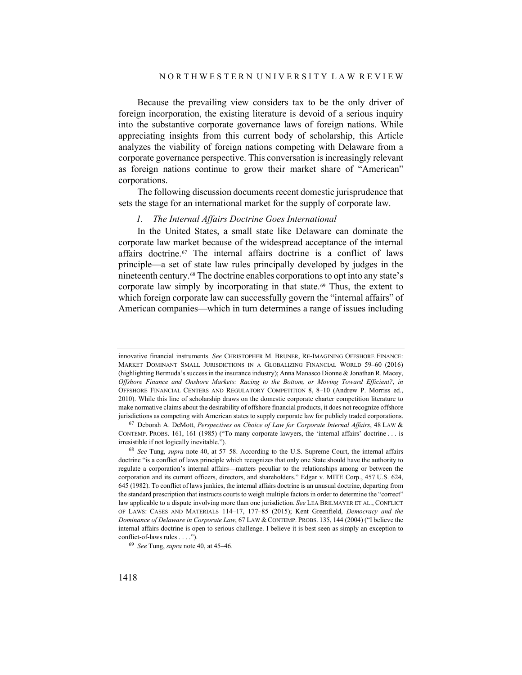Because the prevailing view considers tax to be the only driver of foreign incorporation, the existing literature is devoid of a serious inquiry into the substantive corporate governance laws of foreign nations. While appreciating insights from this current body of scholarship, this Article analyzes the viability of foreign nations competing with Delaware from a corporate governance perspective. This conversation is increasingly relevant as foreign nations continue to grow their market share of "American" corporations.

The following discussion documents recent domestic jurisprudence that sets the stage for an international market for the supply of corporate law.

#### *1. The Internal Affairs Doctrine Goes International*

In the United States, a small state like Delaware can dominate the corporate law market because of the widespread acceptance of the internal affairs doctrine.<sup>67</sup> The internal affairs doctrine is a conflict of laws principle—a set of state law rules principally developed by judges in the nineteenth century.[68](#page-15-1) The doctrine enables corporations to opt into any state's corporate law simply by incorporating in that state.<sup>[69](#page-15-2)</sup> Thus, the extent to which foreign corporate law can successfully govern the "internal affairs" of American companies—which in turn determines a range of issues including

innovative financial instruments. *See* CHRISTOPHER M. BRUNER, RE-IMAGINING OFFSHORE FINANCE: MARKET DOMINANT SMALL JURISDICTIONS IN A GLOBALIZING FINANCIAL WORLD 59–60 (2016) (highlighting Bermuda's success in the insurance industry); Anna Manasco Dionne & Jonathan R. Macey, *Offshore Finance and Onshore Markets: Racing to the Bottom, or Moving Toward Efficient?*, *in* OFFSHORE FINANCIAL CENTERS AND REGULATORY COMPETITION 8, 8–10 (Andrew P. Morriss ed., 2010). While this line of scholarship draws on the domestic corporate charter competition literature to make normative claims about the desirability of offshore financial products, it does not recognize offshore jurisdictions as competing with American states to supply corporate law for publicly traded corporations.

<span id="page-15-0"></span><sup>67</sup> Deborah A. DeMott, *Perspectives on Choice of Law for Corporate Internal Affairs*, 48 LAW & CONTEMP. PROBS. 161, 161 (1985) ("To many corporate lawyers, the 'internal affairs' doctrine . . . is irresistible if not logically inevitable.").

<span id="page-15-1"></span><sup>68</sup> *See* Tung, *supra* note [40,](#page-9-6) at 57–58. According to the U.S. Supreme Court, the internal affairs doctrine "is a conflict of laws principle which recognizes that only one State should have the authority to regulate a corporation's internal affairs—matters peculiar to the relationships among or between the corporation and its current officers, directors, and shareholders." Edgar v. MITE Corp., 457 U.S. 624, 645 (1982). To conflict of laws junkies, the internal affairs doctrine is an unusual doctrine, departing from the standard prescription that instructs courts to weigh multiple factors in order to determine the "correct" law applicable to a dispute involving more than one jurisdiction. *See* LEA BRILMAYER ET AL., CONFLICT OF LAWS: CASES AND MATERIALS 114–17, 177–85 (2015); Kent Greenfield, *Democracy and the Dominance of Delaware in Corporate Law*, 67 LAW & CONTEMP. PROBS. 135, 144 (2004) ("I believe the internal affairs doctrine is open to serious challenge. I believe it is best seen as simply an exception to conflict-of-laws rules . . . .").

<span id="page-15-2"></span><sup>69</sup> *See* Tung, *supra* not[e 40,](#page-9-6) at 45–46.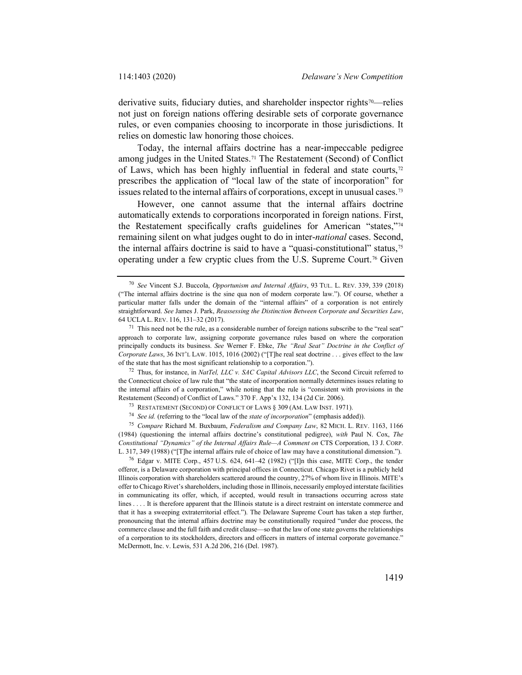derivative suits, fiduciary duties, and shareholder inspector rights<sup>[70](#page-16-0)</sup>—relies not just on foreign nations offering desirable sets of corporate governance rules, or even companies choosing to incorporate in those jurisdictions. It relies on domestic law honoring those choices.

Today, the internal affairs doctrine has a near-impeccable pedigree among judges in the United States.[71](#page-16-1) The Restatement (Second) of Conflict of Laws, which has been highly influential in federal and state courts,<sup>[72](#page-16-2)</sup> prescribes the application of "local law of the state of incorporation" for issues related to the internal affairs of corporations, except in unusual cases.[73](#page-16-3)

However, one cannot assume that the internal affairs doctrine automatically extends to corporations incorporated in foreign nations. First, the Restatement specifically crafts guidelines for American "states,"[74](#page-16-4) remaining silent on what judges ought to do in inter-*national* cases. Second, the internal affairs doctrine is said to have a "quasi-constitutional" status,<sup>[75](#page-16-5)</sup> operating under a few cryptic clues from the U.S. Supreme Court.[76](#page-16-6) Given

<span id="page-16-2"></span> $72$  Thus, for instance, in *NatTel, LLC v. SAC Capital Advisors LLC*, the Second Circuit referred to the Connecticut choice of law rule that "the state of incorporation normally determines issues relating to the internal affairs of a corporation," while noting that the rule is "consistent with provisions in the Restatement (Second) of Conflict of Laws." 370 F. App'x 132, 134 (2d Cir. 2006).

<span id="page-16-5"></span><span id="page-16-4"></span><span id="page-16-3"></span><sup>75</sup> *Compare* Richard M. Buxbaum, *Federalism and Company Law*, 82 MICH. L. REV. 1163, 1166 (1984) (questioning the internal affairs doctrine's constitutional pedigree), *with* Paul N. Cox, *The Constitutional "Dynamics" of the Internal Affairs Rule—A Comment on* CTS Corporation, 13 J. CORP. L. 317, 349 (1988) ("[T]he internal affairs rule of choice of law may have a constitutional dimension.").

<span id="page-16-6"></span><sup>76</sup> Edgar v. MITE Corp., 457 U.S. 624, 641–42 (1982) ("[I]n this case, MITE Corp., the tender offeror, is a Delaware corporation with principal offices in Connecticut. Chicago Rivet is a publicly held Illinois corporation with shareholders scattered around the country, 27% of whom live in Illinois. MITE's offer to Chicago Rivet's shareholders, including those in Illinois, necessarily employed interstate facilities in communicating its offer, which, if accepted, would result in transactions occurring across state lines . . . . It is therefore apparent that the Illinois statute is a direct restraint on interstate commerce and that it has a sweeping extraterritorial effect."). The Delaware Supreme Court has taken a step further, pronouncing that the internal affairs doctrine may be constitutionally required "under due process, the commerce clause and the full faith and credit clause—so that the law of one state governs the relationships of a corporation to its stockholders, directors and officers in matters of internal corporate governance." McDermott, Inc. v. Lewis, 531 A.2d 206, 216 (Del. 1987).

<span id="page-16-0"></span><sup>70</sup> *See* Vincent S.J. Buccola, *Opportunism and Internal Affairs*, 93 TUL. L. REV. 339, 339 (2018) ("The internal affairs doctrine is the sine qua non of modern corporate law."). Of course, whether a particular matter falls under the domain of the "internal affairs" of a corporation is not entirely straightforward. *See* James J. Park, *Reassessing the Distinction Between Corporate and Securities Law*, 64 UCLA L. REV. 116, 131–32 (2017).

<span id="page-16-1"></span> $71$  This need not be the rule, as a considerable number of foreign nations subscribe to the "real seat" approach to corporate law, assigning corporate governance rules based on where the corporation principally conducts its business. *See* Werner F. Ebke, *The "Real Seat" Doctrine in the Conflict of Corporate Laws*, 36 INT'L LAW. 1015, 1016 (2002) ("[T]he real seat doctrine . . . gives effect to the law of the state that has the most significant relationship to a corporation.").

<sup>73</sup> RESTATEMENT (SECOND) OF CONFLICT OF LAWS § 309 (AM. LAW INST. 1971).

<sup>74</sup> *See id.* (referring to the "local law of the *state of incorporation*" (emphasis added)).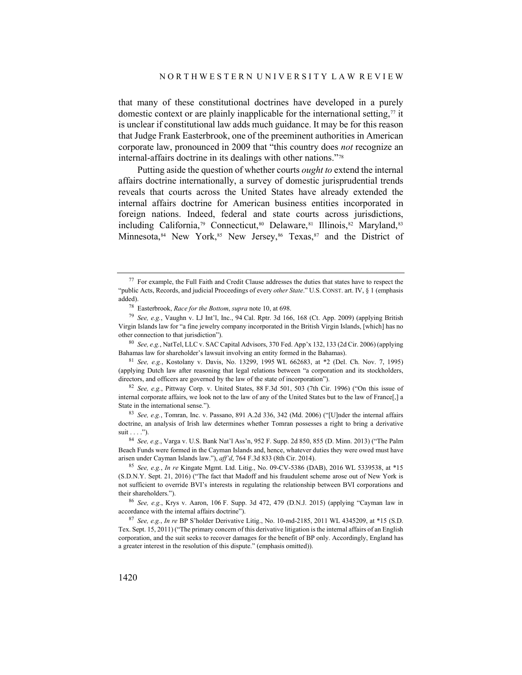that many of these constitutional doctrines have developed in a purely domestic context or are plainly inapplicable for the international setting, $\frac{7}{7}$  it is unclear if constitutional law adds much guidance. It may be for this reason that Judge Frank Easterbrook, one of the preeminent authorities in American corporate law, pronounced in 2009 that "this country does *not* recognize an internal-affairs doctrine in its dealings with other nations."[78](#page-17-1)

Putting aside the question of whether courts *ought to* extend the internal affairs doctrine internationally, a survey of domestic jurisprudential trends reveals that courts across the United States have already extended the internal affairs doctrine for American business entities incorporated in foreign nations. Indeed, federal and state courts across jurisdictions, including California,<sup>[79](#page-17-2)</sup> Connecticut,<sup>[80](#page-17-3)</sup> Delaware,<sup>[81](#page-17-4)</sup> Illinois,<sup>82</sup> Maryland,<sup>[83](#page-17-6)</sup> Minnesota, [84](#page-17-7) New York, [85](#page-17-8) New Jersey, [86](#page-17-9) Texas, 87 and the District of

<span id="page-17-0"></span><sup>77</sup> For example, the Full Faith and Credit Clause addresses the duties that states have to respect the "public Acts, Records, and judicial Proceedings of every *other State*." U.S. CONST. art. IV, § 1 (emphasis added).

<sup>78</sup> Easterbrook, *Race for the Bottom*, *supra* not[e 10,](#page-3-7) at 698.

<span id="page-17-2"></span><span id="page-17-1"></span><sup>79</sup> *See, e.g.*, Vaughn v. LJ Int'l, Inc., 94 Cal. Rptr. 3d 166, 168 (Ct. App. 2009) (applying British Virgin Islands law for "a fine jewelry company incorporated in the British Virgin Islands, [which] has no other connection to that jurisdiction").

<span id="page-17-3"></span><sup>80</sup> *See, e.g.*, NatTel, LLC v. SAC Capital Advisors, 370 Fed. App'x 132, 133 (2d Cir. 2006) (applying Bahamas law for shareholder's lawsuit involving an entity formed in the Bahamas).

<span id="page-17-4"></span><sup>81</sup> *See, e.g.*, Kostolany v. Davis, No. 13299, 1995 WL 662683, at \*2 (Del. Ch. Nov. 7, 1995) (applying Dutch law after reasoning that legal relations between "a corporation and its stockholders, directors, and officers are governed by the law of the state of incorporation").

<span id="page-17-5"></span><sup>82</sup> *See, e.g.*, Pittway Corp. v. United States, 88 F.3d 501, 503 (7th Cir. 1996) ("On this issue of internal corporate affairs, we look not to the law of any of the United States but to the law of France[,] a State in the international sense.").

<span id="page-17-6"></span><sup>83</sup> *See, e.g.*, Tomran, Inc. v. Passano, 891 A.2d 336, 342 (Md. 2006) ("[U]nder the internal affairs doctrine, an analysis of Irish law determines whether Tomran possesses a right to bring a derivative suit . . . .").

<span id="page-17-7"></span><sup>84</sup> *See, e.g.*, Varga v. U.S. Bank Nat'l Ass'n, 952 F. Supp. 2d 850, 855 (D. Minn. 2013) ("The Palm Beach Funds were formed in the Cayman Islands and, hence, whatever duties they were owed must have arisen under Cayman Islands law."), *aff'd*, 764 F.3d 833 (8th Cir. 2014).

<span id="page-17-8"></span><sup>85</sup> *See, e.g.*, *In re* Kingate Mgmt. Ltd. Litig., No. 09-CV-5386 (DAB), 2016 WL 5339538, at \*15 (S.D.N.Y. Sept. 21, 2016) ("The fact that Madoff and his fraudulent scheme arose out of New York is not sufficient to override BVI's interests in regulating the relationship between BVI corporations and their shareholders.").

<span id="page-17-9"></span><sup>86</sup> *See, e.g.*, Krys v. Aaron, 106 F. Supp. 3d 472, 479 (D.N.J. 2015) (applying "Cayman law in accordance with the internal affairs doctrine").

<span id="page-17-10"></span><sup>87</sup> *See, e.g.*, *In re* BP S'holder Derivative Litig., No. 10-md-2185, 2011 WL 4345209, at \*15 (S.D. Tex. Sept. 15, 2011) ("The primary concern of this derivative litigation is the internal affairs of an English corporation, and the suit seeks to recover damages for the benefit of BP only. Accordingly, England has a greater interest in the resolution of this dispute." (emphasis omitted)).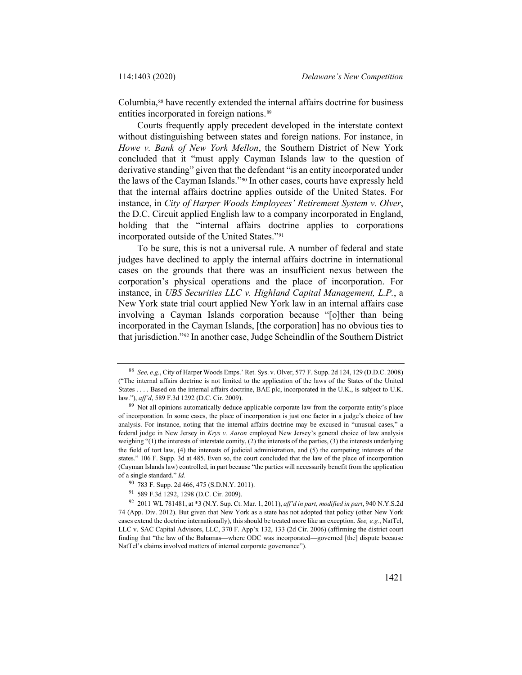Columbia,<sup>[88](#page-18-0)</sup> have recently extended the internal affairs doctrine for business entities incorporated in foreign nations.<sup>[89](#page-18-1)</sup>

Courts frequently apply precedent developed in the interstate context without distinguishing between states and foreign nations. For instance, in *Howe v. Bank of New York Mellon*, the Southern District of New York concluded that it "must apply Cayman Islands law to the question of derivative standing" given that the defendant "is an entity incorporated under the laws of the Cayman Islands."[90](#page-18-2) In other cases, courts have expressly held that the internal affairs doctrine applies outside of the United States. For instance, in *City of Harper Woods Employees' Retirement System v. Olver*, the D.C. Circuit applied English law to a company incorporated in England, holding that the "internal affairs doctrine applies to corporations incorporated outside of the United States."[91](#page-18-3)

To be sure, this is not a universal rule. A number of federal and state judges have declined to apply the internal affairs doctrine in international cases on the grounds that there was an insufficient nexus between the corporation's physical operations and the place of incorporation. For instance, in *UBS Securities LLC v. Highland Capital Management, L.P.*, a New York state trial court applied New York law in an internal affairs case involving a Cayman Islands corporation because "[o]ther than being incorporated in the Cayman Islands, [the corporation] has no obvious ties to that jurisdiction."[92](#page-18-4) In another case, Judge Scheindlin of the Southern District

<span id="page-18-0"></span><sup>88</sup> *See, e.g.*, City of Harper Woods Emps.' Ret. Sys. v. Olver, 577 F. Supp. 2d 124, 129 (D.D.C. 2008) ("The internal affairs doctrine is not limited to the application of the laws of the States of the United States . . . . Based on the internal affairs doctrine, BAE plc, incorporated in the U.K., is subject to U.K. law."), *aff'd*, 589 F.3d 1292 (D.C. Cir. 2009).

<span id="page-18-1"></span><sup>&</sup>lt;sup>89</sup> Not all opinions automatically deduce applicable corporate law from the corporate entity's place of incorporation. In some cases, the place of incorporation is just one factor in a judge's choice of law analysis. For instance, noting that the internal affairs doctrine may be excused in "unusual cases," a federal judge in New Jersey in *Krys v. Aaron* employed New Jersey's general choice of law analysis weighing "(1) the interests of interstate comity, (2) the interests of the parties, (3) the interests underlying the field of tort law, (4) the interests of judicial administration, and (5) the competing interests of the states." 106 F. Supp. 3d at 485. Even so, the court concluded that the law of the place of incorporation (Cayman Islands law) controlled, in part because "the parties will necessarily benefit from the application of a single standard." *Id.*

<sup>90</sup> 783 F. Supp. 2d 466, 475 (S.D.N.Y. 2011).

<sup>91</sup> 589 F.3d 1292, 1298 (D.C. Cir. 2009).

<span id="page-18-4"></span><span id="page-18-3"></span><span id="page-18-2"></span><sup>92</sup> 2011 WL 781481, at \*3 (N.Y. Sup. Ct. Mar. 1, 2011), *aff'd in part, modified in part*, 940 N.Y.S.2d 74 (App. Div. 2012). But given that New York as a state has not adopted that policy (other New York cases extend the doctrine internationally), this should be treated more like an exception. *See, e.g.*, NatTel, LLC v. SAC Capital Advisors, LLC, 370 F. App'x 132, 133 (2d Cir. 2006) (affirming the district court finding that "the law of the Bahamas—where ODC was incorporated—governed [the] dispute because NatTel's claims involved matters of internal corporate governance").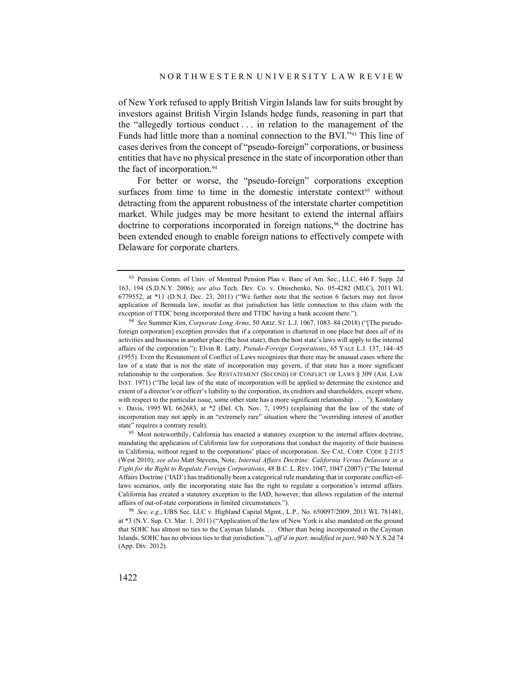of New York refused to apply British Virgin Islands law for suits brought by investors against British Virgin Islands hedge funds, reasoning in part that the "allegedly tortious conduct . . . in relation to the management of the Funds had little more than a nominal connection to the BVI."[93](#page-19-0) This line of cases derives from the concept of "pseudo-foreign" corporations, or business entities that have no physical presence in the state of incorporation other than the fact of incorporation.<sup>[94](#page-19-1)</sup>

For better or worse, the "pseudo-foreign" corporations exception surfaces from time to time in the domestic interstate context<sup>[95](#page-19-2)</sup> without detracting from the apparent robustness of the interstate charter competition market. While judges may be more hesitant to extend the internal affairs doctrine to corporations incorporated in foreign nations,<sup>[96](#page-19-3)</sup> the doctrine has been extended enough to enable foreign nations to effectively compete with Delaware for corporate charters.

<span id="page-19-0"></span><sup>93</sup> Pension Comm. of Univ. of Montreal Pension Plan v. Banc of Am. Sec., LLC, 446 F. Supp. 2d 163, 194 (S.D.N.Y. 2006); *see also* Tech. Dev. Co. v. Onischenko, No. 05-4282 (MLC), 2011 WL 6779552, at \*11 (D.N.J. Dec. 23, 2011) ("We further note that the section 6 factors may not favor application of Bermuda law, insofar as that jurisdiction has little connection to this claim with the exception of TTDC being incorporated there and TTDC having a bank account there.").

<span id="page-19-1"></span><sup>94</sup> *See* Summer Kim, *Corporate Long Arms*, 50 ARIZ. ST. L.J. 1067, 1083–84 (2018) ("[The pseudoforeign corporation] exception provides that if a corporation is chartered in one place but does *all* of its activities and business in another place (the host state), then the host state's laws will apply to the internal affairs of the corporation."); Elvin R. Latty, *Pseudo-Foreign Corporations*, 65 YALE L.J. 137, 144–45 (1955). Even the Restatement of Conflict of Laws recognizes that there may be unusual cases where the law of a state that is not the state of incorporation may govern, if that state has a more significant relationship to the corporation. *See* RESTATEMENT (SECOND) OF CONFLICT OF LAWS § 309 (AM. LAW INST. 1971) ("The local law of the state of incorporation will be applied to determine the existence and extent of a director's or officer's liability to the corporation, its creditors and shareholders, except where, with respect to the particular issue, some other state has a more significant relationship . . . ."); Kostolany v. Davis, 1995 WL 662683, at \*2 (Del. Ch. Nov. 7, 1995) (explaining that the law of the state of incorporation may not apply in an "extremely rare" situation where the "overriding interest of another state" requires a contrary result).

<span id="page-19-2"></span><sup>&</sup>lt;sup>95</sup> Most noteworthily, California has enacted a statutory exception to the internal affairs doctrine, mandating the application of California law for corporations that conduct the majority of their business in California, without regard to the corporations' place of incorporation. *See* CAL. CORP. CODE § 2115 (West 2010); *see also* Matt Stevens, Note, *Internal Affairs Doctrine: California Versus Delaware in a Fight for the Right to Regulate Foreign Corporations*, 48 B.C. L. REV. 1047, 1047 (2007) ("The Internal Affairs Doctrine ('IAD') has traditionally been a categorical rule mandating that in corporate conflict-oflaws scenarios, only the incorporating state has the right to regulate a corporation's internal affairs. California has created a statutory exception to the IAD, however, that allows regulation of the internal affairs of out-of-state corporations in limited circumstances.").

<span id="page-19-3"></span><sup>96</sup> *See, e.g.*, UBS Sec. LLC v. Highland Capital Mgmt., L.P., No. 650097/2009, 2011 WL 781481, at \*3 (N.Y. Sup. Ct. Mar. 1, 2011) ("Application of the law of New York is also mandated on the ground that SOHC has almost no ties to the Cayman Islands. . . . Other than being incorporated in the Cayman Islands, SOHC has no obvious ties to that jurisdiction."), *aff'd in part, modified in part*, 940 N.Y.S.2d 74 (App. Div. 2012).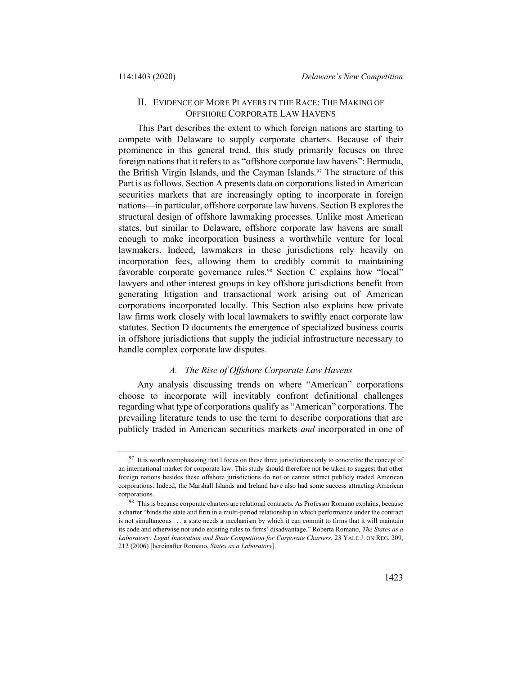## II. EVIDENCE OF MORE PLAYERS IN THE RACE: THE MAKING OF OFFSHORE CORPORATE LAW HAVENS

This Part describes the extent to which foreign nations are starting to compete with Delaware to supply corporate charters. Because of their prominence in this general trend, this study primarily focuses on three foreign nations that it refers to as "offshore corporate law havens": Bermuda, the British Virgin Islands, and the Cayman Islands.<sup>[97](#page-20-0)</sup> The structure of this Part is as follows. Section A presents data on corporations listed in American securities markets that are increasingly opting to incorporate in foreign nations—in particular, offshore corporate law havens. Section B explores the structural design of offshore lawmaking processes. Unlike most American states, but similar to Delaware, offshore corporate law havens are small enough to make incorporation business a worthwhile venture for local lawmakers. Indeed, lawmakers in these jurisdictions rely heavily on incorporation fees, allowing them to credibly commit to maintaining favorable corporate governance rules.<sup>[98](#page-20-1)</sup> Section C explains how "local" lawyers and other interest groups in key offshore jurisdictions benefit from generating litigation and transactional work arising out of American corporations incorporated locally. This Section also explains how private law firms work closely with local lawmakers to swiftly enact corporate law statutes. Section D documents the emergence of specialized business courts in offshore jurisdictions that supply the judicial infrastructure necessary to handle complex corporate law disputes.

## <span id="page-20-2"></span>*A. The Rise of Offshore Corporate Law Havens*

Any analysis discussing trends on where "American" corporations choose to incorporate will inevitably confront definitional challenges regarding what type of corporations qualify as "American" corporations. The prevailing literature tends to use the term to describe corporations that are publicly traded in American securities markets *and* incorporated in one of

<span id="page-20-0"></span> $97$  It is worth reemphasizing that I focus on these three jurisdictions only to concretize the concept of an international market for corporate law. This study should therefore not be taken to suggest that other foreign nations besides these offshore jurisdictions do not or cannot attract publicly traded American corporations. Indeed, the Marshall Islands and Ireland have also had some success attracting American corporations.

<span id="page-20-1"></span><sup>98</sup> This is because corporate charters are relational contracts. As Professor Romano explains, because a charter "binds the state and firm in a multi-period relationship in which performance under the contract is not simultaneous . . . a state needs a mechanism by which it can commit to firms that it will maintain its code and otherwise not undo existing rules to firms' disadvantage." Roberta Romano, *The States as a Laboratory: Legal Innovation and State Competition for Corporate Charters*, 23 YALE J. ON REG. 209, 212 (2006) [hereinafter Romano, *States as a Laboratory*].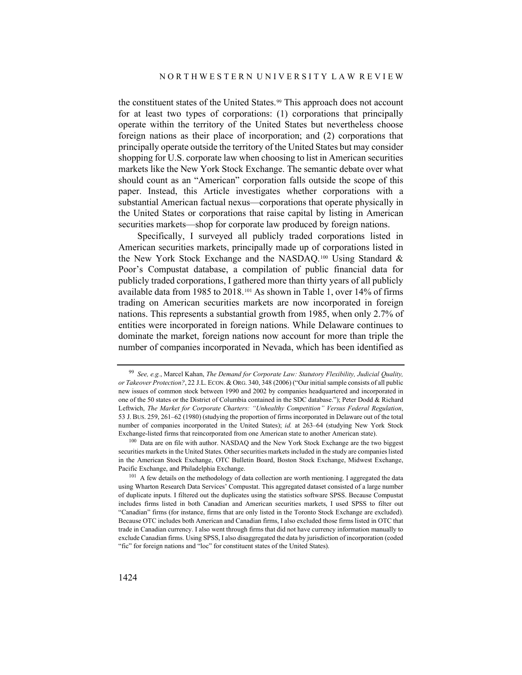the constituent states of the United States.<sup>99</sup> This approach does not account for at least two types of corporations: (1) corporations that principally operate within the territory of the United States but nevertheless choose foreign nations as their place of incorporation; and (2) corporations that principally operate outside the territory of the United States but may consider shopping for U.S. corporate law when choosing to list in American securities markets like the New York Stock Exchange. The semantic debate over what should count as an "American" corporation falls outside the scope of this paper. Instead, this Article investigates whether corporations with a substantial American factual nexus—corporations that operate physically in the United States or corporations that raise capital by listing in American securities markets—shop for corporate law produced by foreign nations.

Specifically, I surveyed all publicly traded corporations listed in American securities markets, principally made up of corporations listed in the New York Stock Exchange and the NASDAQ.[100](#page-21-1) Using Standard & Poor's Compustat database, a compilation of public financial data for publicly traded corporations, I gathered more than thirty years of all publicly available data from 1985 to 2018.[101](#page-21-2) As shown in Table 1, over 14% of firms trading on American securities markets are now incorporated in foreign nations. This represents a substantial growth from 1985, when only 2.7% of entities were incorporated in foreign nations. While Delaware continues to dominate the market, foreign nations now account for more than triple the number of companies incorporated in Nevada, which has been identified as

<span id="page-21-0"></span><sup>99</sup> *See, e.g.*, Marcel Kahan, *The Demand for Corporate Law: Statutory Flexibility, Judicial Quality, or Takeover Protection?*, 22 J.L. ECON. & ORG. 340, 348 (2006) ("Our initial sample consists of all public new issues of common stock between 1990 and 2002 by companies headquartered and incorporated in one of the 50 states or the District of Columbia contained in the SDC database."); Peter Dodd & Richard Leftwich, *The Market for Corporate Charters: "Unhealthy Competition" Versus Federal Regulation*, 53 J. BUS. 259, 261–62 (1980) (studying the proportion of firms incorporated in Delaware out of the total number of companies incorporated in the United States); *id.* at 263–64 (studying New York Stock Exchange-listed firms that reincorporated from one American state to another American state).

<span id="page-21-1"></span><sup>&</sup>lt;sup>100</sup> Data are on file with author. NASDAQ and the New York Stock Exchange are the two biggest securities markets in the United States. Other securities markets included in the study are companies listed in the American Stock Exchange, OTC Bulletin Board, Boston Stock Exchange, Midwest Exchange, Pacific Exchange, and Philadelphia Exchange.

<span id="page-21-2"></span><sup>&</sup>lt;sup>101</sup> A few details on the methodology of data collection are worth mentioning. I aggregated the data using Wharton Research Data Services' Compustat. This aggregated dataset consisted of a large number of duplicate inputs. I filtered out the duplicates using the statistics software SPSS. Because Compustat includes firms listed in both Canadian and American securities markets, I used SPSS to filter out "Canadian" firms (for instance, firms that are only listed in the Toronto Stock Exchange are excluded). Because OTC includes both American and Canadian firms, I also excluded those firms listed in OTC that trade in Canadian currency. I also went through firms that did not have currency information manually to exclude Canadian firms. Using SPSS, I also disaggregated the data by jurisdiction of incorporation (coded "fic" for foreign nations and "loc" for constituent states of the United States).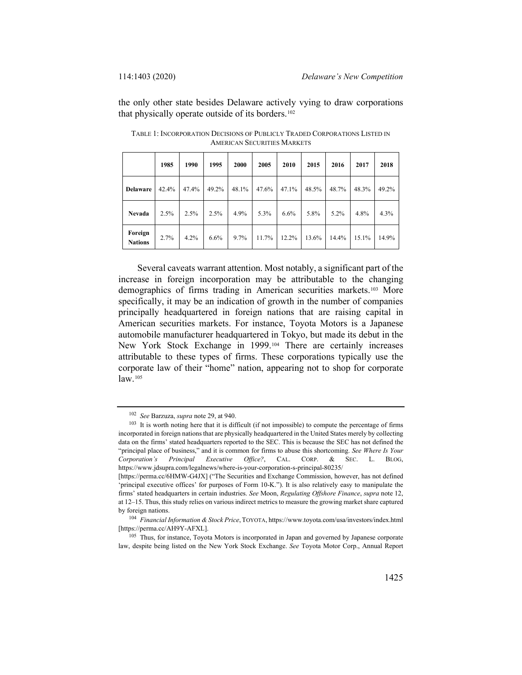the only other state besides Delaware actively vying to draw corporations that physically operate outside of its borders.<sup>[102](#page-22-0)</sup>

|                           | 1985  | 1990  | 1995  | 2000  | 2005  | 2010  | 2015  | 2016  | 2017  | 2018  |
|---------------------------|-------|-------|-------|-------|-------|-------|-------|-------|-------|-------|
| <b>Delaware</b>           | 42.4% | 47.4% | 49.2% | 48.1% | 47.6% | 47.1% | 48.5% | 48.7% | 48.3% | 49.2% |
| Nevada                    | 2.5%  | 2.5%  | 2.5%  | 4.9%  | 5.3%  | 6.6%  | 5.8%  | 5.2%  | 4.8%  | 4.3%  |
| Foreign<br><b>Nations</b> | 2.7%  | 4.2%  | 6.6%  | 9.7%  | 11.7% | 12.2% | 13.6% | 14.4% | 15.1% | 14.9% |

TABLE 1: INCORPORATION DECISIONS OF PUBLICLY TRADED CORPORATIONS LISTED IN AMERICAN SECURITIES MARKETS

Several caveats warrant attention. Most notably, a significant part of the increase in foreign incorporation may be attributable to the changing demographics of firms trading in American securities markets.[103](#page-22-1) More specifically, it may be an indication of growth in the number of companies principally headquartered in foreign nations that are raising capital in American securities markets. For instance, Toyota Motors is a Japanese automobile manufacturer headquartered in Tokyo, but made its debut in the New York Stock Exchange in 1999.[104](#page-22-2) There are certainly increases attributable to these types of firms. These corporations typically use the corporate law of their "home" nation, appearing not to shop for corporate law.[105](#page-22-3)

<sup>102</sup> *See* Barzuza, *supra* not[e 29,](#page-6-6) at 940.

<span id="page-22-1"></span><span id="page-22-0"></span><sup>&</sup>lt;sup>103</sup> It is worth noting here that it is difficult (if not impossible) to compute the percentage of firms incorporated in foreign nations that are physically headquartered in the United States merely by collecting data on the firms' stated headquarters reported to the SEC. This is because the SEC has not defined the "principal place of business," and it is common for firms to abuse this shortcoming. *See Where Is Your Corporation's Principal Executive Office?*, CAL. CORP. & SEC. L. BLOG, https://www.jdsupra.com/legalnews/where-is-your-corporation-s-principal-80235/

<sup>[</sup>https://perma.cc/6HMW-G4JX] ("The Securities and Exchange Commission, however, has not defined 'principal executive offices' for purposes of Form 10-K."). It is also relatively easy to manipulate the firms' stated headquarters in certain industries. *See* Moon, *Regulating Offshore Finance*, *supra* note [12,](#page-3-6)  at 12–15. Thus, this study relies on various indirect metrics to measure the growing market share captured by foreign nations.

<span id="page-22-2"></span><sup>104</sup> *Financial Information & Stock Price*, TOYOTA, https://www.toyota.com/usa/investors/index.html [https://perma.cc/AH9Y-AFXL].

<span id="page-22-3"></span><sup>105</sup> Thus, for instance, Toyota Motors is incorporated in Japan and governed by Japanese corporate law, despite being listed on the New York Stock Exchange. *See* Toyota Motor Corp., Annual Report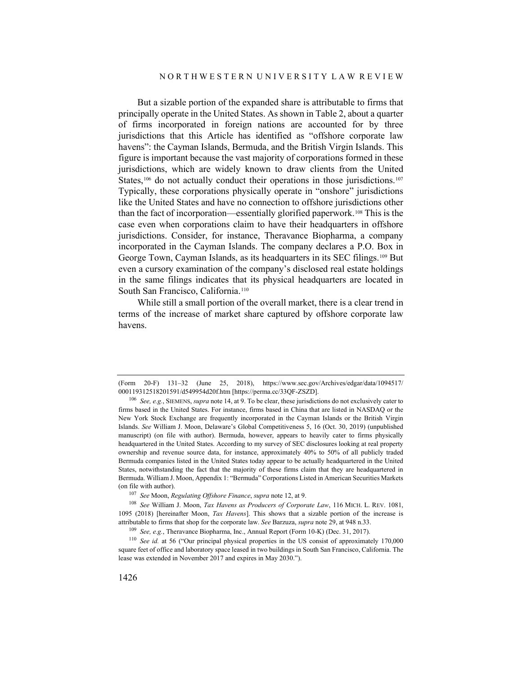But a sizable portion of the expanded share is attributable to firms that principally operate in the United States. As shown in Table 2, about a quarter of firms incorporated in foreign nations are accounted for by three jurisdictions that this Article has identified as "offshore corporate law havens": the Cayman Islands, Bermuda, and the British Virgin Islands. This figure is important because the vast majority of corporations formed in these jurisdictions, which are widely known to draw clients from the United States,<sup>106</sup> do not actually conduct their operations in those jurisdictions.<sup>[107](#page-23-1)</sup> Typically, these corporations physically operate in "onshore" jurisdictions like the United States and have no connection to offshore jurisdictions other than the fact of incorporation—essentially glorified paperwork.[108](#page-23-2) This is the case even when corporations claim to have their headquarters in offshore jurisdictions. Consider, for instance, Theravance Biopharma, a company incorporated in the Cayman Islands. The company declares a P.O. Box in George Town, Cayman Islands, as its headquarters in its SEC filings.[109](#page-23-3) But even a cursory examination of the company's disclosed real estate holdings in the same filings indicates that its physical headquarters are located in South San Francisco, California.[110](#page-23-4)

<span id="page-23-5"></span>While still a small portion of the overall market, there is a clear trend in terms of the increase of market share captured by offshore corporate law havens.

<sup>(</sup>Form 20-F) 131–32 (June 25, 2018), https://www.sec.gov/Archives/edgar/data/1094517/ 000119312518201591/d549954d20f.htm [https://perma.cc/33QF-ZSZD].

<span id="page-23-0"></span><sup>106</sup> *See, e.g.*, SIEMENS, *supra* not[e 14,](#page-3-8) at 9. To be clear, these jurisdictions do not exclusively cater to firms based in the United States. For instance, firms based in China that are listed in NASDAQ or the New York Stock Exchange are frequently incorporated in the Cayman Islands or the British Virgin Islands. *See* William J. Moon, Delaware's Global Competitiveness 5, 16 (Oct. 30, 2019) (unpublished manuscript) (on file with author). Bermuda, however, appears to heavily cater to firms physically headquartered in the United States. According to my survey of SEC disclosures looking at real property ownership and revenue source data, for instance, approximately 40% to 50% of all publicly traded Bermuda companies listed in the United States today appear to be actually headquartered in the United States, notwithstanding the fact that the majority of these firms claim that they are headquartered in Bermuda. William J. Moon, Appendix 1: "Bermuda" Corporations Listed in American Securities Markets (on file with author). 107 *See* Moon, *Regulating Offshore Finance*, *supra* not[e 12,](#page-3-6) at 9.

<span id="page-23-2"></span><span id="page-23-1"></span><sup>108</sup> *See* William J. Moon, *Tax Havens as Producers of Corporate Law*, 116 MICH. L. REV. 1081, 1095 (2018) [hereinafter Moon, *Tax Havens*]. This shows that a sizable portion of the increase is attributable to firms that shop for the corporate law. *See* Barzuza, *supra* note [29,](#page-6-6) at 948 n.33.

<sup>109</sup> *See, e.g.*, Theravance Biopharma, Inc., Annual Report (Form 10-K) (Dec. 31, 2017).

<span id="page-23-4"></span><span id="page-23-3"></span><sup>110</sup> *See id.* at 56 ("Our principal physical properties in the US consist of approximately 170,000 square feet of office and laboratory space leased in two buildings in South San Francisco, California. The lease was extended in November 2017 and expires in May 2030.").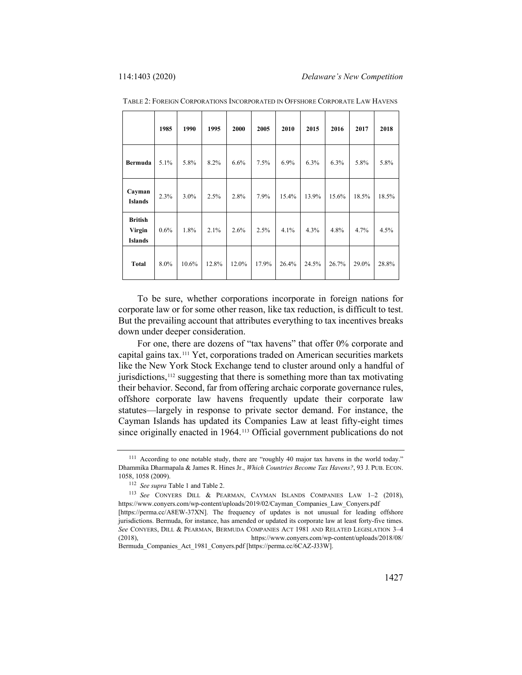|                                            | 1985 | 1990    | 1995  | 2000  | 2005  | 2010  | 2015  | 2016  | 2017  | 2018  |
|--------------------------------------------|------|---------|-------|-------|-------|-------|-------|-------|-------|-------|
| Bermuda                                    | 5.1% | 5.8%    | 8.2%  | 6.6%  | 7.5%  | 6.9%  | 6.3%  | 6.3%  | 5.8%  | 5.8%  |
| Cayman<br><b>Islands</b>                   | 2.3% | $3.0\%$ | 2.5%  | 2.8%  | 7.9%  | 15.4% | 13.9% | 15.6% | 18.5% | 18.5% |
| <b>British</b><br>Virgin<br><b>Islands</b> | 0.6% | 1.8%    | 2.1%  | 2.6%  | 2.5%  | 4.1%  | 4.3%  | 4.8%  | 4.7%  | 4.5%  |
| <b>Total</b>                               | 8.0% | 10.6%   | 12.8% | 12.0% | 17.9% | 26.4% | 24.5% | 26.7% | 29.0% | 28.8% |

TABLE 2: FOREIGN CORPORATIONS INCORPORATED IN OFFSHORE CORPORATE LAW HAVENS

To be sure, whether corporations incorporate in foreign nations for corporate law or for some other reason, like tax reduction, is difficult to test. But the prevailing account that attributes everything to tax incentives breaks down under deeper consideration.

For one, there are dozens of "tax havens" that offer 0% corporate and capital gains tax.[111](#page-24-0) Yet, corporations traded on American securities markets like the New York Stock Exchange tend to cluster around only a handful of jurisdictions,[112](#page-24-1) suggesting that there is something more than tax motivating their behavior. Second, far from offering archaic corporate governance rules, offshore corporate law havens frequently update their corporate law statutes—largely in response to private sector demand. For instance, the Cayman Islands has updated its Companies Law at least fifty-eight times since originally enacted in 1964.<sup>[113](#page-24-2)</sup> Official government publications do not

<span id="page-24-0"></span><sup>111</sup> According to one notable study, there are "roughly 40 major tax havens in the world today." Dhammika Dharmapala & James R. Hines Jr., *Which Countries Become Tax Havens?*, 93 J. PUB. ECON. 1058, 1058 (2009).

<sup>112</sup> *See supra* Table 1 and Table 2.

<span id="page-24-2"></span><span id="page-24-1"></span><sup>113</sup> *See* CONYERS DILL & PEARMAN, CAYMAN ISLANDS COMPANIES LAW 1–2 (2018), https://www.conyers.com/wp-content/uploads/2019/02/Cayman\_Companies\_Law\_Conyers.pdf [https://perma.cc/A8EW-37XN]. The frequency of updates is not unusual for leading offshore

jurisdictions. Bermuda, for instance, has amended or updated its corporate law at least forty-five times. *See* CONYERS, DILL & PEARMAN, BERMUDA COMPANIES ACT 1981 AND RELATED LEGISLATION 3–4 (2018), https://www.conyers.com/wp-content/uploads/2018/08/ Bermuda\_Companies\_Act\_1981\_Conyers.pdf [https://perma.cc/6CAZ-J33W].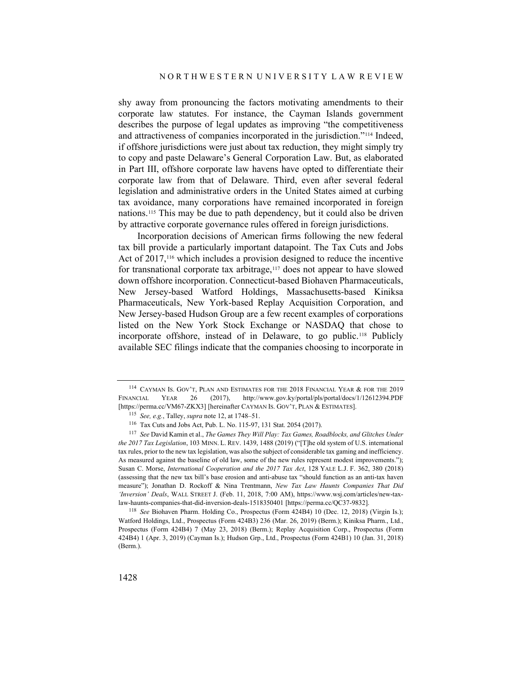<span id="page-25-5"></span>shy away from pronouncing the factors motivating amendments to their corporate law statutes. For instance, the Cayman Islands government describes the purpose of legal updates as improving "the competitiveness and attractiveness of companies incorporated in the jurisdiction."[114](#page-25-0) Indeed, if offshore jurisdictions were just about tax reduction, they might simply try to copy and paste Delaware's General Corporation Law. But, as elaborated in Part III, offshore corporate law havens have opted to differentiate their corporate law from that of Delaware. Third, even after several federal legislation and administrative orders in the United States aimed at curbing tax avoidance, many corporations have remained incorporated in foreign nations.[115](#page-25-1) This may be due to path dependency, but it could also be driven by attractive corporate governance rules offered in foreign jurisdictions.

Incorporation decisions of American firms following the new federal tax bill provide a particularly important datapoint. The Tax Cuts and Jobs Act of 2017,<sup>116</sup> which includes a provision designed to reduce the incentive for transnational corporate tax arbitrage,<sup>[117](#page-25-3)</sup> does not appear to have slowed down offshore incorporation. Connecticut-based Biohaven Pharmaceuticals, New Jersey-based Watford Holdings, Massachusetts-based Kiniksa Pharmaceuticals, New York-based Replay Acquisition Corporation, and New Jersey-based Hudson Group are a few recent examples of corporations listed on the New York Stock Exchange or NASDAQ that chose to incorporate offshore, instead of in Delaware, to go public.[118](#page-25-4) Publicly available SEC filings indicate that the companies choosing to incorporate in

<span id="page-25-4"></span><sup>118</sup> *See* Biohaven Pharm. Holding Co., Prospectus (Form 424B4) 10 (Dec. 12, 2018) (Virgin Is.); Watford Holdings, Ltd., Prospectus (Form 424B3) 236 (Mar. 26, 2019) (Berm.); Kiniksa Pharm., Ltd., Prospectus (Form 424B4) 7 (May 23, 2018) (Berm.); Replay Acquisition Corp., Prospectus (Form 424B4) 1 (Apr. 3, 2019) (Cayman Is.); Hudson Grp., Ltd., Prospectus (Form 424B1) 10 (Jan. 31, 2018) (Berm.).

<span id="page-25-0"></span><sup>114</sup> CAYMAN IS. GOV'T, PLAN AND ESTIMATES FOR THE 2018 FINANCIAL YEAR & FOR THE 2019 FINANCIAL YEAR 26 (2017), http://www.gov.ky/portal/pls/portal/docs/1/12612394.PDF [https://perma.cc/VM67-ZKX3] [hereinafter CAYMAN IS. GOV'T, PLAN & ESTIMATES].

<sup>115</sup> *See, e.g.*, Talley, *supra* not[e 12,](#page-3-6) at 1748–51.

<sup>116</sup> Tax Cuts and Jobs Act, Pub. L. No. 115-97, 131 Stat. 2054 (2017).

<span id="page-25-3"></span><span id="page-25-2"></span><span id="page-25-1"></span><sup>117</sup> *See* David Kamin et al., *The Games They Will Play: Tax Games, Roadblocks, and Glitches Under the 2017 Tax Legislation*, 103 MINN. L. REV. 1439, 1488 (2019) ("[T]he old system of U.S. international tax rules, prior to the new tax legislation, was also the subject of considerable tax gaming and inefficiency. As measured against the baseline of old law, some of the new rules represent modest improvements."); Susan C. Morse, *International Cooperation and the 2017 Tax Act*, 128 YALE L.J. F. 362, 380 (2018) (assessing that the new tax bill's base erosion and anti-abuse tax "should function as an anti-tax haven measure"); Jonathan D. Rockoff & Nina Trentmann, *New Tax Law Haunts Companies That Did 'Inversion' Deals*, WALL STREET J. (Feb. 11, 2018, 7:00 AM), https://www.wsj.com/articles/new-taxlaw-haunts-companies-that-did-inversion-deals-1518350401 [https://perma.cc/QC37-9832].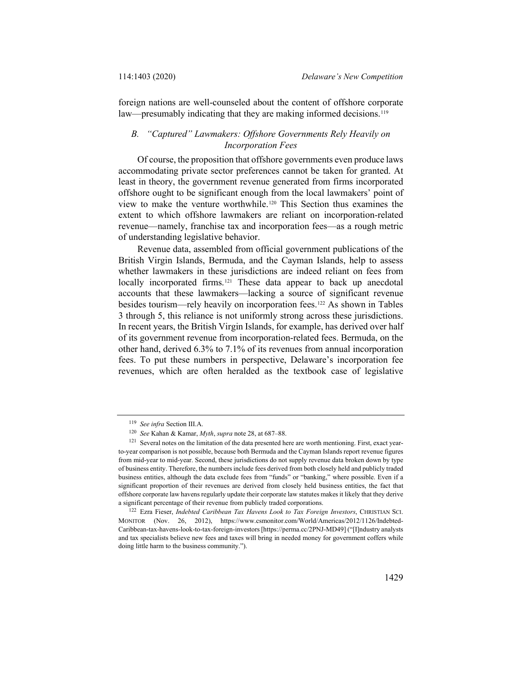foreign nations are well-counseled about the content of offshore corporate law—presumably indicating that they are making informed decisions.<sup>[119](#page-26-0)</sup>

## *B. "Captured" Lawmakers: Offshore Governments Rely Heavily on Incorporation Fees*

Of course, the proposition that offshore governments even produce laws accommodating private sector preferences cannot be taken for granted. At least in theory, the government revenue generated from firms incorporated offshore ought to be significant enough from the local lawmakers' point of view to make the venture worthwhile[.120](#page-26-1) This Section thus examines the extent to which offshore lawmakers are reliant on incorporation-related revenue—namely, franchise tax and incorporation fees—as a rough metric of understanding legislative behavior.

Revenue data, assembled from official government publications of the British Virgin Islands, Bermuda, and the Cayman Islands, help to assess whether lawmakers in these jurisdictions are indeed reliant on fees from locally incorporated firms.<sup>[121](#page-26-2)</sup> These data appear to back up anecdotal accounts that these lawmakers—lacking a source of significant revenue besides tourism—rely heavily on incorporation fees[.122](#page-26-3) As shown in Tables 3 through 5, this reliance is not uniformly strong across these jurisdictions. In recent years, the British Virgin Islands, for example, has derived over half of its government revenue from incorporation-related fees. Bermuda, on the other hand, derived 6.3% to 7.1% of its revenues from annual incorporation fees. To put these numbers in perspective, Delaware's incorporation fee revenues, which are often heralded as the textbook case of legislative

<sup>119</sup> *See infra* Section III.A.

<sup>120</sup> *See* Kahan & Kamar, *Myth*, *supra* not[e 28,](#page-6-5) at 687–88.

<span id="page-26-2"></span><span id="page-26-1"></span><span id="page-26-0"></span><sup>&</sup>lt;sup>121</sup> Several notes on the limitation of the data presented here are worth mentioning. First, exact yearto-year comparison is not possible, because both Bermuda and the Cayman Islands report revenue figures from mid-year to mid-year. Second, these jurisdictions do not supply revenue data broken down by type of business entity. Therefore, the numbers include fees derived from both closely held and publicly traded business entities, although the data exclude fees from "funds" or "banking," where possible. Even if a significant proportion of their revenues are derived from closely held business entities, the fact that offshore corporate law havens regularly update their corporate law statutes makes it likely that they derive a significant percentage of their revenue from publicly traded corporations.

<span id="page-26-3"></span><sup>122</sup> Ezra Fieser, *Indebted Caribbean Tax Havens Look to Tax Foreign Investors*, CHRISTIAN SCI. MONITOR (Nov. 26, 2012), https://www.csmonitor.com/World/Americas/2012/1126/Indebted-Caribbean-tax-havens-look-to-tax-foreign-investors [https://perma.cc/2PNJ-MD49] ("[I]ndustry analysts and tax specialists believe new fees and taxes will bring in needed money for government coffers while doing little harm to the business community.").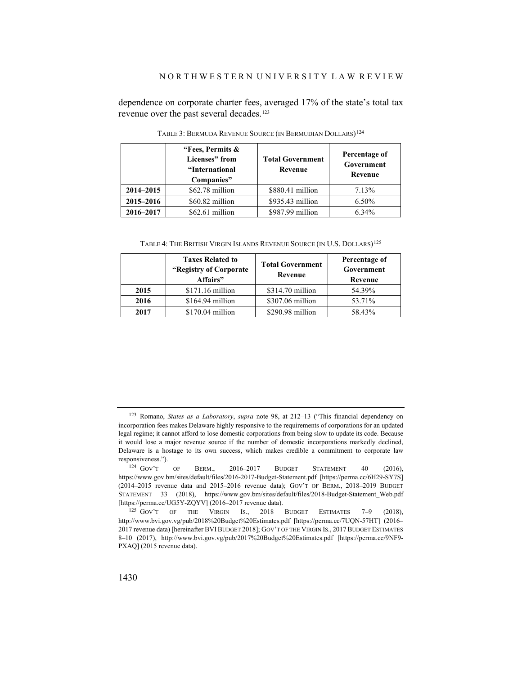dependence on corporate charter fees, averaged 17% of the state's total tax revenue over the past several decades.<sup>123</sup>

|           | "Fees, Permits &<br>Licenses" from<br>"International"<br>Companies" | <b>Total Government</b><br>Revenue | Percentage of<br>Government<br>Revenue |  |  |
|-----------|---------------------------------------------------------------------|------------------------------------|----------------------------------------|--|--|
| 2014-2015 | $$62.78$ million                                                    | \$880.41 million                   | 7.13%                                  |  |  |
| 2015-2016 | \$60.82 million                                                     | \$935.43 million                   | 6.50%                                  |  |  |
| 2016-2017 | $$62.61$ million                                                    | \$987.99 million                   | 6.34%                                  |  |  |

TABLE 3: BERMUDA REVENUE SOURCE (IN BERMUDIAN DOLLARS)[124](#page-27-1)

<span id="page-27-3"></span>TABLE 4: THE BRITISH VIRGIN ISLANDS REVENUE SOURCE (IN U.S. DOLLARS)<sup>[125](#page-27-2)</sup>

|      | <b>Taxes Related to</b><br>"Registry of Corporate"<br>Affairs" | <b>Total Government</b><br>Revenue | Percentage of<br>Government<br>Revenue |  |  |
|------|----------------------------------------------------------------|------------------------------------|----------------------------------------|--|--|
| 2015 | $$171.16$ million                                              | $$314.70$ million                  | 54.39%                                 |  |  |
| 2016 | $$164.94$ million                                              | \$307.06 million                   | 53.71%                                 |  |  |
| 2017 | $$170.04$ million                                              | \$290.98 million                   | 58.43%                                 |  |  |

<span id="page-27-0"></span><sup>123</sup> Romano, *States as a Laboratory*, *supra* note [98,](#page-20-2) at 212–13 ("This financial dependency on incorporation fees makes Delaware highly responsive to the requirements of corporations for an updated legal regime; it cannot afford to lose domestic corporations from being slow to update its code. Because it would lose a major revenue source if the number of domestic incorporations markedly declined, Delaware is a hostage to its own success, which makes credible a commitment to corporate law responsiveness.").

<span id="page-27-1"></span><sup>124</sup> GOV'T OF BERM., 2016–2017 BUDGET STATEMENT 40 (2016), https://www.gov.bm/sites/default/files/2016-2017-Budget-Statement.pdf [https://perma.cc/6H29-SY7S] (2014–2015 revenue data and 2015–2016 revenue data); GOV'T OF BERM., 2018–2019 BUDGET STATEMENT 33 (2018), https://www.gov.bm/sites/default/files/2018-Budget-Statement\_Web.pdf [https://perma.cc/UG5Y-ZQYV] (2016-2017 revenue data).

<span id="page-27-2"></span><sup>125</sup> GOV'T OF THE VIRGIN IS., 2018 BUDGET ESTIMATES 7-9 (2018), http://www.bvi.gov.vg/pub/2018%20Budget%20Estimates.pdf [https://perma.cc/7UQN-57HT] (2016– 2017 revenue data) [hereinafter BVIBUDGET 2018]; GOV'T OF THE VIRGIN IS., 2017 BUDGET ESTIMATES 8–10 (2017), http://www.bvi.gov.vg/pub/2017%20Budget%20Estimates.pdf [https://perma.cc/9NF9- PXAQ] (2015 revenue data).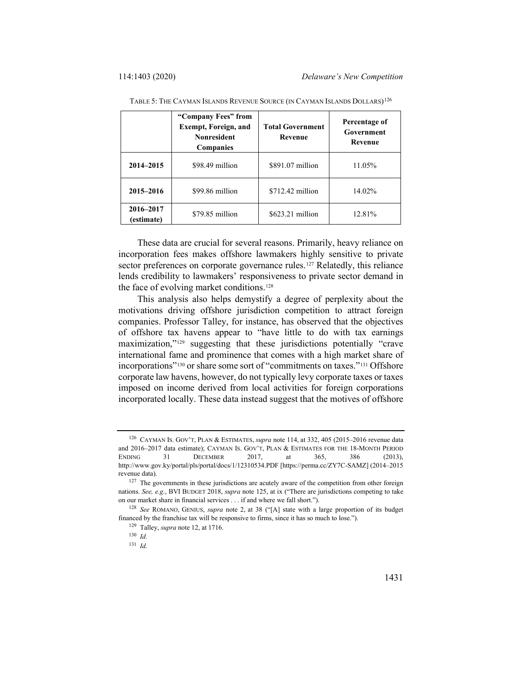|                         | "Company Fees" from<br><b>Exempt, Foreign, and</b><br><b>Nonresident</b><br><b>Companies</b> | <b>Total Government</b><br><b>Revenue</b> | Percentage of<br>Government<br><b>Revenue</b> |
|-------------------------|----------------------------------------------------------------------------------------------|-------------------------------------------|-----------------------------------------------|
| 2014-2015               | \$98.49 million                                                                              | \$891.07 million                          | 11.05%                                        |
| 2015-2016               | \$99.86 million                                                                              | $$712.42$ million                         | 14.02%                                        |
| 2016-2017<br>(estimate) | $$79.85$ million                                                                             | $$623.21$ million                         | 12.81%                                        |

TABLE 5: THE CAYMAN ISLANDS REVENUE SOURCE (IN CAYMAN ISLANDS DOLLARS)<sup>[126](#page-28-0)</sup>

These data are crucial for several reasons. Primarily, heavy reliance on incorporation fees makes offshore lawmakers highly sensitive to private sector preferences on corporate governance rules.<sup>[127](#page-28-1)</sup> Relatedly, this reliance lends credibility to lawmakers' responsiveness to private sector demand in the face of evolving market conditions.<sup>[128](#page-28-2)</sup>

This analysis also helps demystify a degree of perplexity about the motivations driving offshore jurisdiction competition to attract foreign companies. Professor Talley, for instance, has observed that the objectives of offshore tax havens appear to "have little to do with tax earnings maximization,"[129](#page-28-3) suggesting that these jurisdictions potentially "crave international fame and prominence that comes with a high market share of incorporations"[130](#page-28-4) or share some sort of "commitments on taxes."[131](#page-28-5) Offshore corporate law havens, however, do not typically levy corporate taxes or taxes imposed on income derived from local activities for foreign corporations incorporated locally. These data instead suggest that the motives of offshore

<span id="page-28-0"></span><sup>126</sup> CAYMAN IS. GOV'T, PLAN & ESTIMATES, *supra* not[e 114,](#page-25-5) at 332, 405 (2015–2016 revenue data and 2016–2017 data estimate); CAYMAN IS. GOV'T, PLAN & ESTIMATES FOR THE 18-MONTH PERIOD ENDING 31 DECEMBER 2017, at 365, 386 (2013), http://www.gov.ky/portal/pls/portal/docs/1/12310534.PDF [https://perma.cc/ZY7C-SAMZ] (2014–2015 revenue data).

<span id="page-28-1"></span><sup>&</sup>lt;sup>127</sup> The governments in these jurisdictions are acutely aware of the competition from other foreign nations. *See, e.g*., BVI BUDGET 2018, *supra* not[e 125,](#page-27-3) at ix ("There are jurisdictions competing to take on our market share in financial services . . . if and where we fall short.").

<span id="page-28-5"></span><span id="page-28-4"></span><span id="page-28-3"></span><span id="page-28-2"></span><sup>128</sup> *See* ROMANO, GENIUS, *supra* note [2,](#page-1-2) at 38 ("[A] state with a large proportion of its budget financed by the franchise tax will be responsive to firms, since it has so much to lose.").

<sup>129</sup> Talley, *supra* not[e 12,](#page-3-6) at 1716.

<sup>130</sup> *Id.*

<sup>131</sup> *Id.*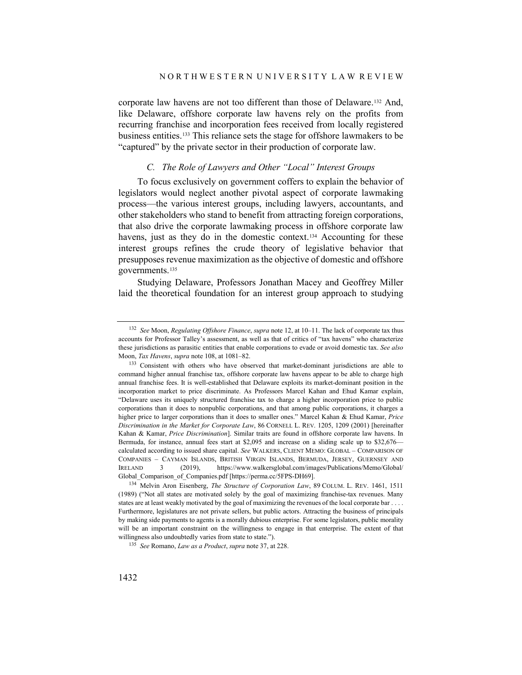corporate law havens are not too different than those of Delaware.[132](#page-29-0) And, like Delaware, offshore corporate law havens rely on the profits from recurring franchise and incorporation fees received from locally registered business entities.[133](#page-29-1) This reliance sets the stage for offshore lawmakers to be "captured" by the private sector in their production of corporate law.

#### <span id="page-29-4"></span>*C. The Role of Lawyers and Other "Local" Interest Groups*

To focus exclusively on government coffers to explain the behavior of legislators would neglect another pivotal aspect of corporate lawmaking process—the various interest groups, including lawyers, accountants, and other stakeholders who stand to benefit from attracting foreign corporations, that also drive the corporate lawmaking process in offshore corporate law havens, just as they do in the domestic context.<sup>[134](#page-29-2)</sup> Accounting for these interest groups refines the crude theory of legislative behavior that presupposes revenue maximization as the objective of domestic and offshore governments.[135](#page-29-3)

Studying Delaware, Professors Jonathan Macey and Geoffrey Miller laid the theoretical foundation for an interest group approach to studying

<span id="page-29-0"></span><sup>132</sup> *See* Moon, *Regulating Offshore Finance*, *supra* not[e 12,](#page-3-6) at 10–11. The lack of corporate tax thus accounts for Professor Talley's assessment, as well as that of critics of "tax havens" who characterize these jurisdictions as parasitic entities that enable corporations to evade or avoid domestic tax. *See also*  Moon, *Tax Havens*, *supra* not[e 108,](#page-23-5) at 1081–82.

<span id="page-29-1"></span><sup>&</sup>lt;sup>133</sup> Consistent with others who have observed that market-dominant jurisdictions are able to command higher annual franchise tax, offshore corporate law havens appear to be able to charge high annual franchise fees. It is well-established that Delaware exploits its market-dominant position in the incorporation market to price discriminate. As Professors Marcel Kahan and Ehud Kamar explain, "Delaware uses its uniquely structured franchise tax to charge a higher incorporation price to public corporations than it does to nonpublic corporations, and that among public corporations, it charges a higher price to larger corporations than it does to smaller ones." Marcel Kahan & Ehud Kamar, *Price Discrimination in the Market for Corporate Law*, 86 CORNELL L. REV. 1205, 1209 (2001) [hereinafter Kahan & Kamar, *Price Discrimination*]. Similar traits are found in offshore corporate law havens. In Bermuda, for instance, annual fees start at \$2,095 and increase on a sliding scale up to \$32,676 calculated according to issued share capital. *See* WALKERS, CLIENT MEMO: GLOBAL – COMPARISON OF COMPANIES – CAYMAN ISLANDS, BRITISH VIRGIN ISLANDS, BERMUDA, JERSEY, GUERNSEY AND IRELAND 3 (2019), https://www.walkersglobal.com/images/Publications/Memo/Global/ Global\_Comparison\_of\_Companies.pdf [https://perma.cc/5FPS-DH69].

<span id="page-29-2"></span><sup>134</sup> Melvin Aron Eisenberg, *The Structure of Corporation Law*, 89 COLUM. L. REV. 1461, 1511 (1989) ("Not all states are motivated solely by the goal of maximizing franchise-tax revenues. Many states are at least weakly motivated by the goal of maximizing the revenues of the local corporate bar . . . . Furthermore, legislatures are not private sellers, but public actors. Attracting the business of principals by making side payments to agents is a morally dubious enterprise. For some legislators, public morality will be an important constraint on the willingness to engage in that enterprise. The extent of that willingness also undoubtedly varies from state to state.").

<span id="page-29-3"></span><sup>135</sup> *See* Romano, *Law as a Product*, *supra* not[e 37,](#page-9-7) at 228.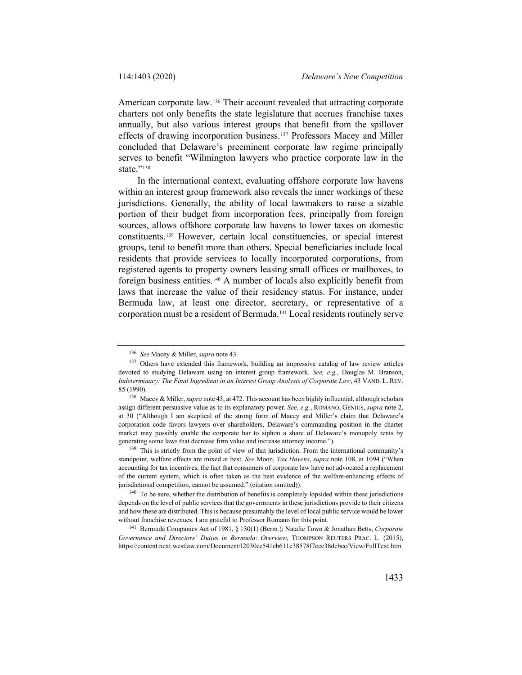American corporate law.[136](#page-30-0) Their account revealed that attracting corporate charters not only benefits the state legislature that accrues franchise taxes annually, but also various interest groups that benefit from the spillover effects of drawing incorporation business.[137](#page-30-1) Professors Macey and Miller concluded that Delaware's preeminent corporate law regime principally serves to benefit "Wilmington lawyers who practice corporate law in the state."<sup>[138](#page-30-2)</sup>

In the international context, evaluating offshore corporate law havens within an interest group framework also reveals the inner workings of these jurisdictions. Generally, the ability of local lawmakers to raise a sizable portion of their budget from incorporation fees, principally from foreign sources, allows offshore corporate law havens to lower taxes on domestic constituents.[139](#page-30-3) However, certain local constituencies, or special interest groups, tend to benefit more than others. Special beneficiaries include local residents that provide services to locally incorporated corporations, from registered agents to property owners leasing small offices or mailboxes, to foreign business entities.[140](#page-30-4) A number of locals also explicitly benefit from laws that increase the value of their residency status. For instance, under Bermuda law, at least one director, secretary, or representative of a corporation must be a resident of Bermuda.[141](#page-30-5) Local residents routinely serve

<sup>136</sup> *See* Macey & Miller, *supra* not[e 43.](#page-10-8)

<span id="page-30-1"></span><span id="page-30-0"></span><sup>137</sup> Others have extended this framework, building an impressive catalog of law review articles devoted to studying Delaware using an interest group framework. *See, e.g.*, Douglas M. Branson, *Indeterminacy: The Final Ingredient in an Interest Group Analysis of Corporate Law*, 43 VAND. L. REV. 85 (1990).

<span id="page-30-2"></span><sup>138</sup> Macey & Miller, *supra* not[e 43,](#page-10-8) at 472. This account has been highly influential, although scholars assign different persuasive value as to its explanatory power. *See, e.g.*, ROMANO, GENIUS, *supra* note [2,](#page-1-2) at 30 ("Although I am skeptical of the strong form of Macey and Miller's claim that Delaware's corporation code favors lawyers over shareholders, Delaware's commanding position in the charter market may possibly enable the corporate bar to siphon a share of Delaware's monopoly rents by generating some laws that decrease firm value and increase attorney income.").

<span id="page-30-3"></span><sup>&</sup>lt;sup>139</sup> This is strictly from the point of view of that jurisdiction. From the international community's standpoint, welfare effects are mixed at best. *See* Moon, *Tax Havens*, *supra* not[e 108,](#page-23-5) at 1094 ("When accounting for tax incentives, the fact that consumers of corporate law have not advocated a replacement of the current system, which is often taken as the best evidence of the welfare-enhancing effects of jurisdictional competition, cannot be assumed." (citation omitted)).

<span id="page-30-4"></span><sup>140</sup> To be sure, whether the distribution of benefits is completely lopsided within these jurisdictions depends on the level of public services that the governments in these jurisdictions provide to their citizens and how these are distributed. This is because presumably the level of local public service would be lower without franchise revenues. I am grateful to Professor Romano for this point.

<span id="page-30-5"></span><sup>141</sup> Bermuda Companies Act of 1981, § 130(1) (Berm.); Natalie Town & Jonathan Betts, *Corporate Governance and Directors' Duties in Bermuda*: *Overview*, THOMPSON REUTERS PRAC. L. (2015), https://content.next.westlaw.com/Document/I2030ee541cb611e38578f7ccc38dcbee/View/FullText.htm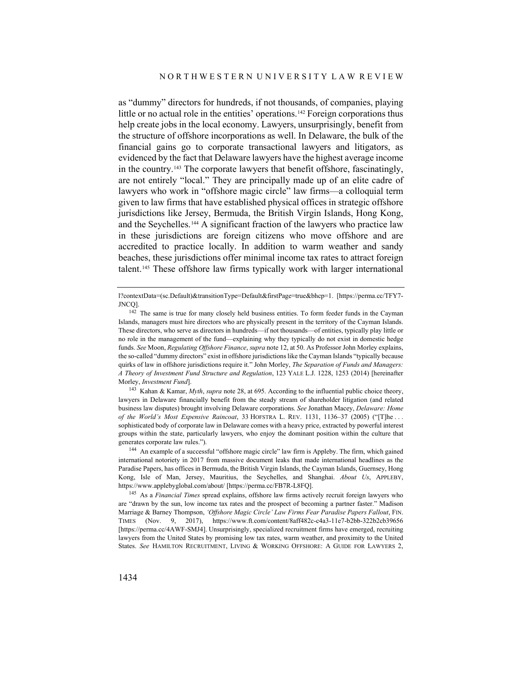as "dummy" directors for hundreds, if not thousands, of companies, playing little or no actual role in the entities' operations.[142](#page-31-0) Foreign corporations thus help create jobs in the local economy. Lawyers, unsurprisingly, benefit from the structure of offshore incorporations as well. In Delaware, the bulk of the financial gains go to corporate transactional lawyers and litigators, as evidenced by the fact that Delaware lawyers have the highest average income in the country.[143](#page-31-1) The corporate lawyers that benefit offshore, fascinatingly, are not entirely "local." They are principally made up of an elite cadre of lawyers who work in "offshore magic circle" law firms—a colloquial term given to law firms that have established physical offices in strategic offshore jurisdictions like Jersey, Bermuda, the British Virgin Islands, Hong Kong, and the Seychelles.[144](#page-31-2) A significant fraction of the lawyers who practice law in these jurisdictions are foreign citizens who move offshore and are accredited to practice locally. In addition to warm weather and sandy beaches, these jurisdictions offer minimal income tax rates to attract foreign talent.[145](#page-31-3) These offshore law firms typically work with larger international

<span id="page-31-1"></span><sup>143</sup> Kahan & Kamar, *Myth*, *supra* not[e 28,](#page-6-5) at 695. According to the influential public choice theory, lawyers in Delaware financially benefit from the steady stream of shareholder litigation (and related business law disputes) brought involving Delaware corporations. *See* Jonathan Macey, *Delaware: Home of the World's Most Expensive Raincoat*, 33 HOFSTRA L. REV. 1131, 1136–37 (2005) ("[T]he . . . sophisticated body of corporate law in Delaware comes with a heavy price, extracted by powerful interest groups within the state, particularly lawyers, who enjoy the dominant position within the culture that generates corporate law rules.").

<span id="page-31-3"></span><sup>145</sup> As a *Financial Times* spread explains, offshore law firms actively recruit foreign lawyers who are "drawn by the sun, low income tax rates and the prospect of becoming a partner faster." Madison Marriage & Barney Thompson, *'Offshore Magic Circle' Law Firms Fear Paradise Papers Fallout*, FIN. TIMES (Nov. 9, 2017), https://www.ft.com/content/8aff482c-c4a3-11e7-b2bb-322b2cb39656 [https://perma.cc/4AWF-SMJ4]. Unsurprisingly, specialized recruitment firms have emerged, recruiting lawyers from the United States by promising low tax rates, warm weather, and proximity to the United States. *See* HAMILTON RECRUITMENT, LIVING & WORKING OFFSHORE: A GUIDE FOR LAWYERS 2,

<span id="page-31-4"></span>l?contextData=(sc.Default)&transitionType=Default&firstPage=true&bhcp=1. [https://perma.cc/TFY7- JNCQ].

<span id="page-31-0"></span><sup>&</sup>lt;sup>142</sup> The same is true for many closely held business entities. To form feeder funds in the Cayman Islands, managers must hire directors who are physically present in the territory of the Cayman Islands. These directors, who serve as directors in hundreds—if not thousands—of entities, typically play little or no role in the management of the fund—explaining why they typically do not exist in domestic hedge funds. *See* Moon, *Regulating Offshore Finance*, *supra* not[e 12,](#page-3-6) at 50. As Professor John Morley explains, the so-called "dummy directors" exist in offshore jurisdictions like the Cayman Islands "typically because quirks of law in offshore jurisdictions require it." John Morley, *The Separation of Funds and Managers: A Theory of Investment Fund Structure and Regulation*, 123 YALE L.J. 1228, 1253 (2014) [hereinafter Morley, *Investment Fund*].

<span id="page-31-2"></span><sup>144</sup> An example of a successful "offshore magic circle" law firm is Appleby. The firm, which gained international notoriety in 2017 from massive document leaks that made international headlines as the Paradise Papers, has offices in Bermuda, the British Virgin Islands, the Cayman Islands, Guernsey, Hong Kong, Isle of Man, Jersey, Mauritius, the Seychelles, and Shanghai. *About Us*, APPLEBY, https://www.applebyglobal.com/about/ [https://perma.cc/FB7R-L8FQ].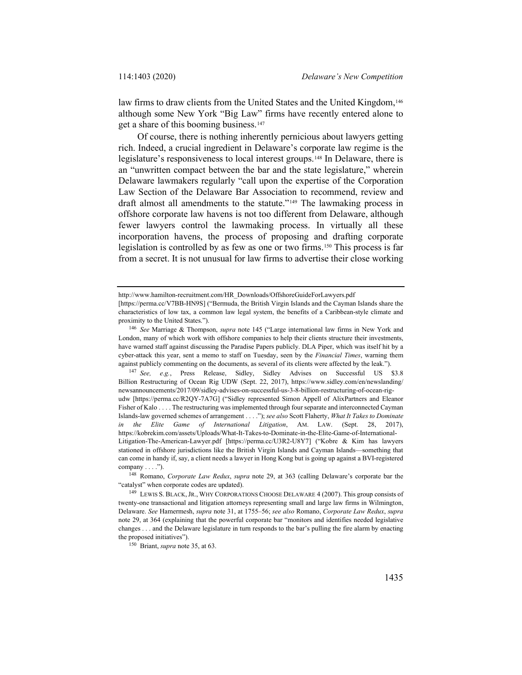law firms to draw clients from the United States and the United Kingdom,<sup>[146](#page-32-0)</sup> although some New York "Big Law" firms have recently entered alone to get a share of this booming business.[147](#page-32-1)

Of course, there is nothing inherently pernicious about lawyers getting rich. Indeed, a crucial ingredient in Delaware's corporate law regime is the legislature's responsiveness to local interest groups.[148](#page-32-2) In Delaware, there is an "unwritten compact between the bar and the state legislature," wherein Delaware lawmakers regularly "call upon the expertise of the Corporation Law Section of the Delaware Bar Association to recommend, review and draft almost all amendments to the statute."[149](#page-32-3) The lawmaking process in offshore corporate law havens is not too different from Delaware, although fewer lawyers control the lawmaking process. In virtually all these incorporation havens, the process of proposing and drafting corporate legislation is controlled by as few as one or two firms.[150](#page-32-4) This process is far from a secret. It is not unusual for law firms to advertise their close working

<span id="page-32-4"></span><sup>150</sup> Briant, *supra* not[e 35,](#page-8-2) at 63.

http://www.hamilton-recruitment.com/HR\_Downloads/OffshoreGuideForLawyers.pdf

<sup>[</sup>https://perma.cc/V7BB-HN9S] ("Bermuda, the British Virgin Islands and the Cayman Islands share the characteristics of low tax, a common law legal system, the benefits of a Caribbean-style climate and proximity to the United States.").

<span id="page-32-0"></span><sup>146</sup> *See* Marriage & Thompson, *supra* not[e 145](#page-31-4) ("Large international law firms in New York and London, many of which work with offshore companies to help their clients structure their investments, have warned staff against discussing the Paradise Papers publicly. DLA Piper, which was itself hit by a cyber-attack this year, sent a memo to staff on Tuesday, seen by the *Financial Times*, warning them against publicly commenting on the documents, as several of its clients were affected by the leak.").

<span id="page-32-1"></span><sup>147</sup> *See, e.g.*, Press Release, Sidley, Sidley Advises on Successful US \$3.8 Billion Restructuring of Ocean Rig UDW (Sept. 22, 2017), https://www.sidley.com/en/newslanding/ newsannouncements/2017/09/sidley-advises-on-successful-us-3-8-billion-restructuring-of-ocean-rigudw [https://perma.cc/R2QY-7A7G] ("Sidley represented Simon Appell of AlixPartners and Eleanor Fisher of Kalo . . . . The restructuring was implemented through four separate and interconnected Cayman Islands-law governed schemes of arrangement . . . ."); *see also* Scott Flaherty, *What It Takes to Dominate in the Elite Game of International Litigation*, AM. LAW. (Sept. 28, 2017), https://kobrekim.com/assets/Uploads/What-It-Takes-to-Dominate-in-the-Elite-Game-of-International-Litigation-The-American-Lawyer.pdf [https://perma.cc/U3R2-U8Y7] ("Kobre & Kim has lawyers stationed in offshore jurisdictions like the British Virgin Islands and Cayman Islands—something that can come in handy if, say, a client needs a lawyer in Hong Kong but is going up against a BVI-registered company . . . .").

<span id="page-32-2"></span><sup>148</sup> Romano, *Corporate Law Redux*, *supra* note [29,](#page-6-6) at 363 (calling Delaware's corporate bar the "catalyst" when corporate codes are updated).

<span id="page-32-3"></span><sup>149</sup> LEWIS S. BLACK,JR., WHY CORPORATIONS CHOOSE DELAWARE 4 (2007). This group consists of twenty-one transactional and litigation attorneys representing small and large law firms in Wilmington, Delaware. *See* Hamermesh, *supra* not[e 31,](#page-7-4) at 1755–56; *see also* Romano, *Corporate Law Redux*, *supra* note [29,](#page-6-6) at 364 (explaining that the powerful corporate bar "monitors and identifies needed legislative changes . . . and the Delaware legislature in turn responds to the bar's pulling the fire alarm by enacting the proposed initiatives").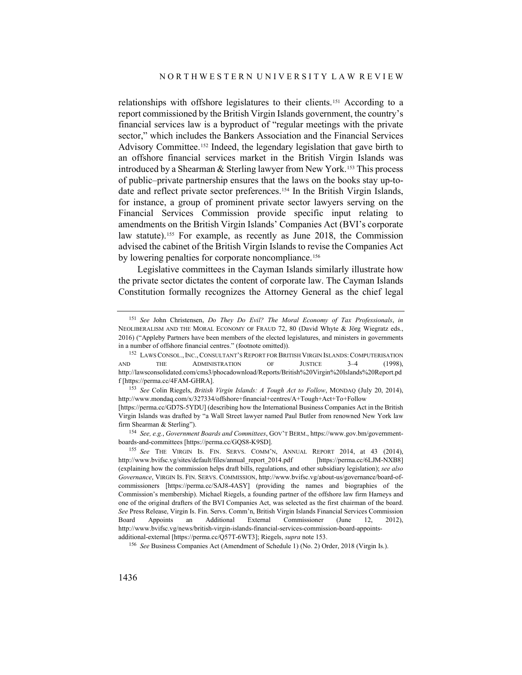<span id="page-33-0"></span>relationships with offshore legislatures to their clients.[151](#page-33-1) According to a report commissioned by the British Virgin Islands government, the country's financial services law is a byproduct of "regular meetings with the private sector," which includes the Bankers Association and the Financial Services Advisory Committee.<sup>[152](#page-33-2)</sup> Indeed, the legendary legislation that gave birth to an offshore financial services market in the British Virgin Islands was introduced by a Shearman & Sterling lawyer from New York.<sup>[153](#page-33-3)</sup> This process of public–private partnership ensures that the laws on the books stay up-todate and reflect private sector preferences.<sup>154</sup> In the British Virgin Islands, for instance, a group of prominent private sector lawyers serving on the Financial Services Commission provide specific input relating to amendments on the British Virgin Islands' Companies Act (BVI's corporate law statute).<sup>[155](#page-33-5)</sup> For example, as recently as June 2018, the Commission advised the cabinet of the British Virgin Islands to revise the Companies Act by lowering penalties for corporate noncompliance.<sup>[156](#page-33-6)</sup>

Legislative committees in the Cayman Islands similarly illustrate how the private sector dictates the content of corporate law. The Cayman Islands Constitution formally recognizes the Attorney General as the chief legal

<span id="page-33-4"></span><sup>154</sup> *See, e.g.*, *Government Boards and Committees*, GOV'T BERM., https://www.gov.bm/governmentboards-and-committees [https://perma.cc/GQS8-K9SD].

<span id="page-33-1"></span><sup>151</sup> *See* John Christensen, *Do They Do Evil? The Moral Economy of Tax Professionals*, *in* NEOLIBERALISM AND THE MORAL ECONOMY OF FRAUD 72, 80 (David Whyte & Jörg Wiegratz eds., 2016) ("Appleby Partners have been members of the elected legislatures, and ministers in governments in a number of offshore financial centres." (footnote omitted)).

<span id="page-33-2"></span><sup>152</sup> LAWS CONSOL.,INC., CONSULTANT'S REPORT FOR BRITISH VIRGIN ISLANDS:COMPUTERISATION AND THE ADMINISTRATION OF JUSTICE 3–4 (1998), http://lawsconsolidated.com/cms3/phocadownload/Reports/British%20Virgin%20Islands%20Report.pd f [https://perma.cc/4FAM-GHRA].

<span id="page-33-3"></span><sup>153</sup> *See* Colin Riegels, *British Virgin Islands: A Tough Act to Follow*, MONDAQ (July 20, 2014), http://www.mondaq.com/x/327334/offshore+financial+centres/A+Tough+Act+To+Follow [https://perma.cc/GD7S-5YDU] (describing how the International Business Companies Act in the British

Virgin Islands was drafted by "a Wall Street lawyer named Paul Butler from renowned New York law firm Shearman & Sterling").

<span id="page-33-5"></span><sup>155</sup> *See* THE VIRGIN IS. FIN. SERVS. COMM'N, ANNUAL REPORT 2014, at 43 (2014), http://www.bvifsc.vg/sites/default/files/annual\_report\_2014.pdf [https://perma.cc/6LJM-NXB8] (explaining how the commission helps draft bills, regulations, and other subsidiary legislation); *see also Governance*, VIRGIN IS. FIN. SERVS. COMMISSION, http://www.bvifsc.vg/about-us/governance/board-ofcommissioners [https://perma.cc/SAJ8-4ASY] (providing the names and biographies of the Commission's membership). Michael Riegels, a founding partner of the offshore law firm Harneys and one of the original drafters of the BVI Companies Act, was selected as the first chairman of the board. *See* Press Release, Virgin Is. Fin. Servs. Comm'n, British Virgin Islands Financial Services Commission Board Appoints an Additional External Commissioner (June 12, 2012), http://www.bvifsc.vg/news/british-virgin-islands-financial-services-commission-board-appointsadditional-external [https://perma.cc/Q57T-6WT3]; Riegels, *supra* note [153.](#page-33-0)

<span id="page-33-6"></span><sup>156</sup> *See* Business Companies Act (Amendment of Schedule 1) (No. 2) Order, 2018 (Virgin Is.).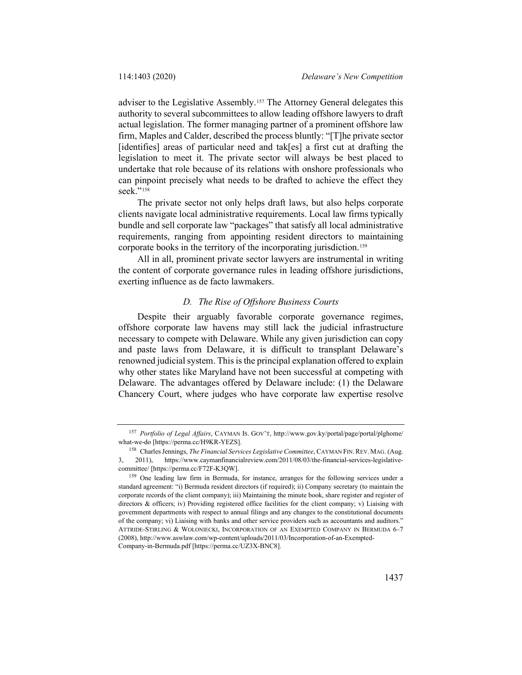adviser to the Legislative Assembly.<sup>[157](#page-34-0)</sup> The Attorney General delegates this authority to several subcommittees to allow leading offshore lawyers to draft actual legislation. The former managing partner of a prominent offshore law firm, Maples and Calder, described the process bluntly: "[T]he private sector [identifies] areas of particular need and tak[es] a first cut at drafting the legislation to meet it. The private sector will always be best placed to undertake that role because of its relations with onshore professionals who can pinpoint precisely what needs to be drafted to achieve the effect they seek."<sup>[158](#page-34-1)</sup>

The private sector not only helps draft laws, but also helps corporate clients navigate local administrative requirements. Local law firms typically bundle and sell corporate law "packages" that satisfy all local administrative requirements, ranging from appointing resident directors to maintaining corporate books in the territory of the incorporating jurisdiction.<sup>[159](#page-34-2)</sup>

All in all, prominent private sector lawyers are instrumental in writing the content of corporate governance rules in leading offshore jurisdictions, exerting influence as de facto lawmakers.

#### *D. The Rise of Offshore Business Courts*

Despite their arguably favorable corporate governance regimes, offshore corporate law havens may still lack the judicial infrastructure necessary to compete with Delaware. While any given jurisdiction can copy and paste laws from Delaware, it is difficult to transplant Delaware's renowned judicial system. This is the principal explanation offered to explain why other states like Maryland have not been successful at competing with Delaware. The advantages offered by Delaware include: (1) the Delaware Chancery Court, where judges who have corporate law expertise resolve

<span id="page-34-0"></span><sup>157</sup> *Portfolio of Legal Affairs*, CAYMAN IS. GOV'T, http://www.gov.ky/portal/page/portal/plghome/ what-we-do [https://perma.cc/H9KR-YEZS].

<span id="page-34-1"></span><sup>158</sup> Charles Jennings, *The Financial Services Legislative Committee*, CAYMAN FIN. REV. MAG. (Aug. 3, 2011), https://www.caymanfinancialreview.com/2011/08/03/the-financial-services-legislativecommittee/ [https://perma.cc/F72F-K3QW].

<span id="page-34-2"></span><sup>&</sup>lt;sup>159</sup> One leading law firm in Bermuda, for instance, arranges for the following services under a standard agreement: "i) Bermuda resident directors (if required); ii) Company secretary (to maintain the corporate records of the client company); iii) Maintaining the minute book, share register and register of directors & officers; iv) Providing registered office facilities for the client company; v) Liaising with government departments with respect to annual filings and any changes to the constitutional documents of the company; vi) Liaising with banks and other service providers such as accountants and auditors." ATTRIDE-STIRLING & WOLONIECKI, INCORPORATION OF AN EXEMPTED COMPANY IN BERMUDA 6–7 (2008), http://www.aswlaw.com/wp-content/uploads/2011/03/Incorporation-of-an-Exempted-Company-in-Bermuda.pdf [https://perma.cc/UZ3X-BNC8].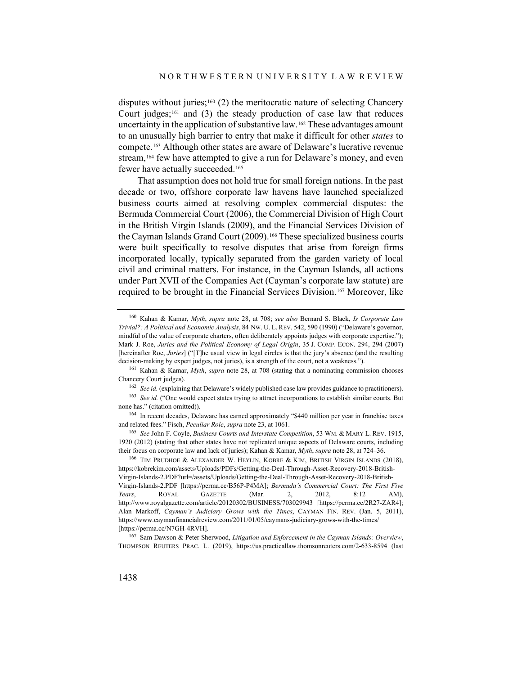<span id="page-35-8"></span>disputes without juries;<sup>[160](#page-35-0)</sup> (2) the meritocratic nature of selecting Chancery Court judges;<sup>[161](#page-35-1)</sup> and (3) the steady production of case law that reduces uncertainty in the application of substantive law.[162](#page-35-2) These advantages amount to an unusually high barrier to entry that make it difficult for other *states* to compete.[163](#page-35-3) Although other states are aware of Delaware's lucrative revenue stream,<sup>[164](#page-35-4)</sup> few have attempted to give a run for Delaware's money, and even fewer have actually succeeded.<sup>[165](#page-35-5)</sup>

That assumption does not hold true for small foreign nations. In the past decade or two, offshore corporate law havens have launched specialized business courts aimed at resolving complex commercial disputes: the Bermuda Commercial Court (2006), the Commercial Division of High Court in the British Virgin Islands (2009), and the Financial Services Division of the Cayman Islands Grand Court (2009).<sup>[166](#page-35-6)</sup> These specialized business courts were built specifically to resolve disputes that arise from foreign firms incorporated locally, typically separated from the garden variety of local civil and criminal matters. For instance, in the Cayman Islands, all actions under Part XVII of the Companies Act (Cayman's corporate law statute) are required to be brought in the Financial Services Division.[167](#page-35-7) Moreover, like

<span id="page-35-9"></span><span id="page-35-0"></span><sup>160</sup> Kahan & Kamar, *Myth*, *supra* note [28,](#page-6-5) at 708; *see also* Bernard S. Black, *Is Corporate Law Trivial?: A Political and Economic Analysis*, 84 NW. U. L. REV. 542, 590 (1990) ("Delaware's governor, mindful of the value of corporate charters, often deliberately appoints judges with corporate expertise."); Mark J. Roe, *Juries and the Political Economy of Legal Origin*, 35 J. COMP. ECON. 294, 294 (2007) [hereinafter Roe, *Juries*] ("[T]he usual view in legal circles is that the jury's absence (and the resulting decision-making by expert judges, not juries), is a strength of the court, not a weakness.").

<span id="page-35-1"></span><sup>161</sup> Kahan & Kamar, *Myth*, *supra* note [28,](#page-6-5) at 708 (stating that a nominating commission chooses Chancery Court judges).

<sup>&</sup>lt;sup>162</sup> *See id.* (explaining that Delaware's widely published case law provides guidance to practitioners).

<span id="page-35-3"></span><span id="page-35-2"></span><sup>&</sup>lt;sup>163</sup> See id. ("One would expect states trying to attract incorporations to establish similar courts. But none has." (citation omitted)).

<span id="page-35-4"></span><sup>&</sup>lt;sup>164</sup> In recent decades, Delaware has earned approximately "\$440 million per year in franchise taxes and related fees." Fisch, *Peculiar Role*, *supra* not[e 23,](#page-5-4) at 1061.

<span id="page-35-5"></span><sup>165</sup> *See* John F. Coyle, *Business Courts and Interstate Competition*, 53 WM. & MARY L. REV. 1915, 1920 (2012) (stating that other states have not replicated unique aspects of Delaware courts, including their focus on corporate law and lack of juries); Kahan & Kamar, *Myth*, *supra* not[e 28,](#page-6-5) at 724–36.

<span id="page-35-6"></span><sup>166</sup> TIM PRUDHOE & ALEXANDER W. HEYLIN, KOBRE & KIM, BRITISH VIRGIN ISLANDS (2018), https://kobrekim.com/assets/Uploads/PDFs/Getting-the-Deal-Through-Asset-Recovery-2018-British-Virgin-Islands-2.PDF?url=/assets/Uploads/Getting-the-Deal-Through-Asset-Recovery-2018-British-Virgin-Islands-2.PDF [https://perma.cc/B56P-P4MA]; *Bermuda's Commercial Court: The First Five Years*, ROYAL GAZETTE (Mar. 2, 2012, 8:12 AM), http://www.royalgazette.com/article/20120302/BUSINESS/703029943 [https://perma.cc/2R27-ZAR4]; Alan Markoff, *Cayman's Judiciary Grows with the Times*, CAYMAN FIN. REV. (Jan. 5, 2011), https://www.caymanfinancialreview.com/2011/01/05/caymans-judiciary-grows-with-the-times/ [https://perma.cc/N7GH-4RVH].

<span id="page-35-7"></span><sup>167</sup> Sam Dawson & Peter Sherwood, *Litigation and Enforcement in the Cayman Islands: Overview*, THOMPSON REUTERS PRAC. L. (2019), https://us.practicallaw.thomsonreuters.com/2-633-8594 (last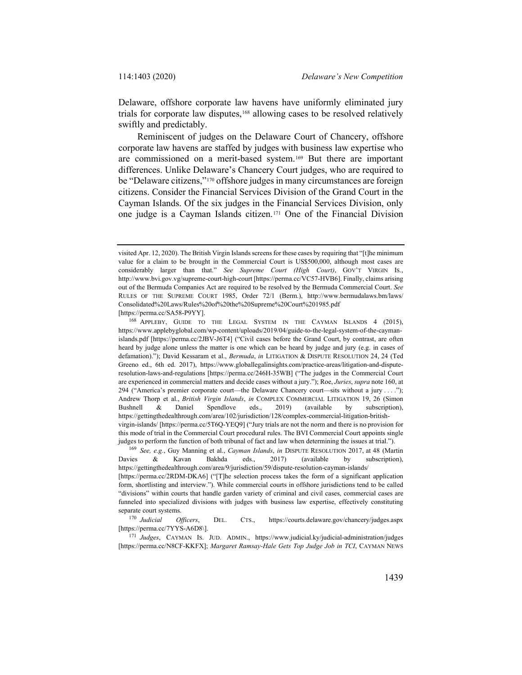Delaware, offshore corporate law havens have uniformly eliminated jury trials for corporate law disputes,<sup>[168](#page-36-0)</sup> allowing cases to be resolved relatively swiftly and predictably.

Reminiscent of judges on the Delaware Court of Chancery, offshore corporate law havens are staffed by judges with business law expertise who are commissioned on a merit-based system.[169](#page-36-1) But there are important differences. Unlike Delaware's Chancery Court judges, who are required to be "Delaware citizens,"[170](#page-36-2) offshore judges in many circumstances are foreign citizens. Consider the Financial Services Division of the Grand Court in the Cayman Islands. Of the six judges in the Financial Services Division, only one judge is a Cayman Islands citizen.[171](#page-36-3) One of the Financial Division

[https://perma.cc/SA58-P9YY].

visited Apr. 12, 2020). The British Virgin Islands screens for these cases by requiring that "[t]he minimum value for a claim to be brought in the Commercial Court is US\$500,000, although most cases are considerably larger than that." *See Supreme Court (High Court)*, GOV'T VIRGIN IS., http://www.bvi.gov.vg/supreme-court-high-court [https://perma.cc/VC57-HVB6]. Finally, claims arising out of the Bermuda Companies Act are required to be resolved by the Bermuda Commercial Court. *See* RULES OF THE SUPREME COURT 1985, Order 72/1 (Berm.), http://www.bermudalaws.bm/laws/ Consolidated%20Laws/Rules%20of%20the%20Supreme%20Court%201985.pdf

<span id="page-36-0"></span><sup>168</sup> APPLEBY, GUIDE TO THE LEGAL SYSTEM IN THE CAYMAN ISLANDS 4 (2015), https://www.applebyglobal.com/wp-content/uploads/2019/04/guide-to-the-legal-system-of-the-caymanislands.pdf [https://perma.cc/2JBV-J6T4] ("Civil cases before the Grand Court, by contrast, are often heard by judge alone unless the matter is one which can be heard by judge and jury (e.g. in cases of defamation)."); David Kessaram et al., *Bermuda*, *in* LITIGATION & DISPUTE RESOLUTION 24, 24 (Ted Greeno ed., 6th ed. 2017), https://www.globallegalinsights.com/practice-areas/litigation-and-disputeresolution-laws-and-regulations [https://perma.cc/246H-35WB] ("The judges in the Commercial Court are experienced in commercial matters and decide cases without a jury."); Roe, *Juries*, *supra* not[e 160,](#page-35-8) at 294 ("America's premier corporate court—the Delaware Chancery court—sits without a jury . . . ."); Andrew Thorp et al., *British Virgin Islands*, *in* COMPLEX COMMERCIAL LITIGATION 19, 26 (Simon Bushnell & Daniel Spendlove eds., 2019) (available by subscription), https://gettingthedealthrough.com/area/102/jurisdiction/128/complex-commercial-litigation-britishvirgin-islands/ [https://perma.cc/5T6Q-YEQ9] ("Jury trials are not the norm and there is no provision for this mode of trial in the Commercial Court procedural rules. The BVI Commercial Court appoints single judges to perform the function of both tribunal of fact and law when determining the issues at trial.").

<span id="page-36-1"></span><sup>169</sup> *See, e.g.*, Guy Manning et al., *Cayman Islands*, *in* DISPUTE RESOLUTION 2017, at 48 (Martin Davies & Kavan Bakhda eds., 2017) (available by subscription), https://gettingthedealthrough.com/area/9/jurisdiction/59/dispute-resolution-cayman-islands/

<sup>[</sup>https://perma.cc/2RDM-DKA6] ("[T]he selection process takes the form of a significant application form, shortlisting and interview."). While commercial courts in offshore jurisdictions tend to be called "divisions" within courts that handle garden variety of criminal and civil cases, commercial cases are funneled into specialized divisions with judges with business law expertise, effectively constituting separate court systems.

<span id="page-36-2"></span><sup>170</sup> *Judicial Officers*, DEL. CTS., https://courts.delaware.gov/chancery/judges.aspx [https://perma.cc/7YYS-A6D8\].

<span id="page-36-3"></span><sup>171</sup> *Judges*, CAYMAN IS. JUD. ADMIN., https://www.judicial.ky/judicial-administration/judges [https://perma.cc/N8CF-KKFX]; *Margaret Ramsay-Hale Gets Top Judge Job in TCI*, CAYMAN NEWS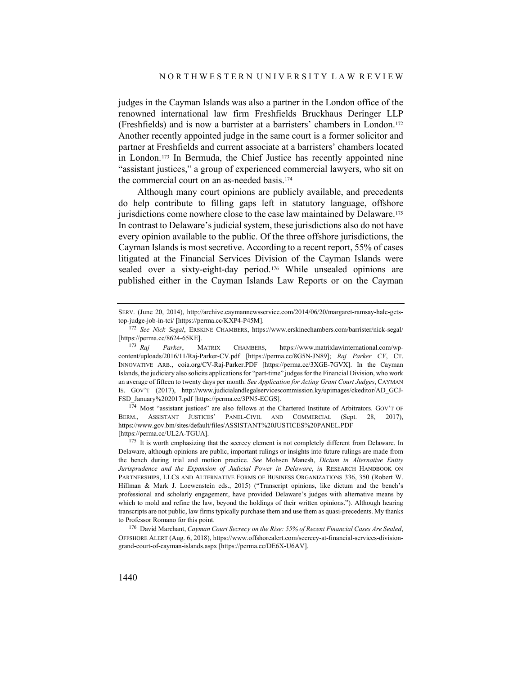judges in the Cayman Islands was also a partner in the London office of the renowned international law firm Freshfields Bruckhaus Deringer LLP (Freshfields) and is now a barrister at a barristers' chambers in London.[172](#page-37-0) Another recently appointed judge in the same court is a former solicitor and partner at Freshfields and current associate at a barristers' chambers located in London.[173](#page-37-1) In Bermuda, the Chief Justice has recently appointed nine "assistant justices," a group of experienced commercial lawyers, who sit on the commercial court on an as-needed basis.[174](#page-37-2)

Although many court opinions are publicly available, and precedents do help contribute to filling gaps left in statutory language, offshore jurisdictions come nowhere close to the case law maintained by Delaware.<sup>[175](#page-37-3)</sup> In contrast to Delaware's judicial system, these jurisdictions also do not have every opinion available to the public. Of the three offshore jurisdictions, the Cayman Islands is most secretive. According to a recent report, 55% of cases litigated at the Financial Services Division of the Cayman Islands were sealed over a sixty-eight-day period.[176](#page-37-4) While unsealed opinions are published either in the Cayman Islands Law Reports or on the Cayman

<span id="page-37-2"></span><sup>174</sup> Most "assistant justices" are also fellows at the Chartered Institute of Arbitrators. GOV'T OF BERM., ASSISTANT JUSTICES' PANEL-CIVIL AND COMMERCIAL (Sept. 28, 2017), https://www.gov.bm/sites/default/files/ASSISTANT%20JUSTICES%20PANEL.PDF [https://perma.cc/UL2A-TGUA].

SERV. (June 20, 2014), http://archive.caymannewsservice.com/2014/06/20/margaret-ramsay-hale-getstop-judge-job-in-tci/ [https://perma.cc/KXP4-P45M].

<span id="page-37-0"></span><sup>172</sup> *See Nick Segal*, ERSKINE CHAMBERS, https://www.erskinechambers.com/barrister/nick-segal/ [https://perma.cc/8624-65KE].<br><sup>173</sup> Rai Parker. M

<span id="page-37-1"></span>Parker, MATRIX CHAMBERS, https://www.matrixlawinternational.com/wpcontent/uploads/2016/11/Raj-Parker-CV.pdf [https://perma.cc/8G5N-JN89]; *Raj Parker CV*, CT. INNOVATIVE ARB., coia.org/CV-Raj-Parker.PDF [https://perma.cc/3XGE-7GVX]. In the Cayman Islands, the judiciary also solicits applications for "part-time" judges for the Financial Division, who work an average of fifteen to twenty days per month. *See Application for Acting Grant Court Judges*, CAYMAN IS. GOV'T (2017), http://www.judicialandlegalservicescommission.ky/upimages/ckeditor/AD\_GCJ-FSD\_January%202017.pdf [https://perma.cc/3PN5-ECGS].

<span id="page-37-3"></span><sup>&</sup>lt;sup>175</sup> It is worth emphasizing that the secrecy element is not completely different from Delaware. In Delaware, although opinions are public, important rulings or insights into future rulings are made from the bench during trial and motion practice. *See* Mohsen Manesh, *Dictum in Alternative Entity Jurisprudence and the Expansion of Judicial Power in Delaware*, *in* RESEARCH HANDBOOK ON PARTNERSHIPS, LLCS AND ALTERNATIVE FORMS OF BUSINESS ORGANIZATIONS 336, 350 (Robert W. Hillman & Mark J. Loewenstein eds., 2015) ("Transcript opinions, like dictum and the bench's professional and scholarly engagement, have provided Delaware's judges with alternative means by which to mold and refine the law, beyond the holdings of their written opinions."). Although hearing transcripts are not public, law firms typically purchase them and use them as quasi-precedents. My thanks to Professor Romano for this point.

<span id="page-37-4"></span><sup>176</sup> David Marchant, *Cayman Court Secrecy on the Rise: 55% of Recent Financial Cases Are Sealed*, OFFSHORE ALERT (Aug. 6, 2018), https://www.offshorealert.com/secrecy-at-financial-services-divisiongrand-court-of-cayman-islands.aspx [https://perma.cc/DE6X-U6AV].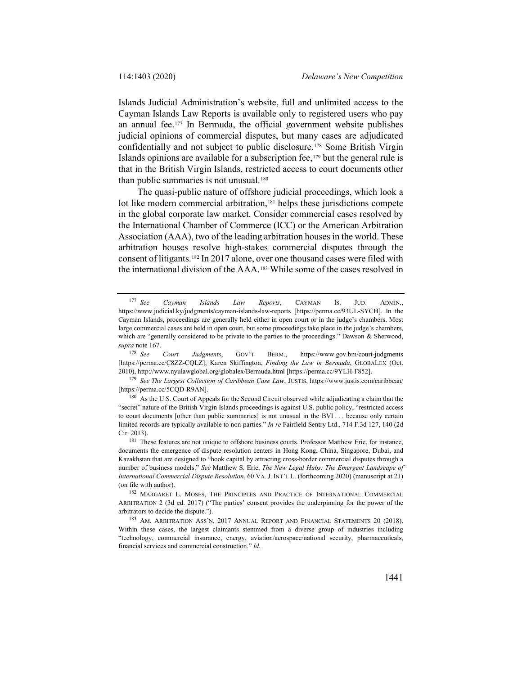Islands Judicial Administration's website, full and unlimited access to the Cayman Islands Law Reports is available only to registered users who pay an annual fee. $177$  In Bermuda, the official government website publishes judicial opinions of commercial disputes, but many cases are adjudicated confidentially and not subject to public disclosure.[178](#page-38-1) Some British Virgin Islands opinions are available for a subscription fee,<sup>[179](#page-38-2)</sup> but the general rule is that in the British Virgin Islands, restricted access to court documents other than public summaries is not unusual.<sup>[180](#page-38-3)</sup>

The quasi-public nature of offshore judicial proceedings, which look a lot like modern commercial arbitration,<sup>[181](#page-38-4)</sup> helps these jurisdictions compete in the global corporate law market. Consider commercial cases resolved by the International Chamber of Commerce (ICC) or the American Arbitration Association (AAA), two of the leading arbitration houses in the world. These arbitration houses resolve high-stakes commercial disputes through the consent of litigants.[182](#page-38-5) In 2017 alone, over one thousand cases were filed with the international division of the AAA.[183](#page-38-6) While some of the cases resolved in

<span id="page-38-2"></span><sup>179</sup> *See The Largest Collection of Caribbean Case Law*, JUSTIS, https://www.justis.com/caribbean/ [https://perma.cc/5CQD-R9AN].

<span id="page-38-3"></span><sup>180</sup> As the U.S. Court of Appeals for the Second Circuit observed while adjudicating a claim that the "secret" nature of the British Virgin Islands proceedings is against U.S. public policy, "restricted access to court documents [other than public summaries] is not unusual in the BVI . . . because only certain limited records are typically available to non-parties." *In re* Fairfield Sentry Ltd., 714 F.3d 127, 140 (2d Cir. 2013).

<span id="page-38-4"></span><sup>181</sup> These features are not unique to offshore business courts. Professor Matthew Erie, for instance, documents the emergence of dispute resolution centers in Hong Kong, China, Singapore, Dubai, and Kazakhstan that are designed to "hook capital by attracting cross-border commercial disputes through a number of business models." *See* Matthew S. Erie, *The New Legal Hubs: The Emergent Landscape of International Commercial Dispute Resolution*, 60 VA. J. INT'L L. (forthcoming 2020) (manuscript at 21) (on file with author).

<span id="page-38-5"></span><sup>182</sup> MARGARET L. MOSES, THE PRINCIPLES AND PRACTICE OF INTERNATIONAL COMMERCIAL ARBITRATION 2 (3d ed. 2017) ("The parties' consent provides the underpinning for the power of the arbitrators to decide the dispute.").

<span id="page-38-6"></span><sup>183</sup> AM. ARBITRATION ASS'N, 2017 ANNUAL REPORT AND FINANCIAL STATEMENTS 20 (2018). Within these cases, the largest claimants stemmed from a diverse group of industries including "technology, commercial insurance, energy, aviation/aerospace/national security, pharmaceuticals, financial services and commercial construction." *Id.*

<span id="page-38-0"></span><sup>177</sup> *See Cayman Islands Law Reports*, CAYMAN IS. JUD. ADMIN., https://www.judicial.ky/judgments/cayman-islands-law-reports [https://perma.cc/93UL-SYCH]. In the Cayman Islands, proceedings are generally held either in open court or in the judge's chambers. Most large commercial cases are held in open court, but some proceedings take place in the judge's chambers, which are "generally considered to be private to the parties to the proceedings." Dawson & Sherwood, *supra* not[e 167.](#page-35-9)

<span id="page-38-1"></span><sup>178</sup> *See Court Judgments*, GOV'T BERM., https://www.gov.bm/court-judgments [https://perma.cc/C8ZZ-CQLZ]; Karen Skiffington, *Finding the Law in Bermuda*, GLOBALEX (Oct. 2010), http://www.nyulawglobal.org/globalex/Bermuda.html [https://perma.cc/9YLH-F852].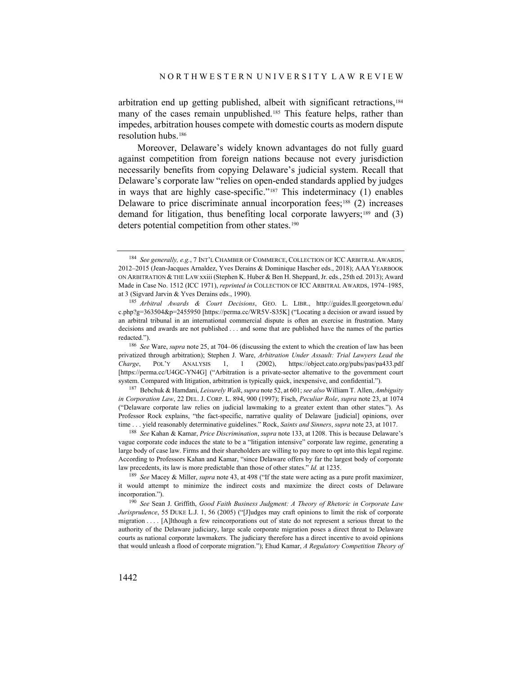arbitration end up getting published, albeit with significant retractions,<sup>[184](#page-39-0)</sup> many of the cases remain unpublished.<sup>[185](#page-39-1)</sup> This feature helps, rather than impedes, arbitration houses compete with domestic courts as modern dispute resolution hubs.[186](#page-39-2)

Moreover, Delaware's widely known advantages do not fully guard against competition from foreign nations because not every jurisdiction necessarily benefits from copying Delaware's judicial system. Recall that Delaware's corporate law "relies on open-ended standards applied by judges in ways that are highly case-specific."[187](#page-39-3) This indeterminacy (1) enables Delaware to price discriminate annual incorporation fees;<sup>[188](#page-39-4)</sup> (2) increases demand for litigation, thus benefiting local corporate lawyers;<sup>[189](#page-39-5)</sup> and (3) deters potential competition from other states.<sup>[190](#page-39-6)</sup>

<span id="page-39-0"></span><sup>184</sup> *See generally, e.g.*, 7 INT'L CHAMBER OF COMMERCE, COLLECTION OF ICC ARBITRAL AWARDS, 2012–2015 (Jean-Jacques Arnaldez, Yves Derains & Dominique Hascher eds., 2018); AAA YEARBOOK ON ARBITRATION & THE LAW xxiii (Stephen K. Huber & Ben H. Sheppard, Jr. eds., 25th ed. 2013); Award Made in Case No. 1512 (ICC 1971), *reprinted in* COLLECTION OF ICC ARBITRAL AWARDS, 1974–1985, at 3 (Sigvard Jarvin & Yves Derains eds., 1990).

<span id="page-39-1"></span><sup>185</sup> *Arbitral Awards & Court Decisions*, GEO. L. LIBR., http://guides.ll.georgetown.edu/ c.php?g=363504&p=2455950 [https://perma.cc/WR5V-S35K] ("Locating a decision or award issued by an arbitral tribunal in an international commercial dispute is often an exercise in frustration. Many decisions and awards are not published . . . and some that are published have the names of the parties redacted.").

<span id="page-39-2"></span><sup>186</sup> *See* Ware, *supra* not[e 25,](#page-5-5) at 704–06 (discussing the extent to which the creation of law has been privatized through arbitration); Stephen J. Ware, *Arbitration Under Assault: Trial Lawyers Lead the Charge*, POL'Y ANALYSIS 1, 1 (2002), https://object.cato.org/pubs/pas/pa433.pdf [https://perma.cc/U4GC-YN4G] ("Arbitration is a private-sector alternative to the government court system. Compared with litigation, arbitration is typically quick, inexpensive, and confidential.").

<span id="page-39-3"></span><sup>187</sup> Bebchuk & Hamdani, *Leisurely Walk*, *supra* not[e 52,](#page-11-4) at 601; *see also* William T. Allen, *Ambiguity in Corporation Law*, 22 DEL. J. CORP. L. 894, 900 (1997); Fisch, *Peculiar Role*, *supra* not[e 23,](#page-5-4) at 1074 ("Delaware corporate law relies on judicial lawmaking to a greater extent than other states."). As Professor Rock explains, "the fact-specific, narrative quality of Delaware [judicial] opinions, over time . . . yield reasonably determinative guidelines." Rock, *Saints and Sinners*, *supra* not[e 23,](#page-5-4) at 1017.

<span id="page-39-4"></span><sup>188</sup> *See* Kahan & Kamar, *Price Discrimination*, *supra* not[e 133,](#page-29-4) at 1208. This is because Delaware's vague corporate code induces the state to be a "litigation intensive" corporate law regime, generating a large body of case law. Firms and their shareholders are willing to pay more to opt into this legal regime. According to Professors Kahan and Kamar, "since Delaware offers by far the largest body of corporate law precedents, its law is more predictable than those of other states." *Id.* at 1235.

<span id="page-39-5"></span><sup>189</sup> *See* Macey & Miller, *supra* not[e 43,](#page-10-8) at 498 ("If the state were acting as a pure profit maximizer, it would attempt to minimize the indirect costs and maximize the direct costs of Delaware incorporation.").

<span id="page-39-6"></span><sup>190</sup> *See* Sean J. Griffith, *Good Faith Business Judgment: A Theory of Rhetoric in Corporate Law Jurisprudence*, 55 DUKE L.J. 1, 56 (2005) ("[J]udges may craft opinions to limit the risk of corporate migration . . . . [A]lthough a few reincorporations out of state do not represent a serious threat to the authority of the Delaware judiciary, large scale corporate migration poses a direct threat to Delaware courts as national corporate lawmakers. The judiciary therefore has a direct incentive to avoid opinions that would unleash a flood of corporate migration."); Ehud Kamar, *A Regulatory Competition Theory of*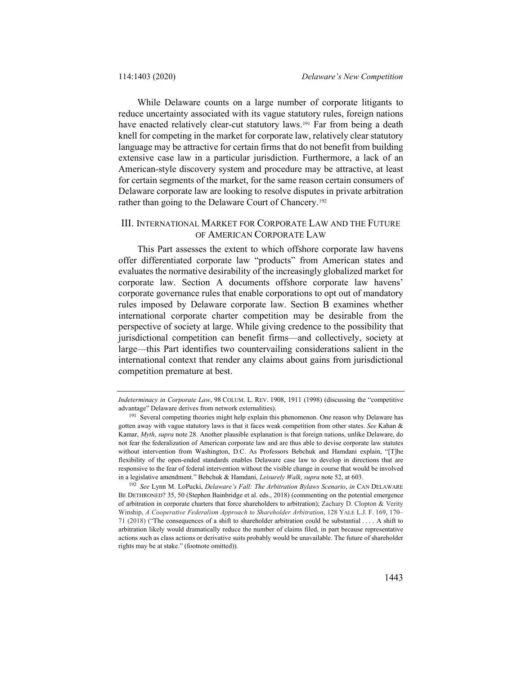While Delaware counts on a large number of corporate litigants to reduce uncertainty associated with its vague statutory rules, foreign nations have enacted relatively clear-cut statutory laws.<sup>[191](#page-40-0)</sup> Far from being a death knell for competing in the market for corporate law, relatively clear statutory language may be attractive for certain firms that do not benefit from building extensive case law in a particular jurisdiction. Furthermore, a lack of an American-style discovery system and procedure may be attractive, at least for certain segments of the market, for the same reason certain consumers of Delaware corporate law are looking to resolve disputes in private arbitration rather than going to the Delaware Court of Chancery[.192](#page-40-1)

## III. INTERNATIONAL MARKET FOR CORPORATE LAW AND THE FUTURE OF AMERICAN CORPORATE LAW

This Part assesses the extent to which offshore corporate law havens offer differentiated corporate law "products" from American states and evaluates the normative desirability of the increasingly globalized market for corporate law. Section A documents offshore corporate law havens' corporate governance rules that enable corporations to opt out of mandatory rules imposed by Delaware corporate law. Section B examines whether international corporate charter competition may be desirable from the perspective of society at large. While giving credence to the possibility that jurisdictional competition can benefit firms—and collectively, society at large—this Part identifies two countervailing considerations salient in the international context that render any claims about gains from jurisdictional competition premature at best.

*Indeterminacy in Corporate Law*, 98 COLUM. L. REV. 1908, 1911 (1998) (discussing the "competitive advantage" Delaware derives from network externalities).

<span id="page-40-0"></span><sup>&</sup>lt;sup>191</sup> Several competing theories might help explain this phenomenon. One reason why Delaware has gotten away with vague statutory laws is that it faces weak competition from other states. *See* Kahan & Kamar, *Myth*, *supra* note [28.](#page-6-5) Another plausible explanation is that foreign nations, unlike Delaware, do not fear the federalization of American corporate law and are thus able to devise corporate law statutes without intervention from Washington, D.C. As Professors Bebchuk and Hamdani explain, "[T]he flexibility of the open-ended standards enables Delaware case law to develop in directions that are responsive to the fear of federal intervention without the visible change in course that would be involved in a legislative amendment." Bebchuk & Hamdani, *Leisurely Walk*, *supra* not[e 52,](#page-11-4) at 603.

<span id="page-40-1"></span><sup>192</sup> *See* Lynn M. LoPucki, *Delaware's Fall: The Arbitration Bylaws Scenario*, *in* CAN DELAWARE BE DETHRONED? 35, 50 (Stephen Bainbridge et al. eds., 2018) (commenting on the potential emergence of arbitration in corporate charters that force shareholders to arbitration); Zachary D. Clopton & Verity Winship, *A Cooperative Federalism Approach to Shareholder Arbitration*, 128 YALE L.J. F. 169, 170– 71 (2018) ("The consequences of a shift to shareholder arbitration could be substantial . . . . A shift to arbitration likely would dramatically reduce the number of claims filed, in part because representative actions such as class actions or derivative suits probably would be unavailable. The future of shareholder rights may be at stake." (footnote omitted)).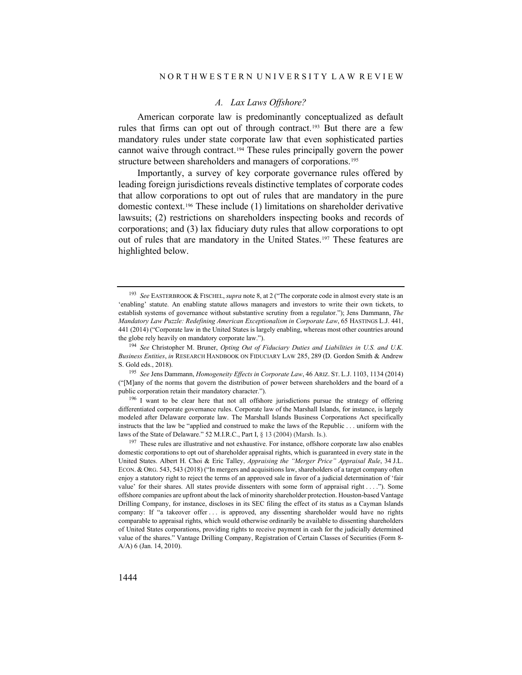#### *A. Lax Laws Offshore?*

American corporate law is predominantly conceptualized as default rules that firms can opt out of through contract.[193](#page-41-0) But there are a few mandatory rules under state corporate law that even sophisticated parties cannot waive through contract[.194](#page-41-1) These rules principally govern the power structure between shareholders and managers of corporations.<sup>[195](#page-41-2)</sup>

Importantly, a survey of key corporate governance rules offered by leading foreign jurisdictions reveals distinctive templates of corporate codes that allow corporations to opt out of rules that are mandatory in the pure domestic context[.196](#page-41-3) These include (1) limitations on shareholder derivative lawsuits; (2) restrictions on shareholders inspecting books and records of corporations; and (3) lax fiduciary duty rules that allow corporations to opt out of rules that are mandatory in the United States.[197](#page-41-4) These features are highlighted below.

<span id="page-41-3"></span><sup>196</sup> I want to be clear here that not all offshore jurisdictions pursue the strategy of offering differentiated corporate governance rules. Corporate law of the Marshall Islands, for instance, is largely modeled after Delaware corporate law. The Marshall Islands Business Corporations Act specifically instructs that the law be "applied and construed to make the laws of the Republic . . . uniform with the laws of the State of Delaware." 52 M.I.R.C., Part I, § 13 (2004) (Marsh. Is.).

<span id="page-41-0"></span><sup>193</sup> *See* EASTERBROOK & FISCHEL, *supra* not[e 8,](#page-2-7) at 2 ("The corporate code in almost every state is an 'enabling' statute. An enabling statute allows managers and investors to write their own tickets, to establish systems of governance without substantive scrutiny from a regulator."); Jens Dammann, *The Mandatory Law Puzzle: Redefining American Exceptionalism in Corporate Law*, 65 HASTINGS L.J. 441, 441 (2014) ("Corporate law in the United States is largely enabling, whereas most other countries around the globe rely heavily on mandatory corporate law.").

<span id="page-41-1"></span><sup>194</sup> *See* Christopher M. Bruner, *Opting Out of Fiduciary Duties and Liabilities in U.S. and U.K. Business Entities*, *in* RESEARCH HANDBOOK ON FIDUCIARY LAW 285, 289 (D. Gordon Smith & Andrew S. Gold eds., 2018).

<span id="page-41-2"></span><sup>195</sup> *See* Jens Dammann, *Homogeneity Effects in Corporate Law*, 46 ARIZ. ST. L.J. 1103, 1134 (2014) ("[M]any of the norms that govern the distribution of power between shareholders and the board of a public corporation retain their mandatory character.").

<span id="page-41-4"></span><sup>&</sup>lt;sup>197</sup> These rules are illustrative and not exhaustive. For instance, offshore corporate law also enables domestic corporations to opt out of shareholder appraisal rights, which is guaranteed in every state in the United States. Albert H. Choi & Eric Talley, *Appraising the "Merger Price" Appraisal Rule*, 34 J.L. ECON. & ORG. 543, 543 (2018) ("In mergers and acquisitions law, shareholders of a target company often enjoy a statutory right to reject the terms of an approved sale in favor of a judicial determination of 'fair value' for their shares. All states provide dissenters with some form of appraisal right . . . ."). Some offshore companies are upfront about the lack of minority shareholder protection. Houston-based Vantage Drilling Company, for instance, discloses in its SEC filing the effect of its status as a Cayman Islands company: If "a takeover offer . . . is approved, any dissenting shareholder would have no rights comparable to appraisal rights, which would otherwise ordinarily be available to dissenting shareholders of United States corporations, providing rights to receive payment in cash for the judicially determined value of the shares." Vantage Drilling Company, Registration of Certain Classes of Securities (Form 8- A/A) 6 (Jan. 14, 2010).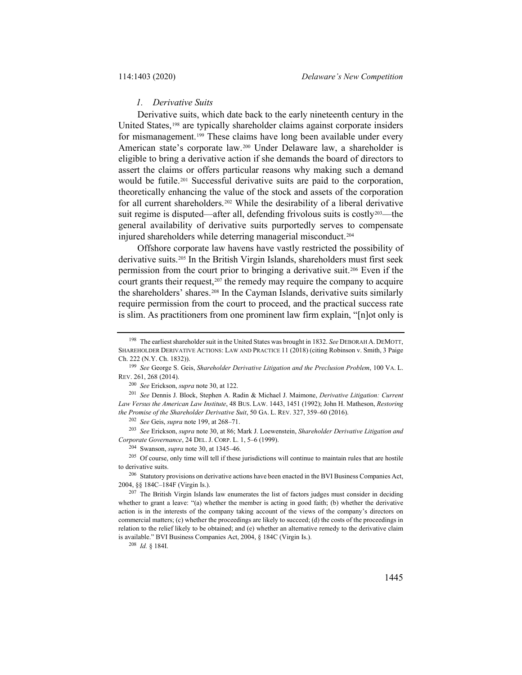#### <span id="page-42-0"></span>*1. Derivative Suits*

Derivative suits, which date back to the early nineteenth century in the United States,<sup>[198](#page-42-1)</sup> are typically shareholder claims against corporate insiders for mismanagement.<sup>[199](#page-42-2)</sup> These claims have long been available under every American state's corporate law.[200](#page-42-3) Under Delaware law, a shareholder is eligible to bring a derivative action if she demands the board of directors to assert the claims or offers particular reasons why making such a demand would be futile.[201](#page-42-4) Successful derivative suits are paid to the corporation, theoretically enhancing the value of the stock and assets of the corporation for all current shareholders.[202](#page-42-5) While the desirability of a liberal derivative suit regime is disputed—after all, defending frivolous suits is costly<sup>203</sup>—the general availability of derivative suits purportedly serves to compensate injured shareholders while deterring managerial misconduct[.204](#page-42-7)

Offshore corporate law havens have vastly restricted the possibility of derivative suits.[205](#page-42-8) In the British Virgin Islands, shareholders must first seek permission from the court prior to bringing a derivative suit.[206](#page-42-9) Even if the court grants their request, $207$  the remedy may require the company to acquire the shareholders' shares.[208](#page-42-11) In the Cayman Islands, derivative suits similarly require permission from the court to proceed, and the practical success rate is slim. As practitioners from one prominent law firm explain, "[n]ot only is

<sup>200</sup> *See* Erickson, *supra* not[e 30,](#page-6-7) at 122.

<span id="page-42-4"></span><span id="page-42-3"></span><sup>201</sup> *See* Dennis J. Block, Stephen A. Radin & Michael J. Maimone, *Derivative Litigation: Current Law Versus the American Law Institute*, 48 BUS. LAW. 1443, 1451 (1992); John H. Matheson, *Restoring the Promise of the Shareholder Derivative Suit*, 50 GA. L. REV. 327, 359–60 (2016).

<sup>202</sup> *See* Geis, *supra* not[e 199,](#page-42-0) at 268–71.

<span id="page-42-6"></span><span id="page-42-5"></span><sup>203</sup> *See* Erickson, *supra* not[e 30,](#page-6-7) at 86; Mark J. Loewenstein, *Shareholder Derivative Litigation and Corporate Governance*, 24 DEL. J. CORP. L. 1, 5–6 (1999).

<sup>204</sup> Swanson, *supra* not[e 30,](#page-6-7) at 1345–46.

<span id="page-42-8"></span><span id="page-42-7"></span><sup>205</sup> Of course, only time will tell if these jurisdictions will continue to maintain rules that are hostile to derivative suits.

<span id="page-42-9"></span><sup>206</sup> Statutory provisions on derivative actions have been enacted in the BVI Business Companies Act, 2004, §§ 184C–184F (Virgin Is.).

<span id="page-42-11"></span><sup>208</sup> *Id.* § 184I.

<span id="page-42-1"></span><sup>198</sup> The earliest shareholder suit in the United States was brought in 1832. *See* DEBORAH A. DEMOTT, SHAREHOLDER DERIVATIVE ACTIONS: LAW AND PRACTICE 11 (2018) (citing Robinson v. Smith, 3 Paige Ch. 222 (N.Y. Ch. 1832)).

<span id="page-42-2"></span><sup>199</sup> *See* George S. Geis, *Shareholder Derivative Litigation and the Preclusion Problem*, 100 VA. L. REV. 261, 268 (2014).

<span id="page-42-10"></span><sup>&</sup>lt;sup>207</sup> The British Virgin Islands law enumerates the list of factors judges must consider in deciding whether to grant a leave: "(a) whether the member is acting in good faith; (b) whether the derivative action is in the interests of the company taking account of the views of the company's directors on commercial matters; (c) whether the proceedings are likely to succeed; (d) the costs of the proceedings in relation to the relief likely to be obtained; and (e) whether an alternative remedy to the derivative claim is available." BVI Business Companies Act, 2004, § 184C (Virgin Is.).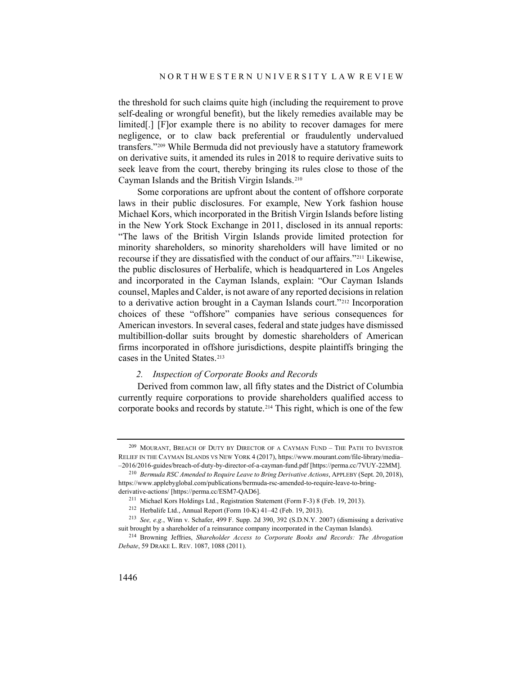the threshold for such claims quite high (including the requirement to prove self-dealing or wrongful benefit), but the likely remedies available may be limited[.] [F]or example there is no ability to recover damages for mere negligence, or to claw back preferential or fraudulently undervalued transfers."[209](#page-43-0) While Bermuda did not previously have a statutory framework on derivative suits, it amended its rules in 2018 to require derivative suits to seek leave from the court, thereby bringing its rules close to those of the Cayman Islands and the British Virgin Islands.[210](#page-43-1)

Some corporations are upfront about the content of offshore corporate laws in their public disclosures. For example, New York fashion house Michael Kors, which incorporated in the British Virgin Islands before listing in the New York Stock Exchange in 2011, disclosed in its annual reports: "The laws of the British Virgin Islands provide limited protection for minority shareholders, so minority shareholders will have limited or no recourse if they are dissatisfied with the conduct of our affairs.["211](#page-43-2) Likewise, the public disclosures of Herbalife, which is headquartered in Los Angeles and incorporated in the Cayman Islands, explain: "Our Cayman Islands counsel, Maples and Calder, is not aware of any reported decisions in relation to a derivative action brought in a Cayman Islands court."[212](#page-43-3) Incorporation choices of these "offshore" companies have serious consequences for American investors. In several cases, federal and state judges have dismissed multibillion-dollar suits brought by domestic shareholders of American firms incorporated in offshore jurisdictions, despite plaintiffs bringing the cases in the United States.[213](#page-43-4)

#### *2. Inspection of Corporate Books and Records*

Derived from common law, all fifty states and the District of Columbia currently require corporations to provide shareholders qualified access to corporate books and records by statute.[214](#page-43-5) This right, which is one of the few

<span id="page-43-0"></span><sup>&</sup>lt;sup>209</sup> MOURANT, BREACH OF DUTY BY DIRECTOR OF A CAYMAN FUND – THE PATH TO INVESTOR RELIEF IN THE CAYMAN ISLANDS VS NEW YORK 4 (2017), https://www.mourant.com/file-library/media– –2016/2016-guides/breach-of-duty-by-director-of-a-cayman-fund.pdf [https://perma.cc/7VUY-22MM].

<span id="page-43-1"></span><sup>210</sup> *Bermuda RSC Amended to Require Leave to Bring Derivative Actions*, APPLEBY (Sept. 20, 2018), https://www.applebyglobal.com/publications/bermuda-rsc-amended-to-require-leave-to-bringderivative-actions/ [https://perma.cc/ESM7-QAD6].

<sup>211</sup> Michael Kors Holdings Ltd., Registration Statement (Form F-3) 8 (Feb. 19, 2013).

<sup>212</sup> Herbalife Ltd., Annual Report (Form 10-K) 41–42 (Feb. 19, 2013).

<span id="page-43-4"></span><span id="page-43-3"></span><span id="page-43-2"></span><sup>213</sup> *See, e.g.*, Winn v. Schafer, 499 F. Supp. 2d 390, 392 (S.D.N.Y. 2007) (dismissing a derivative suit brought by a shareholder of a reinsurance company incorporated in the Cayman Islands).

<span id="page-43-5"></span><sup>214</sup> Browning Jeffries, *Shareholder Access to Corporate Books and Records: The Abrogation Debate*, 59 DRAKE L. REV. 1087, 1088 (2011).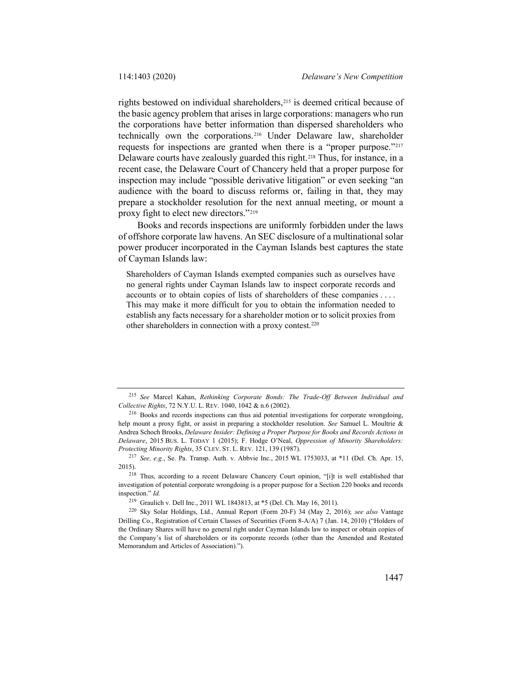rights bestowed on individual shareholders[,215](#page-44-0) is deemed critical because of the basic agency problem that arises in large corporations: managers who run the corporations have better information than dispersed shareholders who technically own the corporations.[216](#page-44-1) Under Delaware law, shareholder requests for inspections are granted when there is a "proper purpose."[217](#page-44-2) Delaware courts have zealously guarded this right.<sup>[218](#page-44-3)</sup> Thus, for instance, in a recent case, the Delaware Court of Chancery held that a proper purpose for inspection may include "possible derivative litigation" or even seeking "an audience with the board to discuss reforms or, failing in that, they may prepare a stockholder resolution for the next annual meeting, or mount a proxy fight to elect new directors."[219](#page-44-4)

Books and records inspections are uniformly forbidden under the laws of offshore corporate law havens. An SEC disclosure of a multinational solar power producer incorporated in the Cayman Islands best captures the state of Cayman Islands law:

Shareholders of Cayman Islands exempted companies such as ourselves have no general rights under Cayman Islands law to inspect corporate records and accounts or to obtain copies of lists of shareholders of these companies . . . . This may make it more difficult for you to obtain the information needed to establish any facts necessary for a shareholder motion or to solicit proxies from other shareholders in connection with a proxy contest[.220](#page-44-5)

<span id="page-44-0"></span><sup>215</sup> *See* Marcel Kahan, *Rethinking Corporate Bonds: The Trade-Off Between Individual and Collective Rights*, 72 N.Y.U. L. REV. 1040, 1042 & n.6 (2002).

<span id="page-44-1"></span><sup>216</sup> Books and records inspections can thus aid potential investigations for corporate wrongdoing, help mount a proxy fight, or assist in preparing a stockholder resolution. *See* Samuel L. Moultrie & Andrea Schoch Brooks, *Delaware Insider: Defining a Proper Purpose for Books and Records Actions in Delaware*, 2015 BUS. L. TODAY 1 (2015); F. Hodge O'Neal, *Oppression of Minority Shareholders: Protecting Minority Rights*, 35 CLEV. ST. L. REV. 121, 139 (1987).

<span id="page-44-2"></span><sup>217</sup> *See, e.g.*, Se. Pa. Transp. Auth. v. Abbvie Inc., 2015 WL 1753033, at \*11 (Del. Ch. Apr. 15, 2015).

<span id="page-44-3"></span><sup>218</sup> Thus, according to a recent Delaware Chancery Court opinion, "[i]t is well established that investigation of potential corporate wrongdoing is a proper purpose for a Section 220 books and records inspection." *Id.*

<sup>&</sup>lt;sup>219</sup> Graulich v. Dell Inc., 2011 WL 1843813, at \*5 (Del. Ch. May 16, 2011).

<span id="page-44-5"></span><span id="page-44-4"></span><sup>220</sup> Sky Solar Holdings, Ltd., Annual Report (Form 20-F) 34 (May 2, 2016); *see also* Vantage Drilling Co., Registration of Certain Classes of Securities (Form 8-A/A) 7 (Jan. 14, 2010) ("Holders of the Ordinary Shares will have no general right under Cayman Islands law to inspect or obtain copies of the Company's list of shareholders or its corporate records (other than the Amended and Restated Memorandum and Articles of Association).").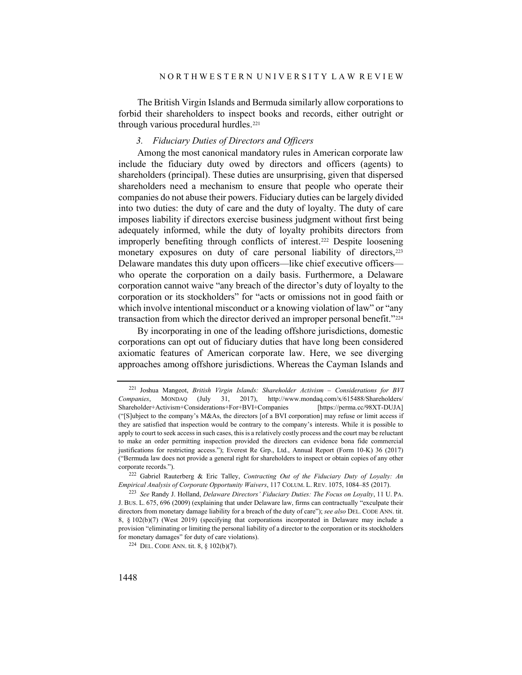The British Virgin Islands and Bermuda similarly allow corporations to forbid their shareholders to inspect books and records, either outright or through various procedural hurdles.<sup>[221](#page-45-0)</sup>

#### <span id="page-45-4"></span>*3. Fiduciary Duties of Directors and Officers*

Among the most canonical mandatory rules in American corporate law include the fiduciary duty owed by directors and officers (agents) to shareholders (principal). These duties are unsurprising, given that dispersed shareholders need a mechanism to ensure that people who operate their companies do not abuse their powers. Fiduciary duties can be largely divided into two duties: the duty of care and the duty of loyalty. The duty of care imposes liability if directors exercise business judgment without first being adequately informed, while the duty of loyalty prohibits directors from improperly benefiting through conflicts of interest.[222](#page-45-1) Despite loosening monetary exposures on duty of care personal liability of directors,<sup>[223](#page-45-2)</sup> Delaware mandates this duty upon officers—like chief executive officers who operate the corporation on a daily basis. Furthermore, a Delaware corporation cannot waive "any breach of the director's duty of loyalty to the corporation or its stockholders" for "acts or omissions not in good faith or which involve intentional misconduct or a knowing violation of law" or "any transaction from which the director derived an improper personal benefit."<sup>[224](#page-45-3)</sup>

By incorporating in one of the leading offshore jurisdictions, domestic corporations can opt out of fiduciary duties that have long been considered axiomatic features of American corporate law. Here, we see diverging approaches among offshore jurisdictions. Whereas the Cayman Islands and

<span id="page-45-3"></span><sup>224</sup> DEL. CODE ANN. tit. 8, § 102(b)(7).

<span id="page-45-0"></span><sup>221</sup> Joshua Mangeot, *British Virgin Islands: Shareholder Activism – Considerations for BVI Companies*, MONDAQ (July 31, 2017), http://www.mondaq.com/x/615488/Shareholders/ Shareholder+Activism+Considerations+For+BVI+Companies [https://perma.cc/98XT-DUJA] ("[S]ubject to the company's M&As, the directors [of a BVI corporation] may refuse or limit access if they are satisfied that inspection would be contrary to the company's interests. While it is possible to apply to court to seek access in such cases, this is a relatively costly process and the court may be reluctant to make an order permitting inspection provided the directors can evidence bona fide commercial justifications for restricting access."); Everest Re Grp., Ltd., Annual Report (Form 10-K) 36 (2017) ("Bermuda law does not provide a general right for shareholders to inspect or obtain copies of any other corporate records.").

<span id="page-45-1"></span><sup>222</sup> Gabriel Rauterberg & Eric Talley, *Contracting Out of the Fiduciary Duty of Loyalty: An Empirical Analysis of Corporate Opportunity Waivers*, 117 COLUM. L. REV. 1075, 1084–85 (2017).

<span id="page-45-2"></span><sup>223</sup> *See* Randy J. Holland, *Delaware Directors' Fiduciary Duties: The Focus on Loyalty*, 11 U. PA. J. BUS. L. 675, 696 (2009) (explaining that under Delaware law, firms can contractually "exculpate their directors from monetary damage liability for a breach of the duty of care"); *see also* DEL. CODE ANN. tit. 8, § 102(b)(7) (West 2019) (specifying that corporations incorporated in Delaware may include a provision "eliminating or limiting the personal liability of a director to the corporation or its stockholders for monetary damages" for duty of care violations).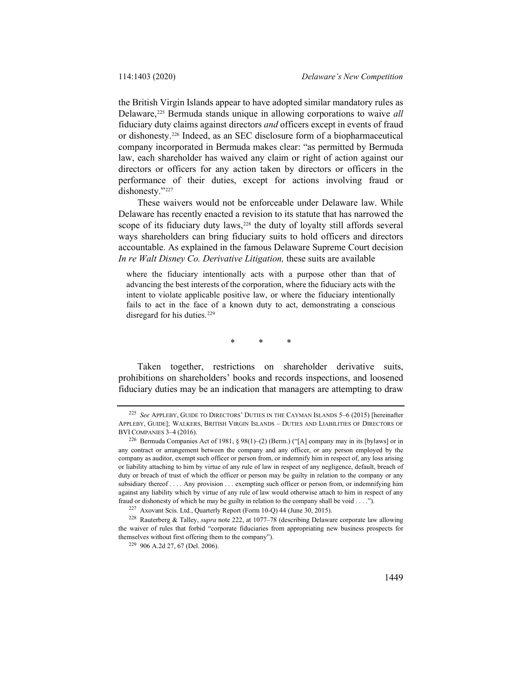<span id="page-46-5"></span>the British Virgin Islands appear to have adopted similar mandatory rules as Delaware,[225](#page-46-0) Bermuda stands unique in allowing corporations to waive *all*  fiduciary duty claims against directors *and* officers except in events of fraud or dishonesty.[226](#page-46-1) Indeed, as an SEC disclosure form of a biopharmaceutical company incorporated in Bermuda makes clear: "as permitted by Bermuda law, each shareholder has waived any claim or right of action against our directors or officers for any action taken by directors or officers in the performance of their duties, except for actions involving fraud or dishonesty."[227](#page-46-2)

These waivers would not be enforceable under Delaware law. While Delaware has recently enacted a revision to its statute that has narrowed the scope of its fiduciary duty laws,<sup>228</sup> the duty of loyalty still affords several ways shareholders can bring fiduciary suits to hold officers and directors accountable. As explained in the famous Delaware Supreme Court decision *In re Walt Disney Co. Derivative Litigation,* these suits are available

where the fiduciary intentionally acts with a purpose other than that of advancing the best interests of the corporation, where the fiduciary acts with the intent to violate applicable positive law, or where the fiduciary intentionally fails to act in the face of a known duty to act, demonstrating a conscious disregard for his duties.<sup>[229](#page-46-4)</sup>

\* \* \*

Taken together, restrictions on shareholder derivative suits, prohibitions on shareholders' books and records inspections, and loosened fiduciary duties may be an indication that managers are attempting to draw

<span id="page-46-0"></span><sup>225</sup> *See* APPLEBY, GUIDE TO DIRECTORS' DUTIES IN THE CAYMAN ISLANDS 5–6 (2015) [hereinafter APPLEBY, GUIDE]; WALKERS, BRITISH VIRGIN ISLANDS – DUTIES AND LIABILITIES OF DIRECTORS OF BVI COMPANIES 3–4 (2016).

<span id="page-46-1"></span><sup>226</sup> Bermuda Companies Act of 1981, § 98(1)–(2) (Berm.) ("[A] company may in its [bylaws] or in any contract or arrangement between the company and any officer, or any person employed by the company as auditor, exempt such officer or person from, or indemnify him in respect of, any loss arising or liability attaching to him by virtue of any rule of law in respect of any negligence, default, breach of duty or breach of trust of which the officer or person may be guilty in relation to the company or any subsidiary thereof . . . . Any provision . . . exempting such officer or person from, or indemnifying him against any liability which by virtue of any rule of law would otherwise attach to him in respect of any fraud or dishonesty of which he may be guilty in relation to the company shall be void . . . .").

<sup>227</sup> Axovant Scis. Ltd., Quarterly Report (Form 10-Q) 44 (June 30, 2015).

<span id="page-46-4"></span><span id="page-46-3"></span><span id="page-46-2"></span><sup>228</sup> Rauterberg & Talley, *supra* note [222,](#page-45-4) at 1077–78 (describing Delaware corporate law allowing the waiver of rules that forbid "corporate fiduciaries from appropriating new business prospects for themselves without first offering them to the company").

<sup>229</sup> 906 A.2d 27, 67 (Del. 2006).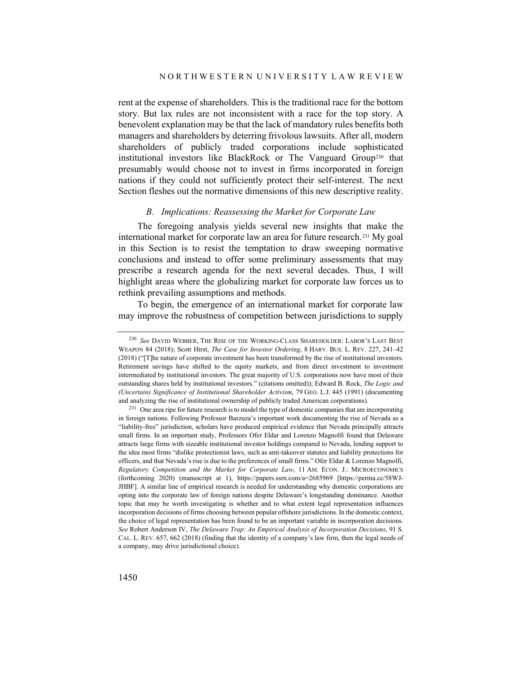rent at the expense of shareholders. This is the traditional race for the bottom story. But lax rules are not inconsistent with a race for the top story. A benevolent explanation may be that the lack of mandatory rules benefits both managers and shareholders by deterring frivolous lawsuits. After all, modern shareholders of publicly traded corporations include sophisticated institutional investors like BlackRock or The Vanguard Group<sup>[230](#page-47-0)</sup> that presumably would choose not to invest in firms incorporated in foreign nations if they could not sufficiently protect their self-interest. The next Section fleshes out the normative dimensions of this new descriptive reality.

## *B. Implications: Reassessing the Market for Corporate Law*

The foregoing analysis yields several new insights that make the international market for corporate law an area for future research.[231](#page-47-1) My goal in this Section is to resist the temptation to draw sweeping normative conclusions and instead to offer some preliminary assessments that may prescribe a research agenda for the next several decades. Thus, I will highlight areas where the globalizing market for corporate law forces us to rethink prevailing assumptions and methods.

To begin, the emergence of an international market for corporate law may improve the robustness of competition between jurisdictions to supply

<span id="page-47-0"></span><sup>230</sup> *See* DAVID WEBBER, THE RISE OF THE WORKING-CLASS SHAREHOLDER: LABOR'S LAST BEST WEAPON 84 (2018); Scott Hirst, *The Case for Investor Ordering*, 8 HARV. BUS. L. REV. 227, 241–42 (2018) ("[T]he nature of corporate investment has been transformed by the rise of institutional investors. Retirement savings have shifted to the equity markets, and from direct investment to investment intermediated by institutional investors. The great majority of U.S. corporations now have most of their outstanding shares held by institutional investors." (citations omitted)); Edward B. Rock, *The Logic and (Uncertain) Significance of Institutional Shareholder Activism*, 79 GEO. L.J. 445 (1991) (documenting and analyzing the rise of institutional ownership of publicly traded American corporations).

<span id="page-47-1"></span><sup>&</sup>lt;sup>231</sup> One area ripe for future research is to model the type of domestic companies that are incorporating in foreign nations. Following Professor Barzuza's important work documenting the rise of Nevada as a "liability-free" jurisdiction, scholars have produced empirical evidence that Nevada principally attracts small firms. In an important study, Professors Ofer Eldar and Lorenzo Magnolfi found that Delaware attracts large firms with sizeable institutional investor holdings compared to Nevada, lending support to the idea most firms "dislike protectionist laws, such as anti-takeover statutes and liability protections for officers, and that Nevada's rise is due to the preferences of small firms." Ofer Eldar & Lorenzo Magnolfi, *Regulatory Competition and the Market for Corporate Law*, 11 AM. ECON. J.: MICROECONOMICS (forthcoming 2020) (manuscript at 1), https://papers.ssrn.com/a=2685969 [https://perma.cc/58WJ-JHBF]. A similar line of empirical research is needed for understanding why domestic corporations are opting into the corporate law of foreign nations despite Delaware's longstanding dominance. Another topic that may be worth investigating is whether and to what extent legal representation influences incorporation decisions of firms choosing between popular offshore jurisdictions. In the domestic context, the choice of legal representation has been found to be an important variable in incorporation decisions. *See* Robert Anderson IV, *The Delaware Trap: An Empirical Analysis of Incorporation Decisions*, 91 S. CAL. L. REV. 657, 662 (2018) (finding that the identity of a company's law firm, then the legal needs of a company, may drive jurisdictional choice).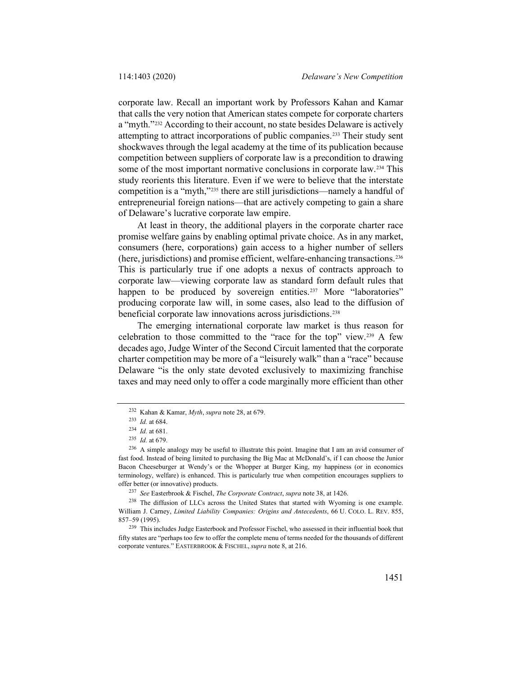corporate law. Recall an important work by Professors Kahan and Kamar that calls the very notion that American states compete for corporate charters a "myth."[232](#page-48-0) According to their account, no state besides Delaware is actively attempting to attract incorporations of public companies.[233](#page-48-1) Their study sent shockwaves through the legal academy at the time of its publication because competition between suppliers of corporate law is a precondition to drawing some of the most important normative conclusions in corporate law.<sup>[234](#page-48-2)</sup> This study reorients this literature. Even if we were to believe that the interstate competition is a "myth,"[235](#page-48-3) there are still jurisdictions—namely a handful of entrepreneurial foreign nations—that are actively competing to gain a share of Delaware's lucrative corporate law empire.

At least in theory, the additional players in the corporate charter race promise welfare gains by enabling optimal private choice. As in any market, consumers (here, corporations) gain access to a higher number of sellers (here, jurisdictions) and promise efficient, welfare-enhancing transactions.[236](#page-48-4) This is particularly true if one adopts a nexus of contracts approach to corporate law—viewing corporate law as standard form default rules that happen to be produced by sovereign entities.<sup>[237](#page-48-5)</sup> More "laboratories" producing corporate law will, in some cases, also lead to the diffusion of beneficial corporate law innovations across jurisdictions.<sup>[238](#page-48-6)</sup>

The emerging international corporate law market is thus reason for celebration to those committed to the "race for the top" view.[239](#page-48-7) A few decades ago, Judge Winter of the Second Circuit lamented that the corporate charter competition may be more of a "leisurely walk" than a "race" because Delaware "is the only state devoted exclusively to maximizing franchise taxes and may need only to offer a code marginally more efficient than other

<sup>232</sup> Kahan & Kamar, *Myth*, *supra* not[e 28,](#page-6-5) at 679.

<sup>233</sup> *Id.* at 684.

<sup>234</sup> *Id.* at 681.

<sup>235</sup> *Id.* at 679.

<span id="page-48-4"></span><span id="page-48-3"></span><span id="page-48-2"></span><span id="page-48-1"></span><span id="page-48-0"></span><sup>236</sup> A simple analogy may be useful to illustrate this point. Imagine that I am an avid consumer of fast food. Instead of being limited to purchasing the Big Mac at McDonald's, if I can choose the Junior Bacon Cheeseburger at Wendy's or the Whopper at Burger King, my happiness (or in economics terminology, welfare) is enhanced. This is particularly true when competition encourages suppliers to offer better (or innovative) products.

<sup>237</sup> *See* Easterbrook & Fischel, *The Corporate Contract*, *supra* not[e 38,](#page-9-5) at 1426.

<span id="page-48-6"></span><span id="page-48-5"></span><sup>238</sup> The diffusion of LLCs across the United States that started with Wyoming is one example. William J. Carney, *Limited Liability Companies: Origins and Antecedents*, 66 U. COLO. L. REV. 855, 857–59 (1995).

<span id="page-48-7"></span><sup>239</sup> This includes Judge Easterbook and Professor Fischel, who assessed in their influential book that fifty states are "perhaps too few to offer the complete menu of terms needed for the thousands of different corporate ventures." EASTERBROOK & FISCHEL, *supra* not[e 8,](#page-2-7) at 216.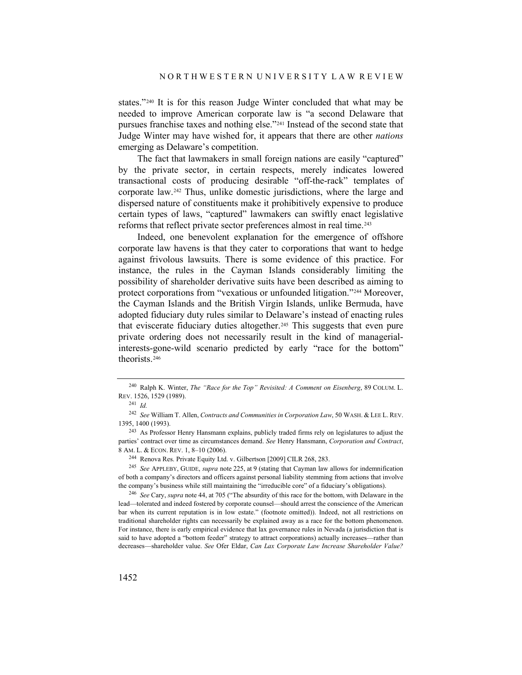states."[240](#page-49-0) It is for this reason Judge Winter concluded that what may be needed to improve American corporate law is "a second Delaware that pursues franchise taxes and nothing else."[241](#page-49-1) Instead of the second state that Judge Winter may have wished for, it appears that there are other *nations* emerging as Delaware's competition.

The fact that lawmakers in small foreign nations are easily "captured" by the private sector, in certain respects, merely indicates lowered transactional costs of producing desirable "off-the-rack" templates of corporate law.[242](#page-49-2) Thus, unlike domestic jurisdictions, where the large and dispersed nature of constituents make it prohibitively expensive to produce certain types of laws, "captured" lawmakers can swiftly enact legislative reforms that reflect private sector preferences almost in real time.[243](#page-49-3)

Indeed, one benevolent explanation for the emergence of offshore corporate law havens is that they cater to corporations that want to hedge against frivolous lawsuits. There is some evidence of this practice. For instance, the rules in the Cayman Islands considerably limiting the possibility of shareholder derivative suits have been described as aiming to protect corporations from "vexatious or unfounded litigation."[244](#page-49-4) Moreover, the Cayman Islands and the British Virgin Islands, unlike Bermuda, have adopted fiduciary duty rules similar to Delaware's instead of enacting rules that eviscerate fiduciary duties altogether.[245](#page-49-5) This suggests that even pure private ordering does not necessarily result in the kind of managerialinterests-gone-wild scenario predicted by early "race for the bottom" theorists.[246](#page-49-6)

<span id="page-49-6"></span><sup>246</sup> *See* Cary, *supra* note [44,](#page-10-9) at 705 ("The absurdity of this race for the bottom, with Delaware in the lead—tolerated and indeed fostered by corporate counsel—should arrest the conscience of the American bar when its current reputation is in low estate." (footnote omitted)). Indeed, not all restrictions on traditional shareholder rights can necessarily be explained away as a race for the bottom phenomenon. For instance, there is early empirical evidence that lax governance rules in Nevada (a jurisdiction that is said to have adopted a "bottom feeder" strategy to attract corporations) actually increases—rather than decreases—shareholder value. *See* Ofer Eldar, *Can Lax Corporate Law Increase Shareholder Value?* 

<span id="page-49-0"></span><sup>240</sup> Ralph K. Winter, *The "Race for the Top" Revisited: A Comment on Eisenberg*, 89 COLUM. L. REV. 1526, 1529 (1989).

<sup>241</sup> *Id.*

<span id="page-49-2"></span><span id="page-49-1"></span><sup>242</sup> *See* William T. Allen, *Contracts and Communities in Corporation Law*, 50 WASH. & LEE L. REV. 1395, 1400 (1993).

<span id="page-49-3"></span><sup>&</sup>lt;sup>243</sup> As Professor Henry Hansmann explains, publicly traded firms rely on legislatures to adjust the parties' contract over time as circumstances demand. *See* Henry Hansmann, *Corporation and Contract*, 8 AM. L. & ECON. REV. 1, 8–10 (2006).

<sup>244</sup> Renova Res. Private Equity Ltd. v. Gilbertson [2009] CILR 268, 283.

<span id="page-49-5"></span><span id="page-49-4"></span><sup>245</sup> *See* APPLEBY, GUIDE, *supra* note [225,](#page-46-5) at 9 (stating that Cayman law allows for indemnification of both a company's directors and officers against personal liability stemming from actions that involve the company's business while still maintaining the "irreducible core" of a fiduciary's obligations).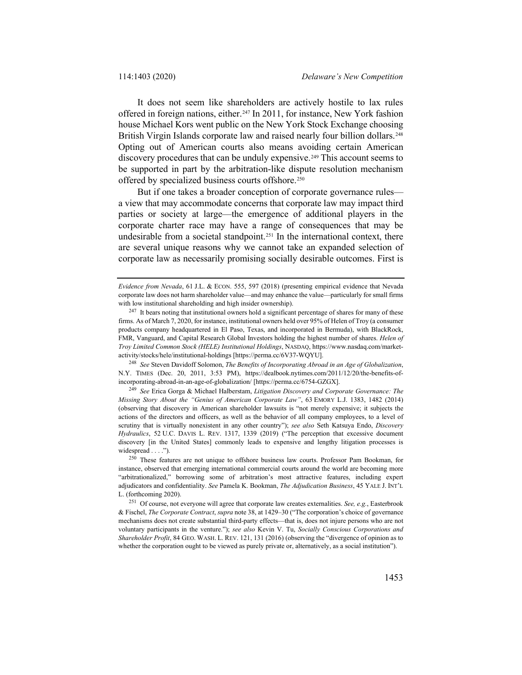It does not seem like shareholders are actively hostile to lax rules offered in foreign nations, either[.247](#page-50-0) In 2011, for instance, New York fashion house Michael Kors went public on the New York Stock Exchange choosing British Virgin Islands corporate law and raised nearly four billion dollars.<sup>[248](#page-50-1)</sup> Opting out of American courts also means avoiding certain American discovery procedures that can be unduly expensive.<sup>[249](#page-50-2)</sup> This account seems to be supported in part by the arbitration-like dispute resolution mechanism offered by specialized business courts offshore.[250](#page-50-3)

But if one takes a broader conception of corporate governance rules a view that may accommodate concerns that corporate law may impact third parties or society at large—the emergence of additional players in the corporate charter race may have a range of consequences that may be undesirable from a societal standpoint.[251](#page-50-4) In the international context, there are several unique reasons why we cannot take an expanded selection of corporate law as necessarily promising socially desirable outcomes. First is

<span id="page-50-1"></span><sup>248</sup> *See* Steven Davidoff Solomon, *The Benefits of Incorporating Abroad in an Age of Globalization*, N.Y. TIMES (Dec. 20, 2011, 3:53 PM), https://dealbook.nytimes.com/2011/12/20/the-benefits-ofincorporating-abroad-in-an-age-of-globalization/ [https://perma.cc/6754-GZGX].

<span id="page-50-2"></span><sup>249</sup> *See* Erica Gorga & Michael Halberstam, *Litigation Discovery and Corporate Governance: The Missing Story About the "Genius of American Corporate Law"*, 63 EMORY L.J. 1383, 1482 (2014) (observing that discovery in American shareholder lawsuits is "not merely expensive; it subjects the actions of the directors and officers, as well as the behavior of all company employees, to a level of scrutiny that is virtually nonexistent in any other country"); *see also* Seth Katsuya Endo, *Discovery Hydraulics*, 52 U.C. DAVIS L. REV. 1317, 1339 (2019) ("The perception that excessive document discovery [in the United States] commonly leads to expensive and lengthy litigation processes is widespread . . . .").

*Evidence from Nevada*, 61 J.L. & ECON. 555, 597 (2018) (presenting empirical evidence that Nevada corporate law does not harm shareholder value—and may enhance the value—particularly for small firms with low institutional shareholding and high insider ownership).

<span id="page-50-0"></span><sup>&</sup>lt;sup>247</sup> It bears noting that institutional owners hold a significant percentage of shares for many of these firms. As of March 7, 2020, for instance, institutional owners held over 95% of Helen of Troy (a consumer products company headquartered in El Paso, Texas, and incorporated in Bermuda), with BlackRock, FMR, Vanguard, and Capital Research Global Investors holding the highest number of shares. *Helen of Troy Limited Common Stock (HELE) Institutional Holdings*, NASDAQ, https://www.nasdaq.com/marketactivity/stocks/hele/institutional-holdings [https://perma.cc/6V37-WQYU].

<span id="page-50-3"></span><sup>250</sup> These features are not unique to offshore business law courts. Professor Pam Bookman, for instance, observed that emerging international commercial courts around the world are becoming more "arbitrationalized," borrowing some of arbitration's most attractive features, including expert adjudicators and confidentiality. *See* Pamela K. Bookman, *The Adjudication Business*, 45 YALE J. INT'L L. (forthcoming 2020).

<span id="page-50-4"></span><sup>251</sup> Of course, not everyone will agree that corporate law creates externalities. *See, e.g.*, Easterbrook & Fischel, *The Corporate Contract*, *supra* not[e 38,](#page-9-5) at 1429–30 ("The corporation's choice of governance mechanisms does not create substantial third-party effects—that is, does not injure persons who are not voluntary participants in the venture."); *see also* Kevin V. Tu, *Socially Conscious Corporations and Shareholder Profit*, 84 GEO. WASH. L. REV. 121, 131 (2016) (observing the "divergence of opinion as to whether the corporation ought to be viewed as purely private or, alternatively, as a social institution").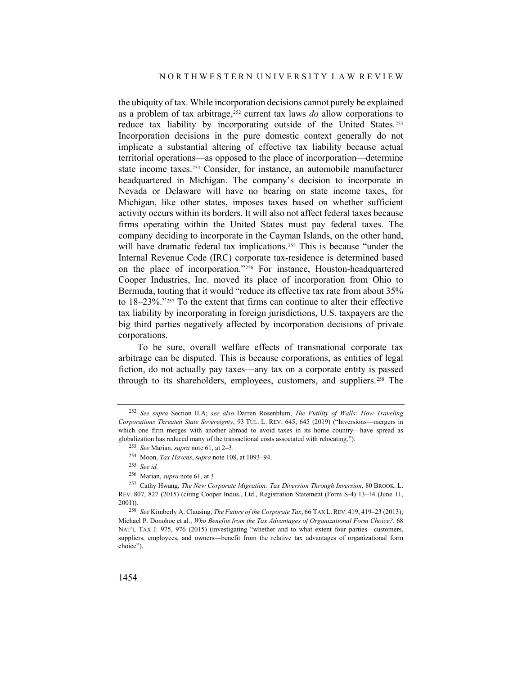the ubiquity of tax. While incorporation decisions cannot purely be explained as a problem of tax arbitrage,[252](#page-51-0) current tax laws *do* allow corporations to reduce tax liability by incorporating outside of the United States.[253](#page-51-1) Incorporation decisions in the pure domestic context generally do not implicate a substantial altering of effective tax liability because actual territorial operations—as opposed to the place of incorporation—determine state income taxes.[254](#page-51-2) Consider, for instance, an automobile manufacturer headquartered in Michigan. The company's decision to incorporate in Nevada or Delaware will have no bearing on state income taxes, for Michigan, like other states, imposes taxes based on whether sufficient activity occurs within its borders. It will also not affect federal taxes because firms operating within the United States must pay federal taxes. The company deciding to incorporate in the Cayman Islands, on the other hand, will have dramatic federal tax implications.<sup>[255](#page-51-3)</sup> This is because "under the Internal Revenue Code (IRC) corporate tax-residence is determined based on the place of incorporation."[256](#page-51-4) For instance, Houston-headquartered Cooper Industries, Inc. moved its place of incorporation from Ohio to Bermuda, touting that it would "reduce its effective tax rate from about 35% to 18–23%."[257](#page-51-5) To the extent that firms can continue to alter their effective tax liability by incorporating in foreign jurisdictions, U.S. taxpayers are the big third parties negatively affected by incorporation decisions of private corporations.

To be sure, overall welfare effects of transnational corporate tax arbitrage can be disputed. This is because corporations, as entities of legal fiction, do not actually pay taxes—any tax on a corporate entity is passed through to its shareholders, employees, customers, and suppliers.<sup>[258](#page-51-6)</sup> The

<span id="page-51-1"></span><span id="page-51-0"></span><sup>252</sup> *See supra* Section II.A; *see also* Darren Rosenblum, *The Futility of Walls: How Traveling Corporations Threaten State Sovereignty*, 93 TUL. L. REV. 645, 645 (2019) ("Inversions—mergers in which one firm merges with another abroad to avoid taxes in its home country—have spread as globalization has reduced many of the transactional costs associated with relocating.").

<sup>253</sup> *See* Marian, *supra* not[e 61,](#page-14-6) at 2–3.

<sup>254</sup> Moon, *Tax Havens*, *supra* not[e 108,](#page-23-5) at 1093–94.

<sup>255</sup> *See id.*

<sup>256</sup> Marian, *supra* not[e 61,](#page-14-6) at 3.

<span id="page-51-5"></span><span id="page-51-4"></span><span id="page-51-3"></span><span id="page-51-2"></span><sup>257</sup> Cathy Hwang, *The New Corporate Migration: Tax Diversion Through Inversion*, 80 BROOK. L. REV. 807, 827 (2015) (citing Cooper Indus., Ltd., Registration Statement (Form S-4) 13–14 (June 11, 2001)).

<span id="page-51-6"></span><sup>258</sup> *See* Kimberly A. Clausing, *The Future of the Corporate Tax*, 66 TAX L. REV. 419, 419–23 (2013); Michael P. Donohoe et al., *Who Benefits from the Tax Advantages of Organizational Form Choice?*, 68 NAT'L TAX J. 975, 976 (2015) (investigating "whether and to what extent four parties—customers, suppliers, employees, and owners—benefit from the relative tax advantages of organizational form choice").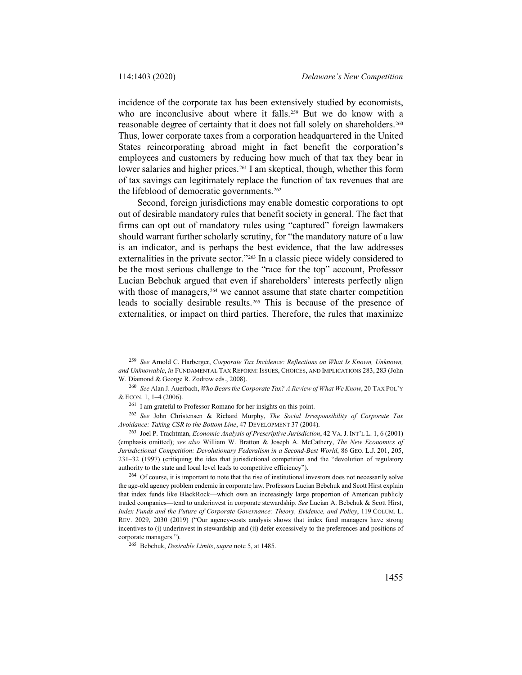incidence of the corporate tax has been extensively studied by economists, who are inconclusive about where it falls.<sup>[259](#page-52-0)</sup> But we do know with a reasonable degree of certainty that it does not fall solely on shareholders.[260](#page-52-1) Thus, lower corporate taxes from a corporation headquartered in the United States reincorporating abroad might in fact benefit the corporation's employees and customers by reducing how much of that tax they bear in lower salaries and higher prices.<sup>[261](#page-52-2)</sup> I am skeptical, though, whether this form of tax savings can legitimately replace the function of tax revenues that are the lifeblood of democratic governments.<sup>[262](#page-52-3)</sup>

Second, foreign jurisdictions may enable domestic corporations to opt out of desirable mandatory rules that benefit society in general. The fact that firms can opt out of mandatory rules using "captured" foreign lawmakers should warrant further scholarly scrutiny, for "the mandatory nature of a law is an indicator, and is perhaps the best evidence, that the law addresses externalities in the private sector."<sup>[263](#page-52-4)</sup> In a classic piece widely considered to be the most serious challenge to the "race for the top" account, Professor Lucian Bebchuk argued that even if shareholders' interests perfectly align with those of managers, <sup>[264](#page-52-5)</sup> we cannot assume that state charter competition leads to socially desirable results[.265](#page-52-6) This is because of the presence of externalities, or impact on third parties. Therefore, the rules that maximize

<span id="page-52-5"></span><sup>264</sup> Of course, it is important to note that the rise of institutional investors does not necessarily solve the age-old agency problem endemic in corporate law. Professors Lucian Bebchuk and Scott Hirst explain that index funds like BlackRock—which own an increasingly large proportion of American publicly traded companies—tend to underinvest in corporate stewardship. *See* Lucian A. Bebchuk & Scott Hirst, *Index Funds and the Future of Corporate Governance: Theory, Evidence, and Policy*, 119 COLUM. L. REV. 2029, 2030 (2019) ("Our agency-costs analysis shows that index fund managers have strong incentives to (i) underinvest in stewardship and (ii) defer excessively to the preferences and positions of corporate managers.").

<span id="page-52-0"></span><sup>259</sup> *See* Arnold C. Harberger, *Corporate Tax Incidence: Reflections on What Is Known, Unknown, and Unknowable*, *in* FUNDAMENTAL TAX REFORM: ISSUES, CHOICES, AND IMPLICATIONS 283, 283 (John W. Diamond & George R. Zodrow eds., 2008).

<span id="page-52-1"></span><sup>260</sup> *See* Alan J. Auerbach, *Who Bearsthe Corporate Tax? A Review of What We Know*, 20 TAX POL'Y & ECON. 1, 1–4 (2006).

<sup>261</sup> I am grateful to Professor Romano for her insights on this point.

<span id="page-52-3"></span><span id="page-52-2"></span><sup>262</sup> *See* John Christensen & Richard Murphy, *The Social Irresponsibility of Corporate Tax Avoidance: Taking CSR to the Bottom Line*, 47 DEVELOPMENT 37 (2004).

<span id="page-52-4"></span><sup>263</sup> Joel P. Trachtman, *Economic Analysis of Prescriptive Jurisdiction*, 42 VA.J. INT'L L. 1, 6 (2001) (emphasis omitted); *see also* William W. Bratton & Joseph A. McCathery, *The New Economics of Jurisdictional Competition: Devolutionary Federalism in a Second-Best World*, 86 GEO. L.J. 201, 205, 231–32 (1997) (critiquing the idea that jurisdictional competition and the "devolution of regulatory authority to the state and local level leads to competitive efficiency").

<span id="page-52-6"></span><sup>265</sup> Bebchuk, *Desirable Limits*, *supra* not[e 5,](#page-2-6) at 1485.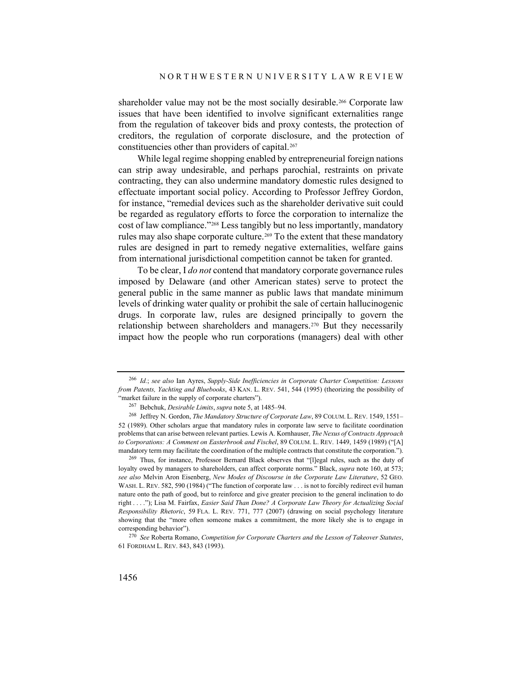shareholder value may not be the most socially desirable.<sup>[266](#page-53-0)</sup> Corporate law issues that have been identified to involve significant externalities range from the regulation of takeover bids and proxy contests, the protection of creditors, the regulation of corporate disclosure, and the protection of constituencies other than providers of capital.<sup>[267](#page-53-1)</sup>

While legal regime shopping enabled by entrepreneurial foreign nations can strip away undesirable, and perhaps parochial, restraints on private contracting, they can also undermine mandatory domestic rules designed to effectuate important social policy. According to Professor Jeffrey Gordon, for instance, "remedial devices such as the shareholder derivative suit could be regarded as regulatory efforts to force the corporation to internalize the cost of law compliance."[268](#page-53-2) Less tangibly but no less importantly, mandatory rules may also shape corporate culture.<sup>[269](#page-53-3)</sup> To the extent that these mandatory rules are designed in part to remedy negative externalities, welfare gains from international jurisdictional competition cannot be taken for granted.

To be clear, I *do not* contend that mandatory corporate governance rules imposed by Delaware (and other American states) serve to protect the general public in the same manner as public laws that mandate minimum levels of drinking water quality or prohibit the sale of certain hallucinogenic drugs. In corporate law, rules are designed principally to govern the relationship between shareholders and managers.[270](#page-53-4) But they necessarily impact how the people who run corporations (managers) deal with other

<span id="page-53-0"></span><sup>266</sup> *Id.*; *see also* Ian Ayres, *Supply-Side Inefficiencies in Corporate Charter Competition: Lessons from Patents, Yachting and Bluebooks*, 43 KAN. L. REV. 541, 544 (1995) (theorizing the possibility of "market failure in the supply of corporate charters").

<sup>267</sup> Bebchuk, *Desirable Limits*, *supra* not[e 5,](#page-2-6) at 1485–94.

<span id="page-53-2"></span><span id="page-53-1"></span><sup>268</sup> Jeffrey N. Gordon, *The Mandatory Structure of Corporate Law*, 89 COLUM. L. REV. 1549, 1551– 52 (1989). Other scholars argue that mandatory rules in corporate law serve to facilitate coordination problems that can arise between relevant parties. Lewis A. Kornhauser, *The Nexus of Contracts Approach to Corporations: A Comment on Easterbrook and Fischel*, 89 COLUM. L. REV. 1449, 1459 (1989) ("[A] mandatory term may facilitate the coordination of the multiple contracts that constitute the corporation.").

<span id="page-53-3"></span><sup>&</sup>lt;sup>269</sup> Thus, for instance, Professor Bernard Black observes that "[l]egal rules, such as the duty of loyalty owed by managers to shareholders, can affect corporate norms." Black, *supra* not[e 160,](#page-35-8) at 573; *see also* Melvin Aron Eisenberg, *New Modes of Discourse in the Corporate Law Literature*, 52 GEO. WASH. L. REV. 582, 590 (1984) ("The function of corporate law . . . is not to forcibly redirect evil human nature onto the path of good, but to reinforce and give greater precision to the general inclination to do right . . . ."); Lisa M. Fairfax, *Easier Said Than Done? A Corporate Law Theory for Actualizing Social Responsibility Rhetoric*, 59 FLA. L. REV. 771, 777 (2007) (drawing on social psychology literature showing that the "more often someone makes a commitment, the more likely she is to engage in corresponding behavior").

<span id="page-53-4"></span><sup>270</sup> *See* Roberta Romano, *Competition for Corporate Charters and the Lesson of Takeover Statutes*, 61 FORDHAM L. REV. 843, 843 (1993).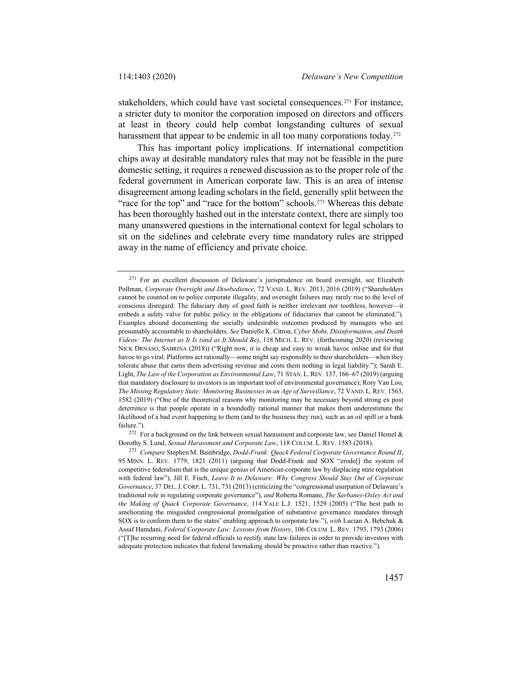stakeholders, which could have vast societal consequences.<sup>[271](#page-54-0)</sup> For instance, a stricter duty to monitor the corporation imposed on directors and officers at least in theory could help combat longstanding cultures of sexual harassment that appear to be endemic in all too many corporations today.<sup>272</sup>

This has important policy implications. If international competition chips away at desirable mandatory rules that may not be feasible in the pure domestic setting, it requires a renewed discussion as to the proper role of the federal government in American corporate law. This is an area of intense disagreement among leading scholars in the field, generally split between the "race for the top" and "race for the bottom" schools.<sup>[273](#page-54-2)</sup> Whereas this debate has been thoroughly hashed out in the interstate context, there are simply too many unanswered questions in the international context for legal scholars to sit on the sidelines and celebrate every time mandatory rules are stripped away in the name of efficiency and private choice.

<span id="page-54-1"></span><sup>272</sup> For a background on the link between sexual harassment and corporate law, see Daniel Hemel & Dorothy S. Lund, *Sexual Harassment and Corporate Law*, 118 COLUM. L. REV. 1583 (2018).

<span id="page-54-0"></span><sup>&</sup>lt;sup>271</sup> For an excellent discussion of Delaware's jurisprudence on board oversight, see Elizabeth Pollman, *Corporate Oversight and Disobedience*, 72 VAND. L. REV. 2013, 2016 (2019) ("Shareholders cannot be counted on to police corporate illegality, and oversight failures may rarely rise to the level of conscious disregard. The fiduciary duty of good faith is neither irrelevant nor toothless, however—it embeds a safety valve for public policy in the obligations of fiduciaries that cannot be eliminated."). Examples abound documenting the socially undesirable outcomes produced by managers who are presumably accountable to shareholders. *See* Danielle K. Citron, *Cyber Mobs, Disinformation, and Death Videos: The Internet as It Is (and as It Should Be)*, 118 MICH. L. REV. (forthcoming 2020) (reviewing NICK DRNASO, SABRINA (2018)) ("Right now, it is cheap and easy to wreak havoc online and for that havoc to go viral. Platforms act rationally—some might say responsibly to their shareholders—when they tolerate abuse that earns them advertising revenue and costs them nothing in legal liability."); Sarah E. Light, *The Law of the Corporation as Environmental Law*, 71 STAN. L.REV. 137, 166–67 (2019) (arguing that mandatory disclosure to investors is an important tool of environmental governance); Rory Van Loo, *The Missing Regulatory State: Monitoring Businesses in an Age of Surveillance*, 72 VAND. L. REV. 1563, 1582 (2019) ("One of the theoretical reasons why monitoring may be necessary beyond strong ex post deterrence is that people operate in a boundedly rational manner that makes them underestimate the likelihood of a bad event happening to them (and to the business they run), such as an oil spill or a bank failure.").

<span id="page-54-2"></span><sup>273</sup> *Compare* Stephen M. Bainbridge, *Dodd-Frank: Quack Federal Corporate Governance Round II*, 95 MINN. L. REV. 1779, 1821 (2011) (arguing that Dodd-Frank and SOX "erode[] the system of competitive federalism that is the unique genius of American corporate law by displacing state regulation with federal law"), Jill E. Fisch, *Leave It to Delaware: Why Congress Should Stay Out of Corporate Governance*, 37 DEL.J.CORP. L. 731, 731 (2013) (criticizing the "congressional usurpation of Delaware's traditional role in regulating corporate governance"), *and* Roberta Romano, *The Sarbanes-Oxley Act and the Making of Quack Corporate Governance*, 114 YALE L.J. 1521, 1529 (2005) ("The best path to ameliorating the misguided congressional promulgation of substantive governance mandates through SOX is to conform them to the states' enabling approach to corporate law."), *with* Lucian A. Bebchuk & Assaf Hamdani, *Federal Corporate Law: Lessons from History*, 106 COLUM. L. REV. 1793, 1793 (2006) ("[T]he recurring need for federal officials to rectify state law failures in order to provide investors with adequate protection indicates that federal lawmaking should be proactive rather than reactive.").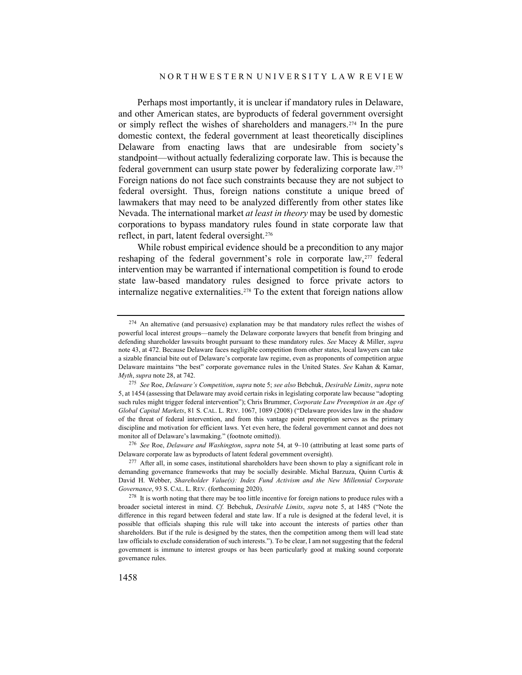Perhaps most importantly, it is unclear if mandatory rules in Delaware, and other American states, are byproducts of federal government oversight or simply reflect the wishes of shareholders and managers.<sup>[274](#page-55-0)</sup> In the pure domestic context, the federal government at least theoretically disciplines Delaware from enacting laws that are undesirable from society's standpoint—without actually federalizing corporate law. This is because the federal government can usurp state power by federalizing corporate law.[275](#page-55-1) Foreign nations do not face such constraints because they are not subject to federal oversight. Thus, foreign nations constitute a unique breed of lawmakers that may need to be analyzed differently from other states like Nevada. The international market *at least in theory* may be used by domestic corporations to bypass mandatory rules found in state corporate law that reflect, in part, latent federal oversight.[276](#page-55-2)

While robust empirical evidence should be a precondition to any major reshaping of the federal government's role in corporate law,<sup>[277](#page-55-3)</sup> federal intervention may be warranted if international competition is found to erode state law-based mandatory rules designed to force private actors to internalize negative externalities.<sup>[278](#page-55-4)</sup> To the extent that foreign nations allow

<span id="page-55-2"></span><sup>276</sup> *See* Roe, *Delaware and Washington*, *supra* not[e 54,](#page-12-5) at 9–10 (attributing at least some parts of Delaware corporate law as byproducts of latent federal government oversight).

<span id="page-55-0"></span><sup>&</sup>lt;sup>274</sup> An alternative (and persuasive) explanation may be that mandatory rules reflect the wishes of powerful local interest groups—namely the Delaware corporate lawyers that benefit from bringing and defending shareholder lawsuits brought pursuant to these mandatory rules. *See* Macey & Miller, *supra*  not[e 43,](#page-10-8) at 472. Because Delaware faces negligible competition from other states, local lawyers can take a sizable financial bite out of Delaware's corporate law regime, even as proponents of competition argue Delaware maintains "the best" corporate governance rules in the United States. *See* Kahan & Kamar, *Myth*, *supra* not[e 28,](#page-6-5) at 742.

<span id="page-55-1"></span><sup>275</sup> *See* Roe, *Delaware's Competition*, *supra* not[e 5;](#page-2-6) *see also* Bebchuk, *Desirable Limits*, *supra* note [5,](#page-2-6) at 1454 (assessing that Delaware may avoid certain risks in legislating corporate law because "adopting such rules might trigger federal intervention"); Chris Brummer, *Corporate Law Preemption in an Age of Global Capital Markets*, 81 S. CAL. L. REV. 1067, 1089 (2008) ("Delaware provides law in the shadow of the threat of federal intervention, and from this vantage point preemption serves as the primary discipline and motivation for efficient laws. Yet even here, the federal government cannot and does not monitor all of Delaware's lawmaking." (footnote omitted)).

<span id="page-55-3"></span><sup>&</sup>lt;sup>277</sup> After all, in some cases, institutional shareholders have been shown to play a significant role in demanding governance frameworks that may be socially desirable. Michal Barzuza, Quinn Curtis & David H. Webber, *Shareholder Value(s): Index Fund Activism and the New Millennial Corporate Governance*, 93 S. CAL. L. REV. (forthcoming 2020).

<span id="page-55-4"></span><sup>&</sup>lt;sup>278</sup> It is worth noting that there may be too little incentive for foreign nations to produce rules with a broader societal interest in mind. *Cf.* Bebchuk, *Desirable Limits*, *supra* note [5,](#page-2-6) at 1485 ("Note the difference in this regard between federal and state law. If a rule is designed at the federal level, it is possible that officials shaping this rule will take into account the interests of parties other than shareholders. But if the rule is designed by the states, then the competition among them will lead state law officials to exclude consideration of such interests."). To be clear, I am not suggesting that the federal government is immune to interest groups or has been particularly good at making sound corporate governance rules.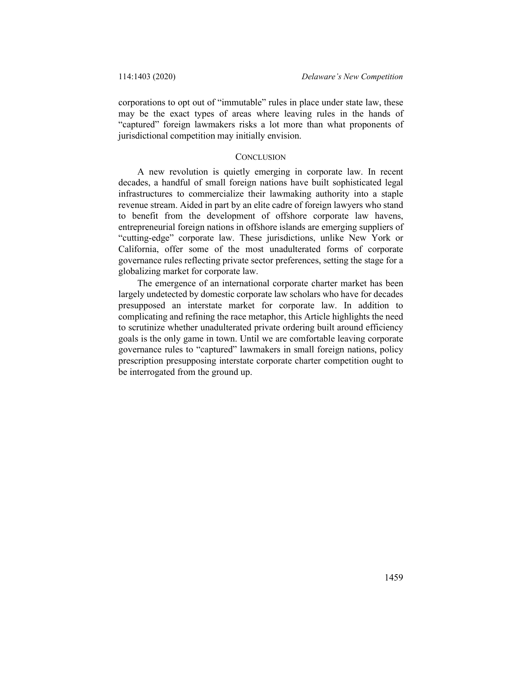corporations to opt out of "immutable" rules in place under state law, these may be the exact types of areas where leaving rules in the hands of "captured" foreign lawmakers risks a lot more than what proponents of jurisdictional competition may initially envision.

#### **CONCLUSION**

A new revolution is quietly emerging in corporate law. In recent decades, a handful of small foreign nations have built sophisticated legal infrastructures to commercialize their lawmaking authority into a staple revenue stream. Aided in part by an elite cadre of foreign lawyers who stand to benefit from the development of offshore corporate law havens, entrepreneurial foreign nations in offshore islands are emerging suppliers of "cutting-edge" corporate law. These jurisdictions, unlike New York or California, offer some of the most unadulterated forms of corporate governance rules reflecting private sector preferences, setting the stage for a globalizing market for corporate law.

The emergence of an international corporate charter market has been largely undetected by domestic corporate law scholars who have for decades presupposed an interstate market for corporate law. In addition to complicating and refining the race metaphor, this Article highlights the need to scrutinize whether unadulterated private ordering built around efficiency goals is the only game in town. Until we are comfortable leaving corporate governance rules to "captured" lawmakers in small foreign nations, policy prescription presupposing interstate corporate charter competition ought to be interrogated from the ground up.